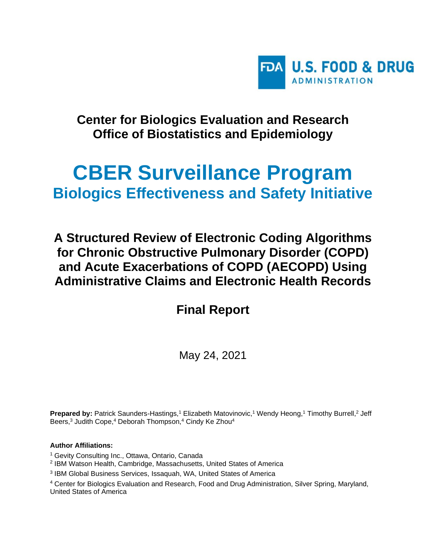

# **Center for Biologics Evaluation and Research Office of Biostatistics and Epidemiology**

# **CBER Surveillance Program Biologics Effectiveness and Safety Initiative**

**A Structured Review of Electronic Coding Algorithms for Chronic Obstructive Pulmonary Disorder (COPD) and Acute Exacerbations of COPD (AECOPD) Using Administrative Claims and Electronic Health Records**

**Final Report**

May 24, 2021

**Prepared by:** Patrick Saunders-Hastings,<sup>1</sup> Elizabeth Matovinovic,<sup>1</sup> Wendy Heong,<sup>1</sup> Timothy Burrell,<sup>2</sup> Jeff Beers,<sup>3</sup> Judith Cope,<sup>4</sup> Deborah Thompson,<sup>4</sup> Cindy Ke Zhou<sup>4</sup>

#### **Author Affiliations:**

<sup>1</sup> Gevity Consulting Inc., Ottawa, Ontario, Canada

2 IBM Watson Health, Cambridge, Massachusetts, United States of America

3 IBM Global Business Services, Issaquah, WA, United States of America

<sup>4</sup> Center for Biologics Evaluation and Research, Food and Drug Administration, Silver Spring, Maryland, United States of America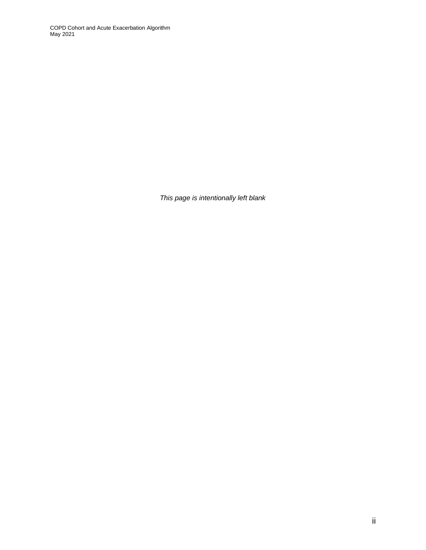*This page is intentionally left blank*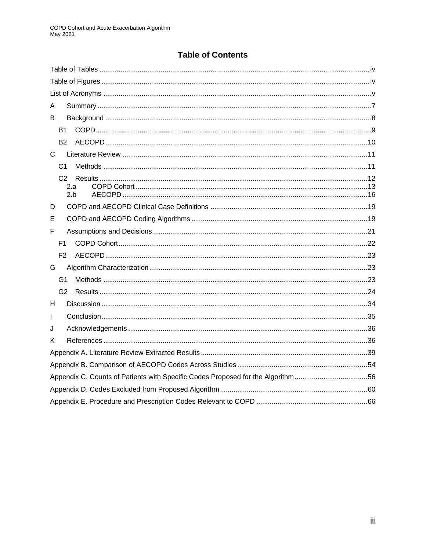## **Table of Contents**

| A              |                                                                                 |  |
|----------------|---------------------------------------------------------------------------------|--|
| B              |                                                                                 |  |
| B1             |                                                                                 |  |
| B2             |                                                                                 |  |
| C              |                                                                                 |  |
| C1             |                                                                                 |  |
|                | 2.a<br>2.h                                                                      |  |
| D              |                                                                                 |  |
| Е              |                                                                                 |  |
| F              |                                                                                 |  |
| F1.            |                                                                                 |  |
| F <sub>2</sub> |                                                                                 |  |
| G              |                                                                                 |  |
| G1             |                                                                                 |  |
| G2             |                                                                                 |  |
| Н              |                                                                                 |  |
| L              |                                                                                 |  |
| J              |                                                                                 |  |
| Κ              |                                                                                 |  |
|                |                                                                                 |  |
|                |                                                                                 |  |
|                | Appendix C. Counts of Patients with Specific Codes Proposed for the Algorithm56 |  |
|                |                                                                                 |  |
|                |                                                                                 |  |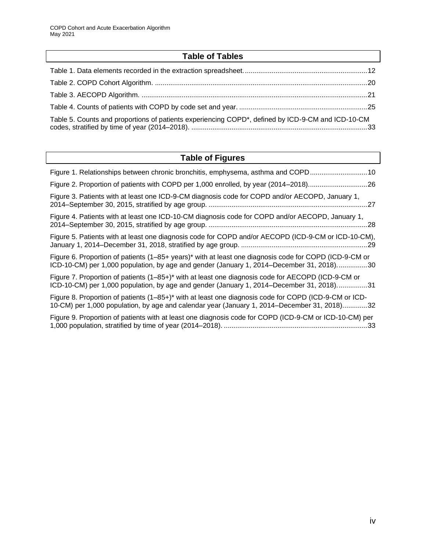## **Table of Tables**

<span id="page-3-0"></span>

| Table 5. Counts and proportions of patients experiencing COPD*, defined by ICD-9-CM and ICD-10-CM |  |
|---------------------------------------------------------------------------------------------------|--|

## **Table of Figures**

<span id="page-3-1"></span>

| Figure 1. Relationships between chronic bronchitis, emphysema, asthma and COPD 10                                                                                                                    |
|------------------------------------------------------------------------------------------------------------------------------------------------------------------------------------------------------|
| Figure 2. Proportion of patients with COPD per 1,000 enrolled, by year (2014–2018)26                                                                                                                 |
| Figure 3. Patients with at least one ICD-9-CM diagnosis code for COPD and/or AECOPD, January 1,                                                                                                      |
| Figure 4. Patients with at least one ICD-10-CM diagnosis code for COPD and/or AECOPD, January 1,                                                                                                     |
| Figure 5. Patients with at least one diagnosis code for COPD and/or AECOPD (ICD-9-CM or ICD-10-CM),                                                                                                  |
| Figure 6. Proportion of patients (1–85+ years)* with at least one diagnosis code for COPD (ICD-9-CM or<br>ICD-10-CM) per 1,000 population, by age and gender (January 1, 2014–December 31, 2018)30   |
| Figure 7. Proportion of patients (1-85+)* with at least one diagnosis code for AECOPD (ICD-9-CM or<br>ICD-10-CM) per 1,000 population, by age and gender (January 1, 2014–December 31, 2018)31       |
| Figure 8. Proportion of patients (1–85+)* with at least one diagnosis code for COPD (ICD-9-CM or ICD-<br>10-CM) per 1,000 population, by age and calendar year (January 1, 2014–December 31, 2018)32 |
| Figure 9. Proportion of patients with at least one diagnosis code for COPD (ICD-9-CM or ICD-10-CM) per                                                                                               |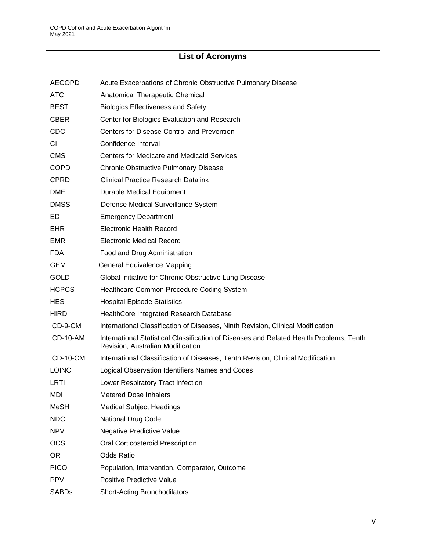## **List of Acronyms**

<span id="page-4-0"></span>

| AECOPD       | Acute Exacerbations of Chronic Obstructive Pulmonary Disease                                                                 |
|--------------|------------------------------------------------------------------------------------------------------------------------------|
| <b>ATC</b>   | Anatomical Therapeutic Chemical                                                                                              |
| <b>BEST</b>  | <b>Biologics Effectiveness and Safety</b>                                                                                    |
| <b>CBER</b>  | Center for Biologics Evaluation and Research                                                                                 |
| <b>CDC</b>   | Centers for Disease Control and Prevention                                                                                   |
| СI           | Confidence Interval                                                                                                          |
| <b>CMS</b>   | <b>Centers for Medicare and Medicaid Services</b>                                                                            |
| <b>COPD</b>  | <b>Chronic Obstructive Pulmonary Disease</b>                                                                                 |
| <b>CPRD</b>  | <b>Clinical Practice Research Datalink</b>                                                                                   |
| <b>DME</b>   | Durable Medical Equipment                                                                                                    |
| <b>DMSS</b>  | Defense Medical Surveillance System                                                                                          |
| ED.          | <b>Emergency Department</b>                                                                                                  |
| EHR          | <b>Electronic Health Record</b>                                                                                              |
| <b>EMR</b>   | <b>Electronic Medical Record</b>                                                                                             |
| <b>FDA</b>   | Food and Drug Administration                                                                                                 |
| <b>GEM</b>   | <b>General Equivalence Mapping</b>                                                                                           |
| <b>GOLD</b>  | Global Initiative for Chronic Obstructive Lung Disease                                                                       |
| <b>HCPCS</b> | Healthcare Common Procedure Coding System                                                                                    |
| <b>HES</b>   | <b>Hospital Episode Statistics</b>                                                                                           |
| <b>HIRD</b>  | HealthCore Integrated Research Database                                                                                      |
| ICD-9-CM     | International Classification of Diseases, Ninth Revision, Clinical Modification                                              |
| ICD-10-AM    | International Statistical Classification of Diseases and Related Health Problems, Tenth<br>Revision, Australian Modification |
| ICD-10-CM    | International Classification of Diseases, Tenth Revision, Clinical Modification                                              |
| <b>LOINC</b> | Logical Observation Identifiers Names and Codes                                                                              |
| <b>LRTI</b>  | Lower Respiratory Tract Infection                                                                                            |
| MDI          | <b>Metered Dose Inhalers</b>                                                                                                 |
| MeSH         | <b>Medical Subject Headings</b>                                                                                              |
| <b>NDC</b>   | <b>National Drug Code</b>                                                                                                    |
| <b>NPV</b>   | <b>Negative Predictive Value</b>                                                                                             |
| <b>OCS</b>   | Oral Corticosteroid Prescription                                                                                             |
| OR.          | <b>Odds Ratio</b>                                                                                                            |
| <b>PICO</b>  | Population, Intervention, Comparator, Outcome                                                                                |
| <b>PPV</b>   | <b>Positive Predictive Value</b>                                                                                             |
| SABDs        | <b>Short-Acting Bronchodilators</b>                                                                                          |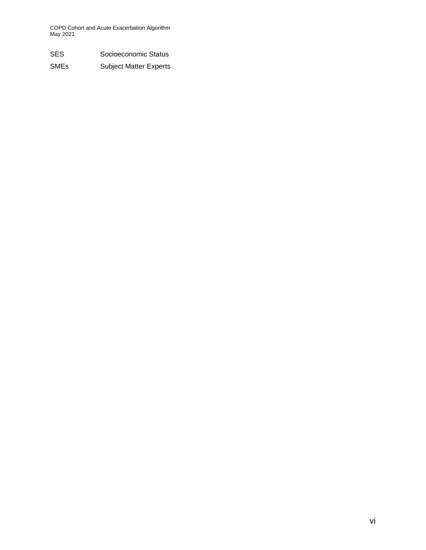- SES Socioeconomic Status
- SMEs Subject Matter Experts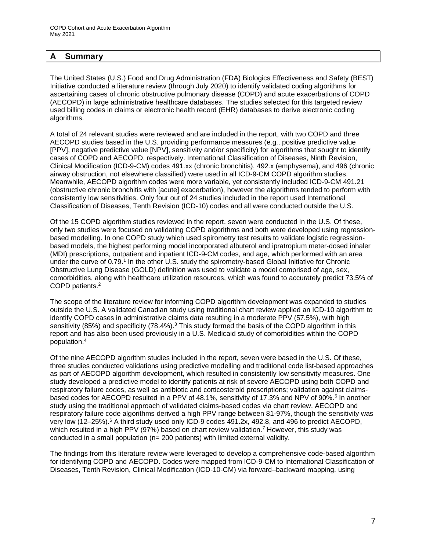#### <span id="page-6-0"></span>**A Summary**

The United States (U.S.) Food and Drug Administration (FDA) Biologics Effectiveness and Safety (BEST) Initiative conducted a literature review (through July 2020) to identify validated coding algorithms for ascertaining cases of chronic obstructive pulmonary disease (COPD) and acute exacerbations of COPD (AECOPD) in large administrative healthcare databases. The studies selected for this targeted review used billing codes in claims or electronic health record (EHR) databases to derive electronic coding algorithms.

A total of 24 relevant studies were reviewed and are included in the report, with two COPD and three AECOPD studies based in the U.S. providing performance measures (e.g., positive predictive value [PPV], negative predictive value [NPV], sensitivity and/or specificity) for algorithms that sought to identify cases of COPD and AECOPD, respectively. International Classification of Diseases, Ninth Revision, Clinical Modification (ICD-9-CM) codes 491.xx (chronic bronchitis), 492.x (emphysema), and 496 (chronic airway obstruction, not elsewhere classified) were used in all ICD-9-CM COPD algorithm studies. Meanwhile, AECOPD algorithm codes were more variable, yet consistently included ICD-9-CM 491.21 (obstructive chronic bronchitis with [acute] exacerbation), however the algorithms tended to perform with consistently low sensitivities. Only four out of 24 studies included in the report used International Classification of Diseases, Tenth Revision (ICD-10) codes and all were conducted outside the U.S.

Of the 15 COPD algorithm studies reviewed in the report, seven were conducted in the U.S. Of these, only two studies were focused on validating COPD algorithms and both were developed using regressionbased modelling. In one COPD study which used spirometry test results to validate logistic regressionbased models, the highest performing model incorporated albuterol and ipratropium meter-dosed inhaler (MDI) prescriptions, outpatient and inpatient ICD-9-CM codes, and age, which performed with an area under the curve of 0.79.<sup>1</sup> In the other U.S. study the spirometry-based Global Initiative for Chronic Obstructive Lung Disease (GOLD) definition was used to validate a model comprised of age, sex, comorbidities, along with healthcare utilization resources, which was found to accurately predict 73.5% of COPD patients.<sup>2</sup>

The scope of the literature review for informing COPD algorithm development was expanded to studies outside the U.S. A validated Canadian study using traditional chart review applied an ICD-10 algorithm to identify COPD cases in administrative claims data resulting in a moderate PPV (57.5%), with high sensitivity (85%) and specificity (78.4%).<sup>3</sup> This study formed the basis of the COPD algorithm in this report and has also been used previously in a U.S. Medicaid study of comorbidities within the COPD population.<sup>4</sup>

Of the nine AECOPD algorithm studies included in the report, seven were based in the U.S. Of these, three studies conducted validations using predictive modelling and traditional code list-based approaches as part of AECOPD algorithm development, which resulted in consistently low sensitivity measures. One study developed a predictive model to identify patients at risk of severe AECOPD using both COPD and respiratory failure codes, as well as antibiotic and corticosteroid prescriptions; validation against claimsbased codes for AECOPD resulted in a PPV of 48.1%, sensitivity of 17.3% and NPV of 90%.<sup>5</sup> In another study using the traditional approach of validated claims-based codes via chart review, AECOPD and respiratory failure code algorithms derived a high PPV range between 81-97%, though the sensitivity was very low (12–25%).<sup>6</sup> A third study used only ICD-9 codes 491.2x, 492.8, and 496 to predict AECOPD. which resulted in a high PPV (97%) based on chart review validation.<sup>7</sup> However, this study was conducted in a small population (n= 200 patients) with limited external validity.

The findings from this literature review were leveraged to develop a comprehensive code-based algorithm for identifying COPD and AECOPD. Codes were mapped from ICD-9-CM to International Classification of Diseases, Tenth Revision, Clinical Modification (ICD-10-CM) via forward–backward mapping, using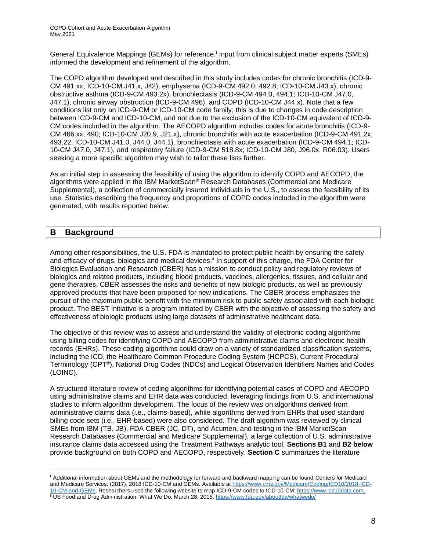General Equivalence Mappings (GEMs) for reference.<sup>i</sup> Input from clinical subject matter experts (SMEs) informed the development and refinement of the algorithm.

The COPD algorithm developed and described in this study includes codes for chronic bronchitis (ICD-9- CM 491.xx; ICD-10-CM J41.x, J42), emphysema (ICD-9-CM 492.0, 492.8; ICD-10-CM J43.x), chronic obstructive asthma (ICD-9-CM 493.2x), bronchiectasis (ICD-9-CM 494.0, 494.1; ICD-10-CM J47.0, J47.1), chronic airway obstruction (ICD-9-CM 496), and COPD (ICD-10-CM J44.x). Note that a few conditions list only an ICD-9-CM or ICD-10-CM code family; this is due to changes in code description between ICD-9-CM and ICD-10-CM, and not due to the exclusion of the ICD-10-CM equivalent of ICD-9- CM codes included in the algorithm. The AECOPD algorithm includes codes for acute bronchitis (ICD-9- CM 466.xx, 490; ICD-10-CM J20.9, J21.x), chronic bronchitis with acute exacerbation (ICD-9-CM 491.2x, 493.22; ICD-10-CM J41.0, J44.0, J44.1), bronchiectasis with acute exacerbation (ICD-9-CM 494.1; ICD-10-CM J47.0, J47.1), and respiratory failure (ICD-9-CM 518.8x; ICD-10-CM J80, J96.0x, R06.03). Users seeking a more specific algorithm may wish to tailor these lists further.

As an initial step in assessing the feasibility of using the algorithm to identify COPD and AECOPD, the algorithms were applied in the IBM MarketScan® Research Databases (Commercial and Medicare Supplemental), a collection of commercially insured individuals in the U.S., to assess the feasibility of its use. Statistics describing the frequency and proportions of COPD codes included in the algorithm were generated, with results reported below.

#### <span id="page-7-0"></span>**B Background**

Among other responsibilities, the U.S. FDA is mandated to protect public health by ensuring the safety and efficacy of drugs, biologics and medical devices.<sup>ii</sup> In support of this charge, the FDA Center for Biologics Evaluation and Research (CBER) has a mission to conduct policy and regulatory reviews of biologics and related products, including blood products, vaccines, allergenics, tissues, and cellular and gene therapies. CBER assesses the risks and benefits of new biologic products, as well as previously approved products that have been proposed for new indications. The CBER process emphasizes the pursuit of the maximum public benefit with the minimum risk to public safety associated with each biologic product. The BEST Initiative is a program initiated by CBER with the objective of assessing the safety and effectiveness of biologic products using large datasets of administrative healthcare data.

The objective of this review was to assess and understand the validity of electronic coding algorithms using billing codes for identifying COPD and AECOPD from administrative claims and electronic health records (EHRs). These coding algorithms could draw on a variety of standardized classification systems, including the ICD, the Healthcare Common Procedure Coding System (HCPCS), Current Procedural Terminology (CPT®), National Drug Codes (NDCs) and Logical Observation Identifiers Names and Codes (LOINC).

A structured literature review of coding algorithms for identifying potential cases of COPD and AECOPD using administrative claims and EHR data was conducted, leveraging findings from U.S. and international studies to inform algorithm development. The focus of the review was on algorithms derived from administrative claims data (i.e., claims-based), while algorithms derived from EHRs that used standard billing code sets (i.e., EHR-based) were also considered. The draft algorithm was reviewed by clinical SMEs from IBM (TB, JB), FDA CBER (JC, DT), and Acumen, and testing in the IBM MarketScan Research Databases (Commercial and Medicare Supplemental), a large collection of U.S. administrative insurance claims data accessed using the Treatment Pathways analytic tool. **Sections B1** and **B2 below** provide background on both COPD and AECOPD, respectively. **Section C** summarizes the literature

<sup>&</sup>lt;sup>i</sup> Additional information about GEMs and the methodology for forward and backward mapping can be found Centers for Medicaid and Medicare Services. (2017). 2018 ICD-10-CM and GEMs. Available at [https://www.cms.gov/Medicare/Coding/ICD10/2018-ICD-](https://www.cms.gov/Medicare/Coding/ICD10/2018-ICD-10-CM-and-GEMs)[10-CM-and-GEMs.](https://www.cms.gov/Medicare/Coding/ICD10/2018-ICD-10-CM-and-GEMs) Researchers used the following website to map ICD-9-CM codes to ICD-10-CM[: https://www.icd10data.com.](https://www.icd10data.com/)

ii US Food and Drug Administration. What We Do. March 28, 2018.<https://www.fda.gov/aboutfda/whatwedo/>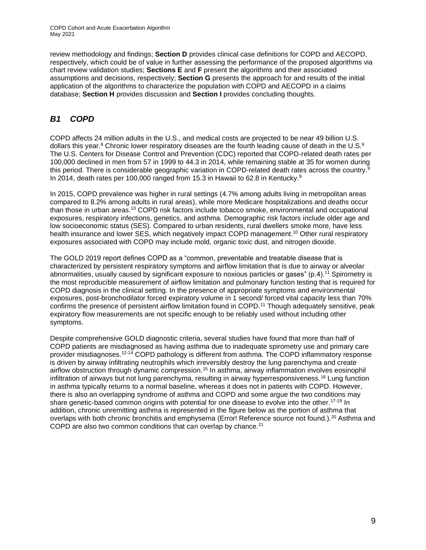review methodology and findings; **Section D** provides clinical case definitions for COPD and AECOPD, respectively, which could be of value in further assessing the performance of the proposed algorithms via chart review validation studies; **Sections E** and **F** present the algorithms and their associated assumptions and decisions, respectively; **Section G** presents the approach for and results of the initial application of the algorithms to characterize the population with COPD and AECOPD in a claims database; **Section H** provides discussion and **Section I** provides concluding thoughts.

## <span id="page-8-0"></span>*B1 COPD*

COPD affects 24 million adults in the U.S., and medical costs are projected to be near 49 billion U.S. dollars this year.<sup>8</sup> Chronic lower respiratory diseases are the fourth leading cause of death in the U.S.<sup>9</sup> The U.S. Centers for Disease Control and Prevention (CDC) reported that COPD-related death rates per 100,000 declined in men from 57 in 1999 to 44.3 in 2014, while remaining stable at 35 for women during this period. There is considerable geographic variation in COPD-related death rates across the country.<sup>9</sup> In 2014, death rates per 100,000 ranged from 15.3 in Hawaii to 62.8 in Kentucky.<sup>9</sup>

In 2015, COPD prevalence was higher in rural settings (4.7% among adults living in metropolitan areas compared to 8.2% among adults in rural areas), while more Medicare hospitalizations and deaths occur than those in urban areas.<sup>10</sup> COPD risk factors include tobacco smoke, environmental and occupational exposures, respiratory infections, genetics, and asthma. Demographic risk factors include older age and low socioeconomic status (SES). Compared to urban residents, rural dwellers smoke more, have less health insurance and lower SES, which negatively impact COPD management.<sup>10</sup> Other rural respiratory exposures associated with COPD may include mold, organic toxic dust, and nitrogen dioxide.

The GOLD 2019 report defines COPD as a "common, preventable and treatable disease that is characterized by persistent respiratory symptoms and airflow limitation that is due to airway or alveolar abnormalities, usually caused by significant exposure to noxious particles or gases"  $(p.4)$ .<sup>11</sup> Spirometry is the most reproducible measurement of airflow limitation and pulmonary function testing that is required for COPD diagnosis in the clinical setting. In the presence of appropriate symptoms and environmental exposures, post-bronchodilator forced expiratory volume in 1 second/ forced vital capacity less than 70% confirms the presence of persistent airflow limitation found in COPD.<sup>11</sup> Though adequately sensitive, peak expiratory flow measurements are not specific enough to be reliably used without including other symptoms.

Despite comprehensive GOLD diagnostic criteria, several studies have found that more than half of COPD patients are misdiagnosed as having asthma due to inadequate spirometry use and primary care provider misdiagnoses.12-14 COPD pathology is different from asthma. The COPD inflammatory response is driven by airway infiltrating neutrophils which irreversibly destroy the lung parenchyma and create airflow obstruction through dynamic compression.<sup>15</sup> In asthma, airway inflammation involves eosinophil infiltration of airways but not lung parenchyma, resulting in airway hyperresponsiveness.<sup>16</sup> Lung function in asthma typically returns to a normal baseline, whereas it does not in patients with COPD. However, there is also an overlapping syndrome of asthma and COPD and some argue the two conditions may share genetic-based common origins with potential for one disease to evolve into the other.<sup>17-19</sup> In addition, chronic unremitting asthma is represented in the figure below as the portion of asthma that overlaps with both chronic bronchitis and emphysema (Error! Reference source not found.).<sup>20</sup> Asthma and COPD are also two common conditions that can overlap by chance. $21$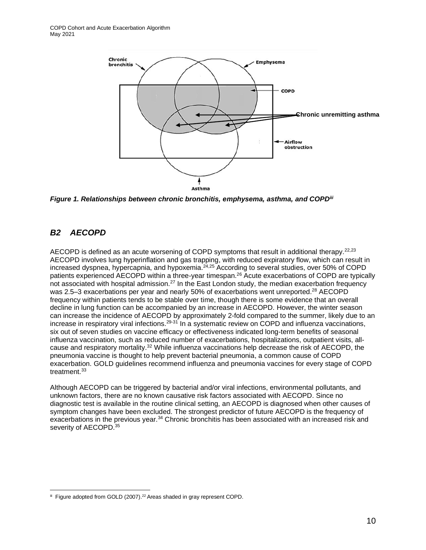

<span id="page-9-1"></span>*Figure 1. Relationships between chronic bronchitis, emphysema, asthma, and COPDiii*

#### <span id="page-9-0"></span>*B2 AECOPD*

AECOPD is defined as an acute worsening of COPD symptoms that result in additional therapy.<sup>22,23</sup> AECOPD involves lung hyperinflation and gas trapping, with reduced expiratory flow, which can result in increased dyspnea, hypercapnia, and hypoxemia.<sup>24,25</sup> According to several studies, over 50% of COPD patients experienced AECOPD within a three-year timespan.<sup>26</sup> Acute exacerbations of COPD are typically not associated with hospital admission.<sup>27</sup> In the East London study, the median exacerbation frequency was 2.5–3 exacerbations per year and nearly 50% of exacerbations went unreported.<sup>28</sup> AECOPD frequency within patients tends to be stable over time, though there is some evidence that an overall decline in lung function can be accompanied by an increase in AECOPD. However, the winter season can increase the incidence of AECOPD by approximately 2-fold compared to the summer, likely due to an increase in respiratory viral infections.<sup>29-31</sup> In a systematic review on COPD and influenza vaccinations, six out of seven studies on vaccine efficacy or effectiveness indicated long-term benefits of seasonal influenza vaccination, such as reduced number of exacerbations, hospitalizations, outpatient visits, allcause and respiratory mortality.<sup>32</sup> While influenza vaccinations help decrease the risk of AECOPD, the pneumonia vaccine is thought to help prevent bacterial pneumonia, a common cause of COPD exacerbation. GOLD guidelines recommend influenza and pneumonia vaccines for every stage of COPD treatment.<sup>33</sup>

Although AECOPD can be triggered by bacterial and/or viral infections, environmental pollutants, and unknown factors, there are no known causative risk factors associated with AECOPD. Since no diagnostic test is available in the routine clinical setting, an AECOPD is diagnosed when other causes of symptom changes have been excluded. The strongest predictor of future AECOPD is the frequency of exacerbations in the previous year.<sup>34</sup> Chronic bronchitis has been associated with an increased risk and severity of AECOPD.<sup>35</sup>

III Figure adopted from GOLD (2007).<sup>22</sup> Areas shaded in gray represent COPD.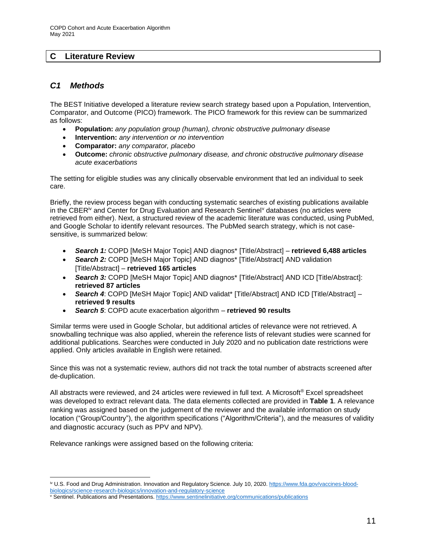#### <span id="page-10-0"></span>**C Literature Review**

#### <span id="page-10-1"></span>*C1 Methods*

The BEST Initiative developed a literature review search strategy based upon a Population, Intervention, Comparator, and Outcome (PICO) framework. The PICO framework for this review can be summarized as follows:

- **Population:** *any population group (human), chronic obstructive pulmonary disease*
- **Intervention:** *any intervention or no intervention*
- **Comparator:** *any comparator, placebo*
- **Outcome:** *chronic obstructive pulmonary disease, and chronic obstructive pulmonary disease acute exacerbations*

The setting for eligible studies was any clinically observable environment that led an individual to seek care.

Briefly, the review process began with conducting systematic searches of existing publications available in the CBER<sup>iv</sup> and Center for Drug Evaluation and Research Sentinel<sup>v</sup> databases (no articles were retrieved from either). Next, a structured review of the academic literature was conducted, using PubMed, and Google Scholar to identify relevant resources. The PubMed search strategy, which is not casesensitive, is summarized below:

- *Search 1:* COPD [MeSH Major Topic] AND diagnos\* [Title/Abstract] **retrieved 6,488 articles**
- **Search 2:** COPD [MeSH Major Topic] AND diagnos\* [Title/Abstract] AND validation [Title/Abstract] – **retrieved 165 articles**
- **Search 3:** COPD [MeSH Major Topic] AND diagnos\* [Title/Abstract] AND ICD [Title/Abstract]: **retrieved 87 articles**
- **Search 4:** COPD [MeSH Major Topic] AND validat\* [Title/Abstract] AND ICD [Title/Abstract] **retrieved 9 results**
- *Search 5*: COPD acute exacerbation algorithm **retrieved 90 results**

Similar terms were used in Google Scholar, but additional articles of relevance were not retrieved. A snowballing technique was also applied, wherein the reference lists of relevant studies were scanned for additional publications. Searches were conducted in July 2020 and no publication date restrictions were applied. Only articles available in English were retained.

Since this was not a systematic review, authors did not track the total number of abstracts screened after de-duplication.

All abstracts were reviewed, and 24 articles were reviewed in full text. A Microsoft® Excel spreadsheet was developed to extract relevant data. The data elements collected are provided in **[Table 1](#page-11-1)**. A relevance ranking was assigned based on the judgement of the reviewer and the available information on study location ("Group/Country"), the algorithm specifications ("Algorithm/Criteria"), and the measures of validity and diagnostic accuracy (such as PPV and NPV).

Relevance rankings were assigned based on the following criteria:

iv U.S. Food and Drug Administration. Innovation and Regulatory Science. July 10, 2020. [https://www.fda.gov/vaccines-blood](https://www.fda.gov/vaccines-blood-biologics/science-research-biologics/innovation-and-regulatory-science)[biologics/science-research-biologics/innovation-and-regulatory-science](https://www.fda.gov/vaccines-blood-biologics/science-research-biologics/innovation-and-regulatory-science)

<sup>v</sup> Sentinel. Publications and Presentations. <https://www.sentinelinitiative.org/communications/publications>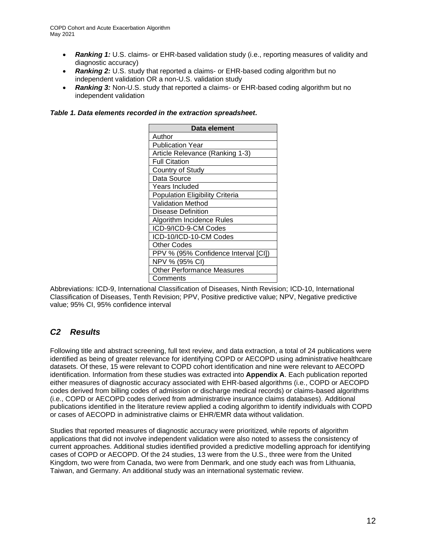- **Ranking 1:** U.S. claims- or EHR-based validation study (i.e., reporting measures of validity and diagnostic accuracy)
- **Ranking 2:** U.S. study that reported a claims- or EHR-based coding algorithm but no independent validation OR a non-U.S. validation study
- *Ranking 3:* Non-U.S. study that reported a claims- or EHR-based coding algorithm but no independent validation

<span id="page-11-1"></span>

|  |  |  | Table 1. Data elements recorded in the extraction spreadsheet. |  |  |  |
|--|--|--|----------------------------------------------------------------|--|--|--|
|--|--|--|----------------------------------------------------------------|--|--|--|

| Data element                           |
|----------------------------------------|
| Author                                 |
| <b>Publication Year</b>                |
| Article Relevance (Ranking 1-3)        |
| <b>Full Citation</b>                   |
| Country of Study                       |
| Data Source                            |
| Years Included                         |
| <b>Population Eligibility Criteria</b> |
| <b>Validation Method</b>               |
| Disease Definition                     |
| Algorithm Incidence Rules              |
| ICD-9/ICD-9-CM Codes                   |
| ICD-10/ICD-10-CM Codes                 |
| Other Codes                            |
| PPV % (95% Confidence Interval [CI])   |
| NPV % (95% CI)                         |
| <b>Other Performance Measures</b>      |
| Comments                               |

Abbreviations: ICD-9, International Classification of Diseases, Ninth Revision; ICD-10, International Classification of Diseases, Tenth Revision; PPV, Positive predictive value; NPV, Negative predictive value; 95% CI, 95% confidence interval

#### <span id="page-11-0"></span>*C2 Results*

Following title and abstract screening, full text review, and data extraction, a total of 24 publications were identified as being of greater relevance for identifying COPD or AECOPD using administrative healthcare datasets. Of these, 15 were relevant to COPD cohort identification and nine were relevant to AECOPD identification. Information from these studies was extracted into **Appendix A**. Each publication reported either measures of diagnostic accuracy associated with EHR-based algorithms (i.e., COPD or AECOPD codes derived from billing codes of admission or discharge medical records) or claims-based algorithms (i.e., COPD or AECOPD codes derived from administrative insurance claims databases). Additional publications identified in the literature review applied a coding algorithm to identify individuals with COPD or cases of AECOPD in administrative claims or EHR/EMR data without validation.

Studies that reported measures of diagnostic accuracy were prioritized, while reports of algorithm applications that did not involve independent validation were also noted to assess the consistency of current approaches. Additional studies identified provided a predictive modelling approach for identifying cases of COPD or AECOPD. Of the 24 studies, 13 were from the U.S., three were from the United Kingdom, two were from Canada, two were from Denmark, and one study each was from Lithuania, Taiwan, and Germany. An additional study was an international systematic review.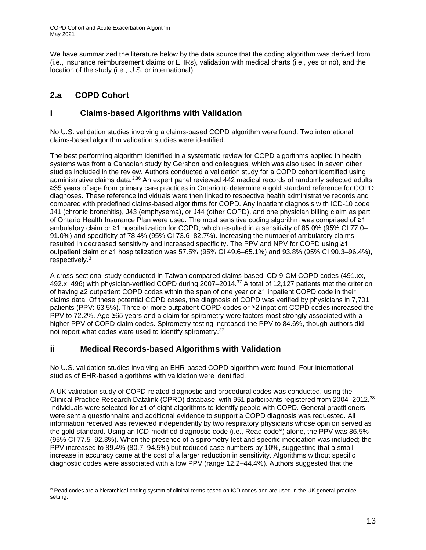We have summarized the literature below by the data source that the coding algorithm was derived from (i.e., insurance reimbursement claims or EHRs), validation with medical charts (i.e., yes or no), and the location of the study (i.e., U.S. or international).

## <span id="page-12-0"></span>**2.a COPD Cohort**

#### **i Claims-based Algorithms with Validation**

No U.S. validation studies involving a claims-based COPD algorithm were found. Two international claims-based algorithm validation studies were identified.

The best performing algorithm identified in a systematic review for COPD algorithms applied in health systems was from a Canadian study by Gershon and colleagues, which was also used in seven other studies included in the review. Authors conducted a validation study for a COPD cohort identified using administrative claims data.<sup>3,36</sup> An expert panel reviewed 442 medical records of randomly selected adults ≥35 years of age from primary care practices in Ontario to determine a gold standard reference for COPD diagnoses. These reference individuals were then linked to respective health administrative records and compared with predefined claims-based algorithms for COPD. Any inpatient diagnosis with ICD-10 code J41 (chronic bronchitis), J43 (emphysema), or J44 (other COPD), and one physician billing claim as part of Ontario Health Insurance Plan were used. The most sensitive coding algorithm was comprised of ≥1 ambulatory claim or ≥1 hospitalization for COPD, which resulted in a sensitivity of 85.0% (95% CI 77.0– 91.0%) and specificity of 78.4% (95% CI 73.6–82.7%). Increasing the number of ambulatory claims resulted in decreased sensitivity and increased specificity. The PPV and NPV for COPD using ≥1 outpatient claim or ≥1 hospitalization was 57.5% (95% CI 49.6–65.1%) and 93.8% (95% CI 90.3–96.4%), respectively.<sup>3</sup>

A cross-sectional study conducted in Taiwan compared claims-based ICD-9-CM COPD codes (491.xx, 492.x, 496) with physician-verified COPD during 2007–2014.<sup>37</sup> A total of 12,127 patients met the criterion of having ≥2 outpatient COPD codes within the span of one year or ≥1 inpatient COPD code in their claims data. Of these potential COPD cases, the diagnosis of COPD was verified by physicians in 7,701 patients (PPV: 63.5%). Three or more outpatient COPD codes or ≥2 inpatient COPD codes increased the PPV to 72.2%. Age ≥65 years and a claim for spirometry were factors most strongly associated with a higher PPV of COPD claim codes. Spirometry testing increased the PPV to 84.6%, though authors did not report what codes were used to identify spirometry.<sup>37</sup>

#### **ii Medical Records-based Algorithms with Validation**

No U.S. validation studies involving an EHR-based COPD algorithm were found. Four international studies of EHR-based algorithms with validation were identified.

A UK validation study of COPD-related diagnostic and procedural codes was conducted, using the Clinical Practice Research Datalink (CPRD) database, with 951 participants registered from 2004–2012.<sup>38</sup> Individuals were selected for ≥1 of eight algorithms to identify people with COPD. General practitioners were sent a questionnaire and additional evidence to support a COPD diagnosis was requested. All information received was reviewed independently by two respiratory physicians whose opinion served as the gold standard. Using an ICD-modified diagnostic code (i.e., Read code<sup>vi</sup>) alone, the PPV was 86.5% (95% CI 77.5–92.3%). When the presence of a spirometry test and specific medication was included; the PPV increased to 89.4% (80.7–94.5%) but reduced case numbers by 10%, suggesting that a small increase in accuracy came at the cost of a larger reduction in sensitivity. Algorithms without specific diagnostic codes were associated with a low PPV (range 12.2–44.4%). Authors suggested that the

vi Read codes are a hierarchical coding system of clinical terms based on ICD codes and are used in the UK general practice setting.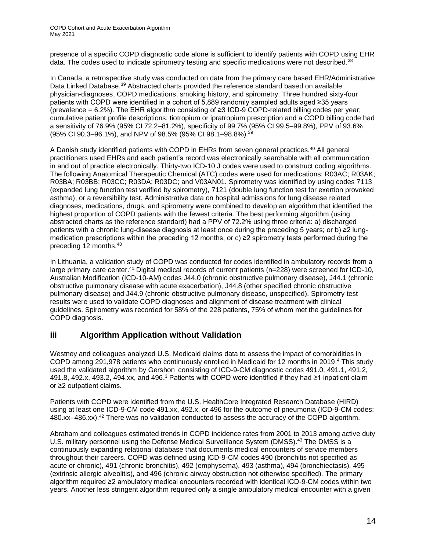presence of a specific COPD diagnostic code alone is sufficient to identify patients with COPD using EHR data. The codes used to indicate spirometry testing and specific medications were not described.<sup>38</sup>

In Canada, a retrospective study was conducted on data from the primary care based EHR/Administrative Data Linked Database.<sup>39</sup> Abstracted charts provided the reference standard based on available physician-diagnoses, COPD medications, smoking history, and spirometry. Three hundred sixty-four patients with COPD were identified in a cohort of 5,889 randomly sampled adults aged ≥35 years (prevalence =  $6.2\%$ ). The EHR algorithm consisting of ≥3 ICD-9 COPD-related billing codes per year: cumulative patient profile descriptions; tiotropium or ipratropium prescription and a COPD billing code had a sensitivity of 76.9% (95% CI 72.2–81.2%), specificity of 99.7% (95% CI 99.5–99.8%), PPV of 93.6% (95% CI 90.3-96.1%), and NPV of 98.5% (95% CI 98.1-98.8%).<sup>39</sup>

A Danish study identified patients with COPD in EHRs from seven general practices.<sup>40</sup> All general practitioners used EHRs and each patient's record was electronically searchable with all communication in and out of practice electronically. Thirty-two ICD-10 J codes were used to construct coding algorithms. The following Anatomical Therapeutic Chemical (ATC) codes were used for medications: R03AC; R03AK; R03BA; R03BB; R03CC; R03DA; R03DC; and V03AN01. Spirometry was identified by using codes 7113 (expanded lung function test verified by spirometry), 7121 (double lung function test for exertion provoked asthma), or a reversibility test. Administrative data on hospital admissions for lung disease related diagnoses, medications, drugs, and spirometry were combined to develop an algorithm that identified the highest proportion of COPD patients with the fewest criteria. The best performing algorithm (using abstracted charts as the reference standard) had a PPV of 72.2% using three criteria: a) discharged patients with a chronic lung-disease diagnosis at least once during the preceding 5 years; or b) ≥2 lungmedication prescriptions within the preceding 12 months; or c) ≥2 spirometry tests performed during the preceding 12 months.<sup>40</sup>

In Lithuania, a validation study of COPD was conducted for codes identified in ambulatory records from a large primary care center.<sup>41</sup> Digital medical records of current patients ( $n=228$ ) were screened for ICD-10, Australian Modification (ICD-10-AM) codes J44.0 (chronic obstructive pulmonary disease), J44.1 (chronic obstructive pulmonary disease with acute exacerbation), J44.8 (other specified chronic obstructive pulmonary disease) and J44.9 (chronic obstructive pulmonary disease, unspecified). Spirometry test results were used to validate COPD diagnoses and alignment of disease treatment with clinical guidelines. Spirometry was recorded for 58% of the 228 patients, 75% of whom met the guidelines for COPD diagnosis.

#### **iii Algorithm Application without Validation**

Westney and colleagues analyzed U.S. Medicaid claims data to assess the impact of comorbidities in COPD among 291,978 patients who continuously enrolled in Medicaid for 12 months in 2019. <sup>4</sup> This study used the validated algorithm by Gershon consisting of ICD-9-CM diagnostic codes 491.0, 491.1, 491.2, 491.8, 492.x, 493.2, 494.xx, and 496.<sup>3</sup> Patients with COPD were identified if they had ≥1 inpatient claim or ≥2 outpatient claims.

Patients with COPD were identified from the U.S. HealthCore Integrated Research Database (HIRD) using at least one ICD-9-CM code 491.xx, 492.x, or 496 for the outcome of pneumonia (ICD-9-CM codes: 480.xx-486.xx).<sup>42</sup> There was no validation conducted to assess the accuracy of the COPD algorithm.

Abraham and colleagues estimated trends in COPD incidence rates from 2001 to 2013 among active duty U.S. military personnel using the Defense Medical Surveillance System (DMSS).<sup>43</sup> The DMSS is a continuously expanding relational database that documents medical encounters of service members throughout their careers. COPD was defined using ICD-9-CM codes 490 (bronchitis not specified as acute or chronic), 491 (chronic bronchitis), 492 (emphysema), 493 (asthma), 494 (bronchiectasis), 495 (extrinsic allergic alveolitis), and 496 (chronic airway obstruction not otherwise specified). The primary algorithm required ≥2 ambulatory medical encounters recorded with identical ICD-9-CM codes within two years. Another less stringent algorithm required only a single ambulatory medical encounter with a given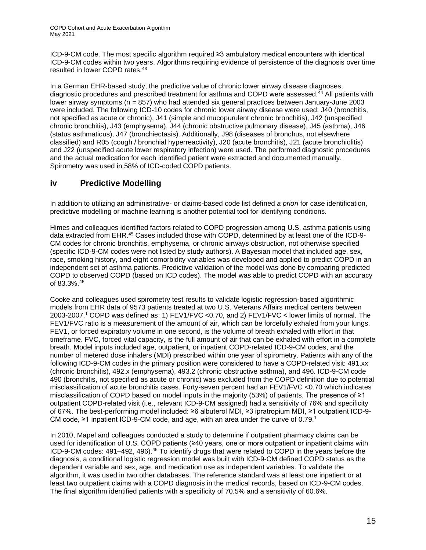ICD-9-CM code. The most specific algorithm required ≥3 ambulatory medical encounters with identical ICD-9-CM codes within two years. Algorithms requiring evidence of persistence of the diagnosis over time resulted in lower COPD rates.<sup>43</sup>

In a German EHR-based study, the predictive value of chronic lower airway disease diagnoses, diagnostic procedures and prescribed treatment for asthma and COPD were assessed.<sup>44</sup> All patients with lower airway symptoms (n = 857) who had attended six general practices between January-June 2003 were included. The following ICD-10 codes for chronic lower airway disease were used: J40 (bronchitis, not specified as acute or chronic), J41 (simple and mucopurulent chronic bronchitis), J42 (unspecified chronic bronchitis), J43 (emphysema), J44 (chronic obstructive pulmonary disease), J45 (asthma), J46 (status asthmaticus), J47 (bronchiectasis). Additionally, J98 (diseases of bronchus, not elsewhere classified) and R05 (cough / bronchial hyperreactivity), J20 (acute bronchitis), J21 (acute bronchiolitis) and J22 (unspecified acute lower respiratory infection) were used. The performed diagnostic procedures and the actual medication for each identified patient were extracted and documented manually. Spirometry was used in 58% of ICD-coded COPD patients.

#### **iv Predictive Modelling**

In addition to utilizing an administrative- or claims-based code list defined *a priori* for case identification, predictive modelling or machine learning is another potential tool for identifying conditions.

Himes and colleagues identified factors related to COPD progression among U.S. asthma patients using data extracted from EHR.<sup>45</sup> Cases included those with COPD, determined by at least one of the ICD-9- CM codes for chronic bronchitis, emphysema, or chronic airways obstruction, not otherwise specified (specific ICD-9-CM codes were not listed by study authors). A Bayesian model that included age, sex, race, smoking history, and eight comorbidity variables was developed and applied to predict COPD in an independent set of asthma patients. Predictive validation of the model was done by comparing predicted COPD to observed COPD (based on ICD codes). The model was able to predict COPD with an accuracy of 83.3%.<sup>45</sup>

Cooke and colleagues used spirometry test results to validate logistic regression-based algorithmic models from EHR data of 9573 patients treated at two U.S. Veterans Affairs medical centers between 2003-2007.<sup>1</sup> COPD was defined as: 1) FEV1/FVC <0.70, and 2) FEV1/FVC < lower limits of normal. The FEV1/FVC ratio is a measurement of the amount of air, which can be forcefully exhaled from your lungs. FEV1, or forced expiratory volume in one second, is the volume of breath exhaled with effort in that timeframe. FVC, forced vital capacity, is the full amount of air that can be exhaled with effort in a complete breath. Model inputs included age, outpatient, or inpatient COPD-related ICD-9-CM codes, and the number of metered dose inhalers (MDI) prescribed within one year of spirometry. Patients with any of the following ICD-9-CM codes in the primary position were considered to have a COPD-related visit: 491.xx (chronic bronchitis), 492.x (emphysema), 493.2 (chronic obstructive asthma), and 496. ICD-9-CM code 490 (bronchitis, not specified as acute or chronic) was excluded from the COPD definition due to potential misclassification of acute bronchitis cases. Forty-seven percent had an FEV1/FVC <0.70 which indicates misclassification of COPD based on model inputs in the majority (53%) of patients. The presence of ≥1 outpatient COPD-related visit (i.e., relevant ICD-9-CM assigned) had a sensitivity of 76% and specificity of 67%. The best-performing model included: ≥6 albuterol MDI, ≥3 ipratropium MDI, ≥1 outpatient ICD-9- CM code, ≥1 inpatient ICD-9-CM code, and age, with an area under the curve of 0.79.<sup>1</sup>

In 2010, Mapel and colleagues conducted a study to determine if outpatient pharmacy claims can be used for identification of U.S. COPD patients (≥40 years, one or more outpatient or inpatient claims with ICD-9-CM codes: 491-492, 496).<sup>46</sup> To identify drugs that were related to COPD in the years before the diagnosis, a conditional logistic regression model was built with ICD-9-CM defined COPD status as the dependent variable and sex, age, and medication use as independent variables. To validate the algorithm, it was used in two other databases. The reference standard was at least one inpatient or at least two outpatient claims with a COPD diagnosis in the medical records, based on ICD-9-CM codes. The final algorithm identified patients with a specificity of 70.5% and a sensitivity of 60.6%.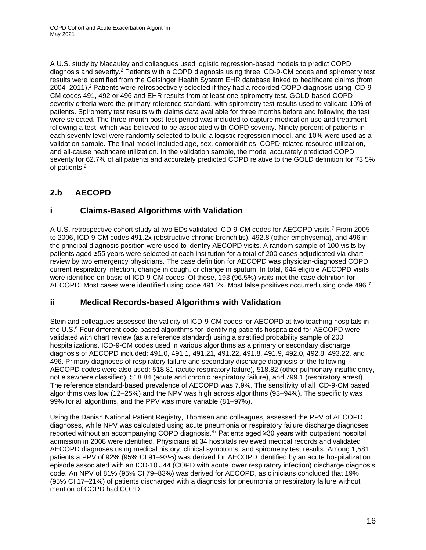A U.S. study by Macauley and colleagues used logistic regression-based models to predict COPD diagnosis and severity.<sup>2</sup> Patients with a COPD diagnosis using three ICD-9-CM codes and spirometry test results were identified from the Geisinger Health System EHR database linked to healthcare claims (from 2004–2011).<sup>2</sup> Patients were retrospectively selected if they had a recorded COPD diagnosis using ICD-9- CM codes 491, 492 or 496 and EHR results from at least one spirometry test. GOLD-based COPD severity criteria were the primary reference standard, with spirometry test results used to validate 10% of patients. Spirometry test results with claims data available for three months before and following the test were selected. The three-month post-test period was included to capture medication use and treatment following a test, which was believed to be associated with COPD severity. Ninety percent of patients in each severity level were randomly selected to build a logistic regression model, and 10% were used as a validation sample. The final model included age, sex, comorbidities, COPD-related resource utilization, and all-cause healthcare utilization. In the validation sample, the model accurately predicted COPD severity for 62.7% of all patients and accurately predicted COPD relative to the GOLD definition for 73.5% of patients.<sup>2</sup>

## <span id="page-15-0"></span>**2.b AECOPD**

#### **i Claims-Based Algorithms with Validation**

A U.S. retrospective cohort study at two EDs validated ICD-9-CM codes for AECOPD visits.<sup>7</sup> From 2005 to 2006, ICD-9-CM codes 491.2x (obstructive chronic bronchitis), 492.8 (other emphysema), and 496 in the principal diagnosis position were used to identify AECOPD visits. A random sample of 100 visits by patients aged ≥55 years were selected at each institution for a total of 200 cases adjudicated via chart review by two emergency physicians. The case definition for AECOPD was physician-diagnosed COPD, current respiratory infection, change in cough, or change in sputum. In total, 644 eligible AECOPD visits were identified on basis of ICD-9-CM codes. Of these, 193 (96.5%) visits met the case definition for AECOPD. Most cases were identified using code 491.2x. Most false positives occurred using code 496.<sup>7</sup>

#### **ii Medical Records-based Algorithms with Validation**

Stein and colleagues assessed the validity of ICD-9-CM codes for AECOPD at two teaching hospitals in the U.S.<sup>6</sup> Four different code-based algorithms for identifying patients hospitalized for AECOPD were validated with chart review (as a reference standard) using a stratified probability sample of 200 hospitalizations. ICD-9-CM codes used in various algorithms as a primary or secondary discharge diagnosis of AECOPD included: 491.0, 491.1, 491.21, 491.22, 491.8, 491.9, 492.0, 492.8, 493.22, and 496. Primary diagnoses of respiratory failure and secondary discharge diagnosis of the following AECOPD codes were also used: 518.81 (acute respiratory failure), 518.82 (other pulmonary insufficiency, not elsewhere classified), 518.84 (acute and chronic respiratory failure), and 799.1 (respiratory arrest). The reference standard-based prevalence of AECOPD was 7.9%. The sensitivity of all ICD-9-CM based algorithms was low (12–25%) and the NPV was high across algorithms (93–94%). The specificity was 99% for all algorithms, and the PPV was more variable (81–97%).

Using the Danish National Patient Registry, Thomsen and colleagues, assessed the PPV of AECOPD diagnoses, while NPV was calculated using acute pneumonia or respiratory failure discharge diagnoses reported without an accompanying COPD diagnosis.<sup>47</sup> Patients aged ≥30 years with outpatient hospital admission in 2008 were identified. Physicians at 34 hospitals reviewed medical records and validated AECOPD diagnoses using medical history, clinical symptoms, and spirometry test results. Among 1,581 patients a PPV of 92% (95% CI 91–93%) was derived for AECOPD identified by an acute hospitalization episode associated with an ICD-10 J44 (COPD with acute lower respiratory infection) discharge diagnosis code. An NPV of 81% (95% CI 79–83%) was derived for AECOPD, as clinicians concluded that 19% (95% CI 17–21%) of patients discharged with a diagnosis for pneumonia or respiratory failure without mention of COPD had COPD.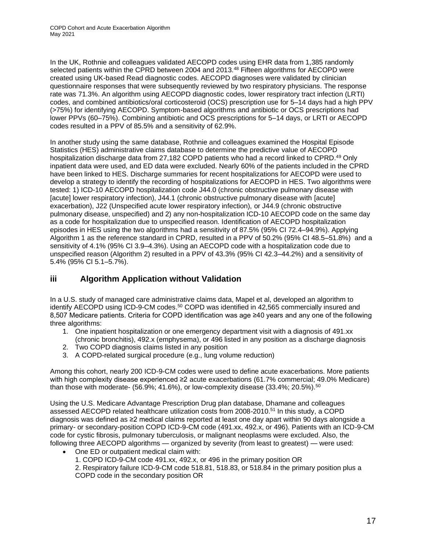In the UK, Rothnie and colleagues validated AECOPD codes using EHR data from 1,385 randomly selected patients within the CPRD between 2004 and 2013.<sup>48</sup> Fifteen algorithms for AECOPD were created using UK-based Read diagnostic codes. AECOPD diagnoses were validated by clinician questionnaire responses that were subsequently reviewed by two respiratory physicians. The response rate was 71.3%. An algorithm using AECOPD diagnostic codes, lower respiratory tract infection (LRTI) codes, and combined antibiotics/oral corticosteroid (OCS) prescription use for 5–14 days had a high PPV (>75%) for identifying AECOPD. Symptom-based algorithms and antibiotic or OCS prescriptions had lower PPVs (60–75%). Combining antibiotic and OCS prescriptions for 5–14 days, or LRTI or AECOPD codes resulted in a PPV of 85.5% and a sensitivity of 62.9%.

In another study using the same database, Rothnie and colleagues examined the Hospital Episode Statistics (HES) administrative claims database to determine the predictive value of AECOPD hospitalization discharge data from 27,182 COPD patients who had a record linked to CPRD.<sup>49</sup> Only inpatient data were used, and ED data were excluded. Nearly 60% of the patients included in the CPRD have been linked to HES. Discharge summaries for recent hospitalizations for AECOPD were used to develop a strategy to identify the recording of hospitalizations for AECOPD in HES. Two algorithms were tested: 1) ICD-10 AECOPD hospitalization code J44.0 (chronic obstructive pulmonary disease with [acute] lower respiratory infection), J44.1 (chronic obstructive pulmonary disease with [acute] exacerbation), J22 (Unspecified acute lower respiratory infection), or J44.9 (chronic obstructive pulmonary disease, unspecified) and 2) any non-hospitalization ICD-10 AECOPD code on the same day as a code for hospitalization due to unspecified reason. Identification of AECOPD hospitalization episodes in HES using the two algorithms had a sensitivity of 87.5% (95% CI 72.4–94.9%). Applying Algorithm 1 as the reference standard in CPRD, resulted in a PPV of 50.2% (95% CI 48.5–51.8%) and a sensitivity of 4.1% (95% CI 3.9–4.3%). Using an AECOPD code with a hospitalization code due to unspecified reason (Algorithm 2) resulted in a PPV of 43.3% (95% CI 42.3–44.2%) and a sensitivity of 5.4% (95% CI 5.1–5.7%).

#### **iii Algorithm Application without Validation**

In a U.S. study of managed care administrative claims data, Mapel et al, developed an algorithm to identify AECOPD using ICD-9-CM codes.<sup>50</sup> COPD was identified in 42,565 commercially insured and 8,507 Medicare patients. Criteria for COPD identification was age ≥40 years and any one of the following three algorithms:

- 1. One inpatient hospitalization or one emergency department visit with a diagnosis of 491.xx (chronic bronchitis), 492.x (emphysema), or 496 listed in any position as a discharge diagnosis
- 2. Two COPD diagnosis claims listed in any position
- 3. A COPD-related surgical procedure (e.g., lung volume reduction)

Among this cohort, nearly 200 ICD-9-CM codes were used to define acute exacerbations. More patients with high complexity disease experienced ≥2 acute exacerbations (61.7% commercial; 49.0% Medicare) than those with moderate-  $(56.9\%; 41.6\%)$ , or low-complexity disease  $(33.4\%; 20.5\%)$ .<sup>50</sup>

Using the U.S. Medicare Advantage Prescription Drug plan database, Dhamane and colleagues assessed AECOPD related healthcare utilization costs from 2008-2010.<sup>51</sup> In this study, a COPD diagnosis was defined as ≥2 medical claims reported at least one day apart within 90 days alongside a primary- or secondary-position COPD ICD-9-CM code (491.xx, 492.x, or 496). Patients with an ICD-9-CM code for cystic fibrosis, pulmonary tuberculosis, or malignant neoplasms were excluded. Also, the following three AECOPD algorithms — organized by severity (from least to greatest) — were used:

- One ED or outpatient medical claim with:
	- 1. COPD ICD-9-CM code 491.xx, 492.x, or 496 in the primary position OR

2. Respiratory failure ICD-9-CM code 518.81, 518.83, or 518.84 in the primary position plus a COPD code in the secondary position OR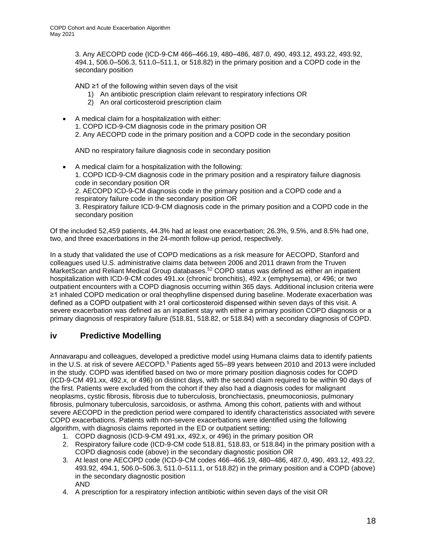3. Any AECOPD code (ICD-9-CM 466–466.19, 480–486, 487.0, 490, 493.12, 493.22, 493.92, 494.1, 506.0–506.3, 511.0–511.1, or 518.82) in the primary position and a COPD code in the secondary position

AND ≥1 of the following within seven days of the visit

- 1) An antibiotic prescription claim relevant to respiratory infections OR
- 2) An oral corticosteroid prescription claim
- A medical claim for a hospitalization with either: 1. COPD ICD-9-CM diagnosis code in the primary position OR 2. Any AECOPD code in the primary position and a COPD code in the secondary position

AND no respiratory failure diagnosis code in secondary position

• A medical claim for a hospitalization with the following: 1. COPD ICD-9-CM diagnosis code in the primary position and a respiratory failure diagnosis code in secondary position OR 2. AECOPD ICD-9-CM diagnosis code in the primary position and a COPD code and a respiratory failure code in the secondary position OR 3. Respiratory failure ICD-9-CM diagnosis code in the primary position and a COPD code in the secondary position

Of the included 52,459 patients, 44.3% had at least one exacerbation; 26.3%, 9.5%, and 8.5% had one, two, and three exacerbations in the 24-month follow-up period, respectively.

In a study that validated the use of COPD medications as a risk measure for AECOPD, Stanford and colleagues used U.S. administrative claims data between 2006 and 2011 drawn from the Truven MarketScan and Reliant Medical Group databases.<sup>52</sup> COPD status was defined as either an inpatient hospitalization with ICD-9-CM codes 491.xx (chronic bronchitis), 492.x (emphysema), or 496; or two outpatient encounters with a COPD diagnosis occurring within 365 days. Additional inclusion criteria were ≥1 inhaled COPD medication or oral theophylline dispensed during baseline. Moderate exacerbation was defined as a COPD outpatient with ≥1 oral corticosteroid dispensed within seven days of this visit. A severe exacerbation was defined as an inpatient stay with either a primary position COPD diagnosis or a primary diagnosis of respiratory failure (518.81, 518.82, or 518.84) with a secondary diagnosis of COPD.

#### **iv Predictive Modelling**

Annavarapu and colleagues, developed a predictive model using Humana claims data to identify patients in the U.S. at risk of severe AECOPD.<sup>5</sup> Patients aged 55–89 years between 2010 and 2013 were included in the study. COPD was identified based on two or more primary position diagnosis codes for COPD (ICD-9-CM 491.xx, 492.x, or 496) on distinct days, with the second claim required to be within 90 days of the first. Patients were excluded from the cohort if they also had a diagnosis codes for malignant neoplasms, cystic fibrosis, fibrosis due to tuberculosis, bronchiectasis, pneumoconiosis, pulmonary fibrosis, pulmonary tuberculosis, sarcoidosis, or asthma. Among this cohort, patients with and without severe AECOPD in the prediction period were compared to identify characteristics associated with severe COPD exacerbations. Patients with non-severe exacerbations were identified using the following algorithm, with diagnosis claims reported in the ED or outpatient setting:

- 1. COPD diagnosis (ICD-9-CM 491.xx, 492.x, or 496) in the primary position OR
- 2. Respiratory failure code (ICD-9-CM code 518.81, 518.83, or 518.84) in the primary position with a COPD diagnosis code (above) in the secondary diagnostic position OR
- 3. At least one AECOPD code (ICD-9-CM codes 466–466.19, 480–486, 487.0, 490, 493.12, 493.22, 493.92, 494.1, 506.0–506.3, 511.0–511.1, or 518.82) in the primary position and a COPD (above) in the secondary diagnostic position AND
- 4. A prescription for a respiratory infection antibiotic within seven days of the visit OR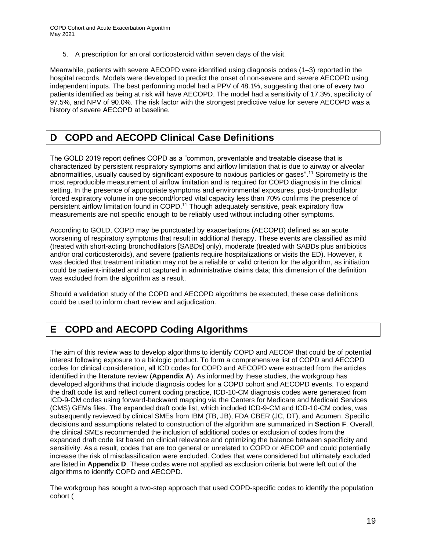5. A prescription for an oral corticosteroid within seven days of the visit.

Meanwhile, patients with severe AECOPD were identified using diagnosis codes (1–3) reported in the hospital records. Models were developed to predict the onset of non-severe and severe AECOPD using independent inputs. The best performing model had a PPV of 48.1%, suggesting that one of every two patients identified as being at risk will have AECOPD. The model had a sensitivity of 17.3%, specificity of 97.5%, and NPV of 90.0%. The risk factor with the strongest predictive value for severe AECOPD was a history of severe AECOPD at baseline.

## <span id="page-18-0"></span>**D COPD and AECOPD Clinical Case Definitions**

The GOLD 2019 report defines COPD as a "common, preventable and treatable disease that is characterized by persistent respiratory symptoms and airflow limitation that is due to airway or alveolar abnormalities, usually caused by significant exposure to noxious particles or gases". <sup>11</sup> Spirometry is the most reproducible measurement of airflow limitation and is required for COPD diagnosis in the clinical setting. In the presence of appropriate symptoms and environmental exposures, post-bronchodilator forced expiratory volume in one second/forced vital capacity less than 70% confirms the presence of persistent airflow limitation found in COPD.<sup>11</sup> Though adequately sensitive, peak expiratory flow measurements are not specific enough to be reliably used without including other symptoms.

According to GOLD, COPD may be punctuated by exacerbations (AECOPD) defined as an acute worsening of respiratory symptoms that result in additional therapy. These events are classified as mild (treated with short-acting bronchodilators [SABDs] only), moderate (treated with SABDs plus antibiotics and/or oral corticosteroids), and severe (patients require hospitalizations or visits the ED). However, it was decided that treatment initiation may not be a reliable or valid criterion for the algorithm, as initiation could be patient-initiated and not captured in administrative claims data; this dimension of the definition was excluded from the algorithm as a result.

Should a validation study of the COPD and AECOPD algorithms be executed, these case definitions could be used to inform chart review and adjudication.

## <span id="page-18-1"></span>**E COPD and AECOPD Coding Algorithms**

The aim of this review was to develop algorithms to identify COPD and AECOP that could be of potential interest following exposure to a biologic product. To form a comprehensive list of COPD and AECOPD codes for clinical consideration, all ICD codes for COPD and AECOPD were extracted from the articles identified in the literature review (**Appendix A**). As informed by these studies, the workgroup has developed algorithms that include diagnosis codes for a COPD cohort and AECOPD events. To expand the draft code list and reflect current coding practice, ICD-10-CM diagnosis codes were generated from ICD-9-CM codes using forward-backward mapping via the Centers for Medicare and Medicaid Services (CMS) GEMs files. The expanded draft code list, which included ICD-9-CM and ICD-10-CM codes, was subsequently reviewed by clinical SMEs from IBM (TB, JB), FDA CBER (JC, DT), and Acumen. Specific decisions and assumptions related to construction of the algorithm are summarized in **Section F**. Overall, the clinical SMEs recommended the inclusion of additional codes or exclusion of codes from the expanded draft code list based on clinical relevance and optimizing the balance between specificity and sensitivity. As a result, codes that are too general or unrelated to COPD or AECOP and could potentially increase the risk of misclassification were excluded. Codes that were considered but ultimately excluded are listed in **Appendix D**. These codes were not applied as exclusion criteria but were left out of the algorithms to identify COPD and AECOPD.

The workgroup has sought a two-step [approach that used COPD-specific codes to identify the population](#page-19-1)  cohort (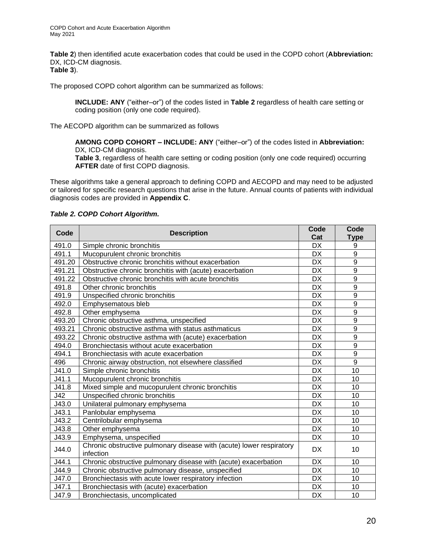**[Table](#page-19-1) 2**) then identified acute exacerbation codes that could be used in the COPD cohort (**[Abbreviation:](#page-20-2)** [DX, ICD-CM diagnosis.](#page-20-2) 

**[Table 3](#page-20-2)**).

The proposed COPD cohort algorithm can be summarized as follows:

**INCLUDE: ANY** ("either–or") of the codes listed in **[Table 2](#page-19-0)** regardless of health care setting or coding position (only one code required).

The AECOPD algorithm can be summarized as follows

**AMONG COPD COHORT – INCLUDE: ANY** ("either–or") of the codes listed in **[Abbreviation:](#page-20-2)** [DX, ICD-CM diagnosis.](#page-20-2) 

**[Table 3](#page-20-2)**, regardless of health care setting or coding position (only one code required) occurring **AFTER** date of first COPD diagnosis.

These algorithms take a general approach to defining COPD and AECOPD and may need to be adjusted or tailored for specific research questions that arise in the future. Annual counts of patients with individual diagnosis codes are provided in **Appendix C**.

<span id="page-19-1"></span><span id="page-19-0"></span>

|  |  | Table 2. COPD Cohort Algorithm. |
|--|--|---------------------------------|
|  |  |                                 |

| Code   | <b>Description</b>                                                                | Code<br>Cat | Code<br><b>Type</b> |
|--------|-----------------------------------------------------------------------------------|-------------|---------------------|
| 491.0  | Simple chronic bronchitis                                                         | <b>DX</b>   | 9                   |
| 491.1  | Mucopurulent chronic bronchitis                                                   | <b>DX</b>   | 9                   |
| 491.20 | Obstructive chronic bronchitis without exacerbation                               | <b>DX</b>   | $\overline{9}$      |
| 491.21 | Obstructive chronic bronchitis with (acute) exacerbation                          | <b>DX</b>   | $\overline{9}$      |
| 491.22 | Obstructive chronic bronchitis with acute bronchitis                              | <b>DX</b>   | 9                   |
| 491.8  | Other chronic bronchitis                                                          | <b>DX</b>   | 9                   |
| 491.9  | Unspecified chronic bronchitis                                                    | <b>DX</b>   | $\overline{9}$      |
| 492.0  | Emphysematous bleb                                                                | <b>DX</b>   | $\boldsymbol{9}$    |
| 492.8  | Other emphysema                                                                   | <b>DX</b>   | 9                   |
| 493.20 | Chronic obstructive asthma, unspecified                                           | <b>DX</b>   | 9                   |
| 493.21 | Chronic obstructive asthma with status asthmaticus                                | <b>DX</b>   | 9                   |
| 493.22 | Chronic obstructive asthma with (acute) exacerbation                              | <b>DX</b>   | 9                   |
| 494.0  | Bronchiectasis without acute exacerbation                                         | <b>DX</b>   | 9                   |
| 494.1  | Bronchiectasis with acute exacerbation                                            | <b>DX</b>   | $\overline{9}$      |
| 496    | Chronic airway obstruction, not elsewhere classified                              | <b>DX</b>   | $\overline{9}$      |
| J41.0  | Simple chronic bronchitis                                                         | <b>DX</b>   | 10                  |
| J41.1  | Mucopurulent chronic bronchitis                                                   | <b>DX</b>   | 10                  |
| J41.8  | Mixed simple and mucopurulent chronic bronchitis                                  | <b>DX</b>   | 10                  |
| J42    | Unspecified chronic bronchitis                                                    | <b>DX</b>   | 10                  |
| J43.0  | Unilateral pulmonary emphysema                                                    | <b>DX</b>   | 10                  |
| J43.1  | Panlobular emphysema                                                              | <b>DX</b>   | 10                  |
| J43.2  | Centrilobular emphysema                                                           | <b>DX</b>   | 10                  |
| J43.8  | Other emphysema                                                                   | <b>DX</b>   | 10                  |
| J43.9  | Emphysema, unspecified                                                            | <b>DX</b>   | 10                  |
| J44.0  | Chronic obstructive pulmonary disease with (acute) lower respiratory<br>infection | <b>DX</b>   | 10                  |
| J44.1  | Chronic obstructive pulmonary disease with (acute) exacerbation                   | <b>DX</b>   | 10                  |
| J44.9  | Chronic obstructive pulmonary disease, unspecified                                | <b>DX</b>   | 10                  |
| J47.0  | Bronchiectasis with acute lower respiratory infection                             | <b>DX</b>   | 10                  |
| J47.1  | Bronchiectasis with (acute) exacerbation                                          | <b>DX</b>   | 10                  |
| J47.9  | Bronchiectasis, uncomplicated                                                     | <b>DX</b>   | 10                  |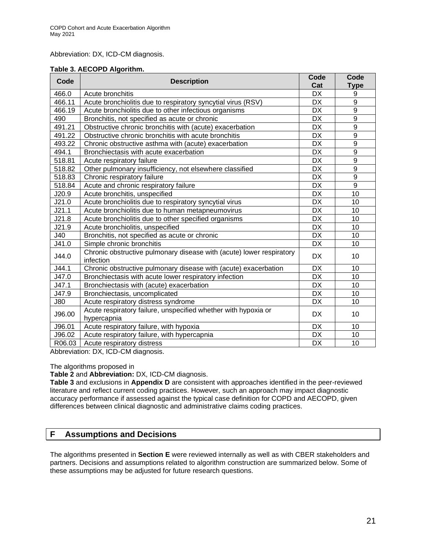#### <span id="page-20-2"></span>Abbreviation: DX, ICD-CM diagnosis.

#### <span id="page-20-1"></span>**Table 3. AECOPD Algorithm.**

| Code   | <b>Description</b>                                                                | Code<br>Cat     | Code<br><b>Type</b> |
|--------|-----------------------------------------------------------------------------------|-----------------|---------------------|
| 466.0  | Acute bronchitis                                                                  | <b>DX</b>       | 9                   |
| 466.11 | Acute bronchiolitis due to respiratory syncytial virus (RSV)                      | <b>DX</b>       | 9                   |
| 466.19 | Acute bronchiolitis due to other infectious organisms                             | <b>DX</b>       | $\overline{9}$      |
| 490    | Bronchitis, not specified as acute or chronic                                     | <b>DX</b>       | $\overline{9}$      |
| 491.21 | Obstructive chronic bronchitis with (acute) exacerbation                          | <b>DX</b>       | $\overline{9}$      |
| 491.22 | Obstructive chronic bronchitis with acute bronchitis                              | <b>DX</b>       | 9                   |
| 493.22 | Chronic obstructive asthma with (acute) exacerbation                              | <b>DX</b>       | 9                   |
| 494.1  | Bronchiectasis with acute exacerbation                                            | <b>DX</b>       | 9                   |
| 518.81 | Acute respiratory failure                                                         | <b>DX</b>       | 9                   |
| 518.82 | Other pulmonary insufficiency, not elsewhere classified                           | $\overline{DX}$ | $\overline{9}$      |
| 518.83 | Chronic respiratory failure                                                       | <b>DX</b>       | $\overline{9}$      |
| 518.84 | Acute and chronic respiratory failure                                             | <b>DX</b>       | 9                   |
| J20.9  | Acute bronchitis, unspecified                                                     | <b>DX</b>       | 10                  |
| J21.0  | Acute bronchiolitis due to respiratory syncytial virus                            | <b>DX</b>       | 10                  |
| J21.1  | Acute bronchiolitis due to human metapneumovirus                                  |                 | 10                  |
| J21.8  | Acute bronchiolitis due to other specified organisms                              |                 | 10                  |
| J21.9  | Acute bronchiolitis, unspecified                                                  |                 | 10                  |
| J40    | Bronchitis, not specified as acute or chronic                                     |                 | 10                  |
| J41.0  | Simple chronic bronchitis                                                         |                 | 10                  |
| J44.0  | Chronic obstructive pulmonary disease with (acute) lower respiratory<br>infection |                 | 10                  |
| J44.1  | Chronic obstructive pulmonary disease with (acute) exacerbation                   | <b>DX</b>       | 10                  |
| J47.0  | Bronchiectasis with acute lower respiratory infection                             | <b>DX</b>       | 10                  |
| J47.1  | Bronchiectasis with (acute) exacerbation                                          | <b>DX</b>       | 10                  |
| J47.9  | Bronchiectasis, uncomplicated                                                     | <b>DX</b>       | 10                  |
| J80    | Acute respiratory distress syndrome                                               |                 | 10                  |
| J96.00 | Acute respiratory failure, unspecified whether with hypoxia or<br>hypercapnia     |                 | 10                  |
| J96.01 | Acute respiratory failure, with hypoxia                                           |                 | 10                  |
| J96.02 | Acute respiratory failure, with hypercapnia                                       | <b>DX</b>       | 10                  |
| R06.03 | Acute respiratory distress                                                        | <b>DX</b>       | 10                  |

Abbreviation: DX, ICD-CM diagnosis.

#### The algorithms proposed in

**[Table](#page-19-1) 2** and **Abbreviation:** [DX, ICD-CM diagnosis.](#page-20-2) 

**[Table 3](#page-20-2)** and exclusions in **Appendix D** are consistent with approaches identified in the peer-reviewed literature and reflect current coding practices. However, such an approach may impact diagnostic accuracy performance if assessed against the typical case definition for COPD and AECOPD, given differences between clinical diagnostic and administrative claims coding practices.

#### <span id="page-20-0"></span>**F Assumptions and Decisions**

The algorithms presented in **Section E** were reviewed internally as well as with CBER stakeholders and partners. Decisions and assumptions related to algorithm construction are summarized below. Some of these assumptions may be adjusted for future research questions.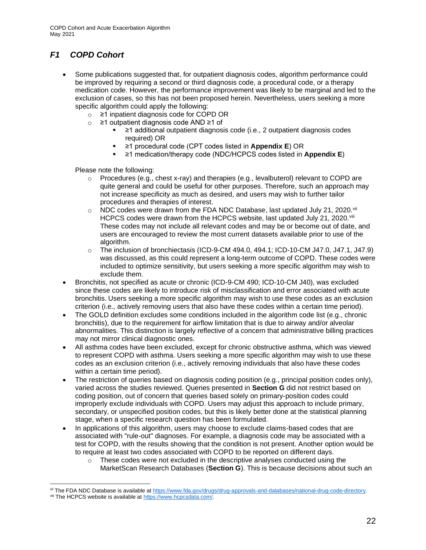## <span id="page-21-0"></span>*F1 COPD Cohort*

- Some publications suggested that, for outpatient diagnosis codes, algorithm performance could be improved by requiring a second or third diagnosis code, a procedural code, or a therapy medication code. However, the performance improvement was likely to be marginal and led to the exclusion of cases, so this has not been proposed herein. Nevertheless, users seeking a more specific algorithm could apply the following:
	- o ≥1 inpatient diagnosis code for COPD OR
	- o ≥1 outpatient diagnosis code AND ≥1 of
		- ≥1 additional outpatient diagnosis code (i.e., 2 outpatient diagnosis codes required) OR
		- ≥1 procedural code (CPT codes listed in **Appendix E**) OR
		- ≥1 medication/therapy code (NDC/HCPCS codes listed in **Appendix E**)

Please note the following:

- o Procedures (e.g., chest x-ray) and therapies (e.g., levalbuterol) relevant to COPD are quite general and could be useful for other purposes. Therefore, such an approach may not increase specificity as much as desired, and users may wish to further tailor procedures and therapies of interest.
- $\circ$  NDC codes were drawn from the FDA NDC Database, last updated July 21, 2020. Vii HCPCS codes were drawn from the HCPCS website, last updated July 21, 2020. Vili These codes may not include all relevant codes and may be or become out of date, and users are encouraged to review the most current datasets available prior to use of the algorithm.
- o The inclusion of bronchiectasis (ICD-9-CM 494.0, 494.1; ICD-10-CM J47.0, J47.1, J47.9) was discussed, as this could represent a long-term outcome of COPD. These codes were included to optimize sensitivity, but users seeking a more specific algorithm may wish to exclude them.
- Bronchitis, not specified as acute or chronic (ICD-9-CM 490; ICD-10-CM J40), was excluded since these codes are likely to introduce risk of misclassification and error associated with acute bronchitis. Users seeking a more specific algorithm may wish to use these codes as an exclusion criterion (i.e., actively removing users that also have these codes within a certain time period).
- The GOLD definition excludes some conditions included in the algorithm code list (e.g., chronic bronchitis), due to the requirement for airflow limitation that is due to airway and/or alveolar abnormalities. This distinction is largely reflective of a concern that administrative billing practices may not mirror clinical diagnostic ones.
- All asthma codes have been excluded, except for chronic obstructive asthma, which was viewed to represent COPD with asthma. Users seeking a more specific algorithm may wish to use these codes as an exclusion criterion (i.e., actively removing individuals that also have these codes within a certain time period).
- The restriction of queries based on diagnosis coding position (e.g., principal position codes only), varied across the studies reviewed. Queries presented in **Section G** did not restrict based on coding position, out of concern that queries based solely on primary-position codes could improperly exclude individuals with COPD. Users may adjust this approach to include primary, secondary, or unspecified position codes, but this is likely better done at the statistical planning stage, when a specific research question has been formulated.
- In applications of this algorithm, users may choose to exclude claims-based codes that are associated with "rule-out" diagnoses. For example, a diagnosis code may be associated with a test for COPD, with the results showing that the condition is not present. Another option would be to require at least two codes associated with COPD to be reported on different days.
	- $\circ$  These codes were not excluded in the descriptive analyses conducted using the MarketScan Research Databases (**Section G**). This is because decisions about such an

vii The FDA NDC Database is available at https://www.fda.gov/drugs/drug-approvals-and-databases/national-drug-code-directory.

viii The HCPCS website is available at [https://www.hcpcsdata.com/.](https://www.hcpcsdata.com/)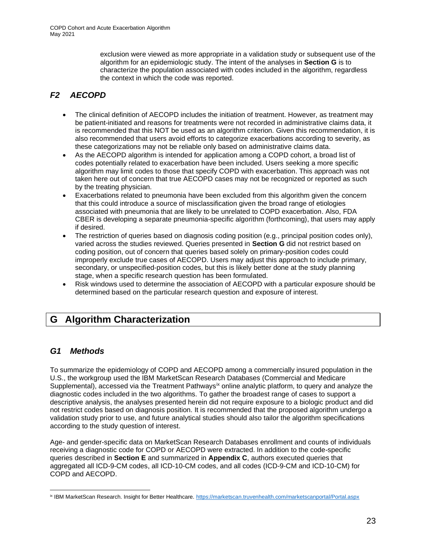exclusion were viewed as more appropriate in a validation study or subsequent use of the algorithm for an epidemiologic study. The intent of the analyses in **Section G** is to characterize the population associated with codes included in the algorithm, regardless the context in which the code was reported.

## <span id="page-22-0"></span>*F2 AECOPD*

- The clinical definition of AECOPD includes the initiation of treatment. However, as treatment may be patient-initiated and reasons for treatments were not recorded in administrative claims data, it is recommended that this NOT be used as an algorithm criterion. Given this recommendation, it is also recommended that users avoid efforts to categorize exacerbations according to severity, as these categorizations may not be reliable only based on administrative claims data.
- As the AECOPD algorithm is intended for application among a COPD cohort, a broad list of codes potentially related to exacerbation have been included. Users seeking a more specific algorithm may limit codes to those that specify COPD with exacerbation. This approach was not taken here out of concern that true AECOPD cases may not be recognized or reported as such by the treating physician.
- Exacerbations related to pneumonia have been excluded from this algorithm given the concern that this could introduce a source of misclassification given the broad range of etiologies associated with pneumonia that are likely to be unrelated to COPD exacerbation. Also, FDA CBER is developing a separate pneumonia-specific algorithm (forthcoming), that users may apply if desired.
- The restriction of queries based on diagnosis coding position (e.g., principal position codes only), varied across the studies reviewed. Queries presented in **Section G** did not restrict based on coding position, out of concern that queries based solely on primary-position codes could improperly exclude true cases of AECOPD. Users may adjust this approach to include primary, secondary, or unspecified-position codes, but this is likely better done at the study planning stage, when a specific research question has been formulated.
- Risk windows used to determine the association of AECOPD with a particular exposure should be determined based on the particular research question and exposure of interest.

## <span id="page-22-1"></span>**G Algorithm Characterization**

#### <span id="page-22-2"></span>*G1 Methods*

To summarize the epidemiology of COPD and AECOPD among a commercially insured population in the U.S., the workgroup used the IBM MarketScan Research Databases (Commercial and Medicare Supplemental), accessed via the Treatment Pathways<sup>ix</sup> online analytic platform, to query and analyze the diagnostic codes included in the two algorithms. To gather the broadest range of cases to support a descriptive analysis, the analyses presented herein did not require exposure to a biologic product and did not restrict codes based on diagnosis position. It is recommended that the proposed algorithm undergo a validation study prior to use, and future analytical studies should also tailor the algorithm specifications according to the study question of interest.

Age- and gender-specific data on MarketScan Research Databases enrollment and counts of individuals receiving a diagnostic code for COPD or AECOPD were extracted. In addition to the code-specific queries described in **Section E** and summarized in **Appendix C**, authors executed queries that aggregated all ICD-9-CM codes, all ICD-10-CM codes, and all codes (ICD-9-CM and ICD-10-CM) for COPD and AECOPD.

ix IBM MarketScan Research. Insight for Better Healthcare. <https://marketscan.truvenhealth.com/marketscanportal/Portal.aspx>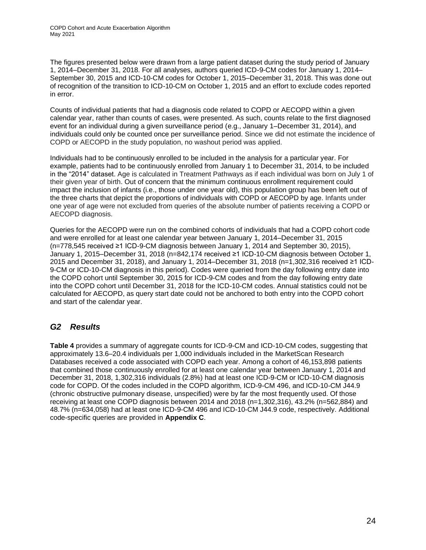The figures presented below were drawn from a large patient dataset during the study period of January 1, 2014–December 31, 2018. For all analyses, authors queried ICD-9-CM codes for January 1, 2014– September 30, 2015 and ICD-10-CM codes for October 1, 2015–December 31, 2018. This was done out of recognition of the transition to ICD-10-CM on October 1, 2015 and an effort to exclude codes reported in error.

Counts of individual patients that had a diagnosis code related to COPD or AECOPD within a given calendar year, rather than counts of cases, were presented. As such, counts relate to the first diagnosed event for an individual during a given surveillance period (e.g., January 1–December 31, 2014), and individuals could only be counted once per surveillance period. Since we did not estimate the incidence of COPD or AECOPD in the study population, no washout period was applied.

Individuals had to be continuously enrolled to be included in the analysis for a particular year. For example, patients had to be continuously enrolled from January 1 to December 31, 2014, to be included in the "2014" dataset. Age is calculated in Treatment Pathways as if each individual was born on July 1 of their given year of birth. Out of concern that the minimum continuous enrollment requirement could impact the inclusion of infants (i.e., those under one year old), this population group has been left out of the three charts that depict the proportions of individuals with COPD or AECOPD by age. Infants under one year of age were not excluded from queries of the absolute number of patients receiving a COPD or AECOPD diagnosis.

Queries for the AECOPD were run on the combined cohorts of individuals that had a COPD cohort code and were enrolled for at least one calendar year between January 1, 2014–December 31, 2015 (n=778,545 received ≥1 ICD-9-CM diagnosis between January 1, 2014 and September 30, 2015), January 1, 2015–December 31, 2018 (n=842,174 received ≥1 ICD-10-CM diagnosis between October 1, 2015 and December 31, 2018), and January 1, 2014–December 31, 2018 (n=1,302,316 received ≥1 ICD-9-CM or ICD-10-CM diagnosis in this period). Codes were queried from the day following entry date into the COPD cohort until September 30, 2015 for ICD-9-CM codes and from the day following entry date into the COPD cohort until December 31, 2018 for the ICD-10-CM codes. Annual statistics could not be calculated for AECOPD, as query start date could not be anchored to both entry into the COPD cohort and start of the calendar year.

#### <span id="page-23-0"></span>*G2 Results*

**[Table 4](#page-24-0)** provides a summary of aggregate counts for ICD-9-CM and ICD-10-CM codes, suggesting that approximately 13.6–20.4 individuals per 1,000 individuals included in the MarketScan Research Databases received a code associated with COPD each year. Among a cohort of 46,153,898 patients that combined those continuously enrolled for at least one calendar year between January 1, 2014 and December 31, 2018, 1,302,316 individuals (2.8%) had at least one ICD-9-CM or ICD-10-CM diagnosis code for COPD. Of the codes included in the COPD algorithm, ICD-9-CM 496, and ICD-10-CM J44.9 (chronic obstructive pulmonary disease, unspecified) were by far the most frequently used. Of those receiving at least one COPD diagnosis between 2014 and 2018 (n=1,302,316), 43.2% (n=562,884) and 48.7% (n=634,058) had at least one ICD-9-CM 496 and ICD-10-CM J44.9 code, respectively. Additional code-specific queries are provided in **Appendix C**.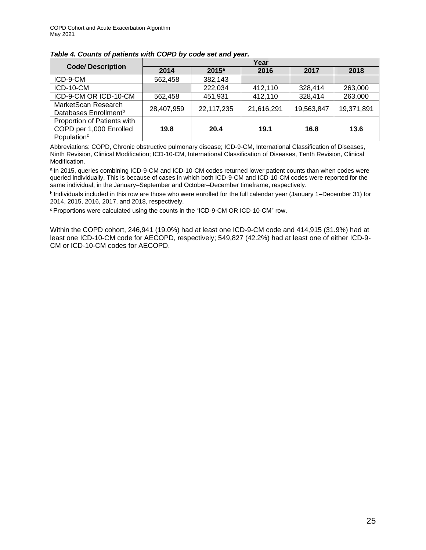<span id="page-24-0"></span>

|  | Table 4. Counts of patients with COPD by code set and year. |  |  |
|--|-------------------------------------------------------------|--|--|
|--|-------------------------------------------------------------|--|--|

|                                                                                   | Year       |                   |            |            |            |
|-----------------------------------------------------------------------------------|------------|-------------------|------------|------------|------------|
| <b>Code/ Description</b>                                                          | 2014       | 2015 <sup>a</sup> | 2016       | 2017       | 2018       |
| ICD-9-CM                                                                          | 562,458    | 382,143           |            |            |            |
| ICD-10-CM                                                                         |            | 222,034           | 412,110    | 328,414    | 263,000    |
| ICD-9-CM OR ICD-10-CM                                                             | 562,458    | 451,931           | 412,110    | 328,414    | 263,000    |
| MarketScan Research<br>Databases Enrollment <sup>b</sup>                          | 28,407,959 | 22,117,235        | 21,616,291 | 19,563,847 | 19,371,891 |
| Proportion of Patients with<br>COPD per 1,000 Enrolled<br>Population <sup>c</sup> | 19.8       | 20.4              | 19.1       | 16.8       | 13.6       |

Abbreviations: COPD, Chronic obstructive pulmonary disease; ICD-9-CM, International Classification of Diseases, Ninth Revision, Clinical Modification; ICD-10-CM, International Classification of Diseases, Tenth Revision, Clinical Modification.

a In 2015, queries combining ICD-9-CM and ICD-10-CM codes returned lower patient counts than when codes were queried individually. This is because of cases in which both ICD-9-CM and ICD-10-CM codes were reported for the same individual, in the January–September and October–December timeframe, respectively.

b Individuals included in this row are those who were enrolled for the full calendar year (January 1–December 31) for 2014, 2015, 2016, 2017, and 2018, respectively.

<sup>c</sup> Proportions were calculated using the counts in the "ICD-9-CM OR ICD-10-CM" row.

Within the COPD cohort, 246,941 (19.0%) had at least one ICD-9-CM code and 414,915 (31.9%) had at least one ICD-10-CM code for AECOPD, respectively; 549,827 (42.2%) had at least one of either ICD-9- CM or ICD-10-CM codes for AECOPD.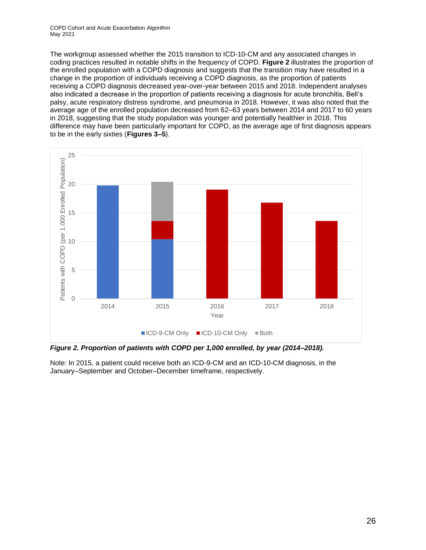The workgroup assessed whether the 2015 transition to ICD-10-CM and any associated changes in coding practices resulted in notable shifts in the frequency of COPD. **[Figure 2](#page-25-0)** illustrates the proportion of the enrolled population with a COPD diagnosis and suggests that the transition may have resulted in a change in the proportion of individuals receiving a COPD diagnosis, as the proportion of patients receiving a COPD diagnosis decreased year-over-year between 2015 and 2018. Independent analyses also indicated a decrease in the proportion of patients receiving a diagnosis for acute bronchitis, Bell's palsy, acute respiratory distress syndrome, and pneumonia in 2018. However, it was also noted that the average age of the enrolled population decreased from 62–63 years between 2014 and 2017 to 60 years in 2018, suggesting that the study population was younger and potentially healthier in 2018. This difference may have been particularly important for COPD, as the average age of first diagnosis appears to be in the early sixties (**Figures 3–5**).



<span id="page-25-0"></span>*Figure 2. Proportion of patients with COPD per 1,000 enrolled, by year (2014–2018).*

Note: In 2015, a patient could receive both an ICD-9-CM and an ICD-10-CM diagnosis, in the January–September and October–December timeframe, respectively.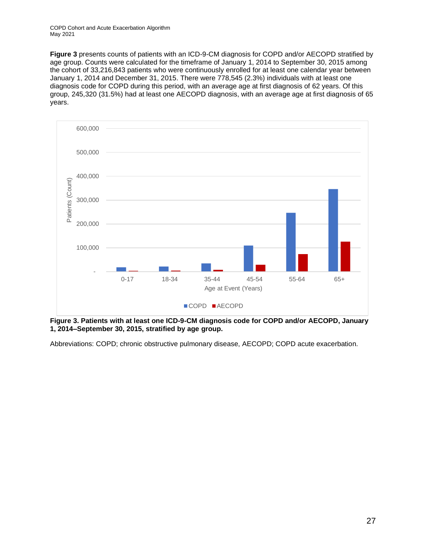<span id="page-26-0"></span>**Figure 3** presents counts of patients with an ICD-9-CM diagnosis for COPD and/or AECOPD stratified by age group. Counts were calculated for the timeframe of January 1, 2014 to September 30, 2015 among the cohort of 33,216,843 patients who were continuously enrolled for at least one calendar year between January 1, 2014 and December 31, 2015. There were 778,545 (2.3%) individuals with at least one diagnosis code for COPD during this period, with an average age at first diagnosis of 62 years. Of this group, 245,320 (31.5%) had at least one AECOPD diagnosis, with an average age at first diagnosis of 65 years.



**Figure 3. Patients with at least one ICD-9-CM diagnosis code for COPD and/or AECOPD, January 1, 2014–September 30, 2015, stratified by age group.**

Abbreviations: COPD; chronic obstructive pulmonary disease, AECOPD; COPD acute exacerbation.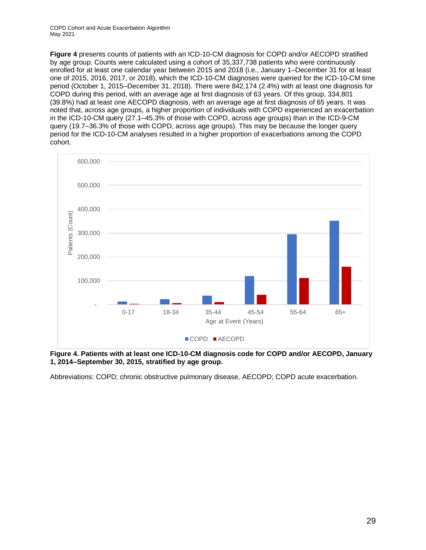**[Figure 4](#page-27-0)** presents counts of patients with an ICD-10-CM diagnosis for COPD and/or AECOPD stratified by age group. Counts were calculated using a cohort of 35,337,738 patients who were continuously enrolled for at least one calendar year between 2015 and 2018 (i.e., January 1–December 31 for at least one of 2015, 2016, 2017, or 2018), which the ICD-10-CM diagnoses were queried for the ICD-10-CM time period (October 1, 2015–December 31, 2018). There were 842,174 (2.4%) with at least one diagnosis for COPD during this period, with an average age at first diagnosis of 63 years. Of this group, 334,801 (39.8%) had at least one AECOPD diagnosis, with an average age at first diagnosis of 65 years. It was noted that, across age groups, a higher proportion of individuals with COPD experienced an exacerbation in the ICD-10-CM query (27.1–45.3% of those with COPD, across age groups) than in the ICD-9-CM query (19.7–36.3% of those with COPD, across age groups). This may be because the longer query period for the ICD-10-CM analyses resulted in a higher proportion of exacerbations among the COPD cohort.



<span id="page-27-0"></span>**Figure 4. Patients with at least one ICD-10-CM diagnosis code for COPD and/or AECOPD, January 1, 2014–September 30, 2015, stratified by age group.**

Abbreviations: COPD; chronic obstructive pulmonary disease, AECOPD; COPD acute exacerbation.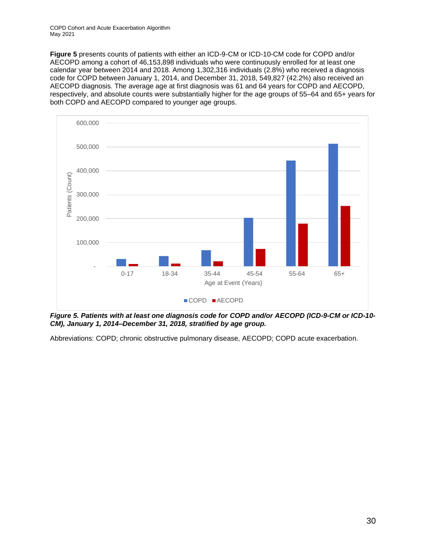**[Figure 5](#page-28-0)** presents counts of patients with either an ICD-9-CM or ICD-10-CM code for COPD and/or AECOPD among a cohort of 46,153,898 individuals who were continuously enrolled for at least one calendar year between 2014 and 2018. Among 1,302,316 individuals (2.8%) who received a diagnosis code for COPD between January 1, 2014, and December 31, 2018, 549,827 (42.2%) also received an AECOPD diagnosis. The average age at first diagnosis was 61 and 64 years for COPD and AECOPD, respectively, and absolute counts were substantially higher for the age groups of 55–64 and 65+ years for both COPD and AECOPD compared to younger age groups.



<span id="page-28-0"></span>*Figure 5. Patients with at least one diagnosis code for COPD and/or AECOPD (ICD-9-CM or ICD-10- CM), January 1, 2014–December 31, 2018, stratified by age group.*

Abbreviations: COPD; chronic obstructive pulmonary disease, AECOPD; COPD acute exacerbation.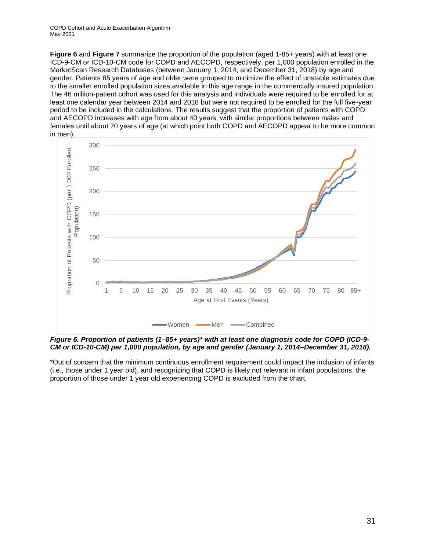**[Figure 6](#page-29-0)** and **[Figure 7](#page-30-0)** summarize the proportion of the population (aged 1-85+ years) with at least one ICD-9-CM or ICD-10-CM code for COPD and AECOPD, respectively, per 1,000 population enrolled in the MarketScan Research Databases (between January 1, 2014, and December 31, 2018) by age and gender. Patients 85 years of age and older were grouped to minimize the effect of unstable estimates due to the smaller enrolled population sizes available in this age range in the commercially insured population. The 46 million-patient cohort was used for this analysis and individuals were required to be enrolled for at least one calendar year between 2014 and 2018 but were not required to be enrolled for the full five-year period to be included in the calculations. The results suggest that the proportion of patients with COPD and AECOPD increases with age from about 40 years, with similar proportions between males and females until about 70 years of age (at which point both COPD and AECOPD appear to be more common in men).



<span id="page-29-0"></span>*Figure 6. Proportion of patients (1–85+ years)\* with at least one diagnosis code for COPD (ICD-9- CM or ICD-10-CM) per 1,000 population, by age and gender (January 1, 2014–December 31, 2018).*

\*Out of concern that the minimum continuous enrollment requirement could impact the inclusion of infants (i.e., those under 1 year old), and recognizing that COPD is likely not relevant in infant populations, the proportion of those under 1 year old experiencing COPD is excluded from the chart.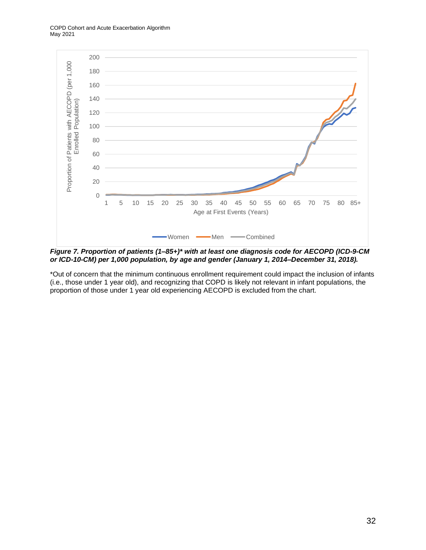

<span id="page-30-0"></span>*Figure 7. Proportion of patients (1–85+)\* with at least one diagnosis code for AECOPD (ICD-9-CM or ICD-10-CM) per 1,000 population, by age and gender (January 1, 2014–December 31, 2018).*

\*Out of concern that the minimum continuous enrollment requirement could impact the inclusion of infants (i.e., those under 1 year old), and recognizing that COPD is likely not relevant in infant populations, the proportion of those under 1 year old experiencing AECOPD is excluded from the chart.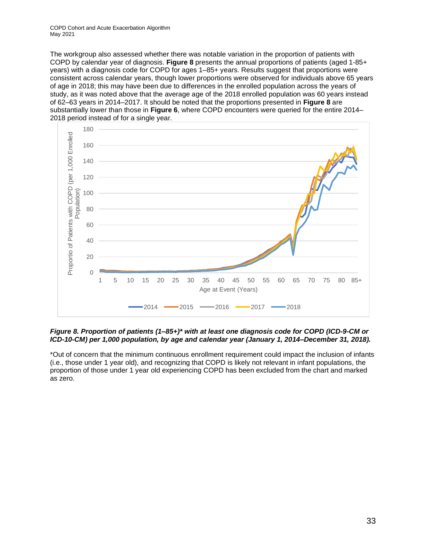The workgroup also assessed whether there was notable variation in the proportion of patients with COPD by calendar year of diagnosis. **[Figure 8](#page-31-0)** presents the annual proportions of patients (aged 1-85+ years) with a diagnosis code for COPD for ages 1–85+ years. Results suggest that proportions were consistent across calendar years, though lower proportions were observed for individuals above 65 years of age in 2018; this may have been due to differences in the enrolled population across the years of study, as it was noted above that the average age of the 2018 enrolled population was 60 years instead of 62–63 years in 2014–2017. It should be noted that the proportions presented in **[Figure 8](#page-31-0)** are substantially lower than those in **[Figure 6](#page-29-0)**, where COPD encounters were queried for the entire 2014– 2018 period instead of for a single year.



<span id="page-31-0"></span>*Figure 8. Proportion of patients (1–85+)\* with at least one diagnosis code for COPD (ICD-9-CM or ICD-10-CM) per 1,000 population, by age and calendar year (January 1, 2014–December 31, 2018).*

\*Out of concern that the minimum continuous enrollment requirement could impact the inclusion of infants (i.e., those under 1 year old), and recognizing that COPD is likely not relevant in infant populations, the proportion of those under 1 year old experiencing COPD has been excluded from the chart and marked as zero.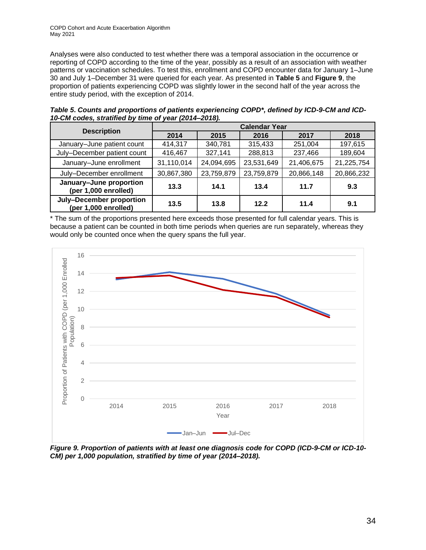Analyses were also conducted to test whether there was a temporal association in the occurrence or reporting of COPD according to the time of the year, possibly as a result of an association with weather patterns or vaccination schedules. To test this, enrollment and COPD encounter data for January 1–June 30 and July 1–December 31 were queried for each year. As presented in **[Table 5](#page-32-0)** and **[Figure 9](#page-32-1)**, the proportion of patients experiencing COPD was slightly lower in the second half of the year across the entire study period, with the exception of 2014.

<span id="page-32-0"></span>

|                                                      |  | Table 5. Counts and proportions of patients experiencing COPD*, defined by ICD-9-CM and ICD- |
|------------------------------------------------------|--|----------------------------------------------------------------------------------------------|
| 10-CM codes, stratified by time of year (2014–2018). |  |                                                                                              |

| <b>Description</b>                               | <b>Calendar Year</b> |            |            |            |            |
|--------------------------------------------------|----------------------|------------|------------|------------|------------|
|                                                  | 2014                 | 2015       | 2016       | 2017       | 2018       |
| January-June patient count                       | 414,317              | 340,781    | 315,433    | 251,004    | 197,615    |
| July-December patient count                      | 416,467              | 327,141    | 288,813    | 237,466    | 189,604    |
| January-June enrollment                          | 31,110,014           | 24,094,695 | 23,531,649 | 21,406,675 | 21,225,754 |
| July-December enrollment                         | 30,867,380           | 23,759,879 | 23,759,879 | 20,866,148 | 20,866,232 |
| January-June proportion<br>(per 1,000 enrolled)  | 13.3                 | 14.1       | 13.4       | 11.7       | 9.3        |
| July-December proportion<br>(per 1,000 enrolled) | 13.5                 | 13.8       | 12.2       | 11.4       | 9.1        |

\* The sum of the proportions presented here exceeds those presented for full calendar years. This is because a patient can be counted in both time periods when queries are run separately, whereas they would only be counted once when the query spans the full year.



<span id="page-32-1"></span>*Figure 9. Proportion of patients with at least one diagnosis code for COPD (ICD-9-CM or ICD-10- CM) per 1,000 population, stratified by time of year (2014–2018).*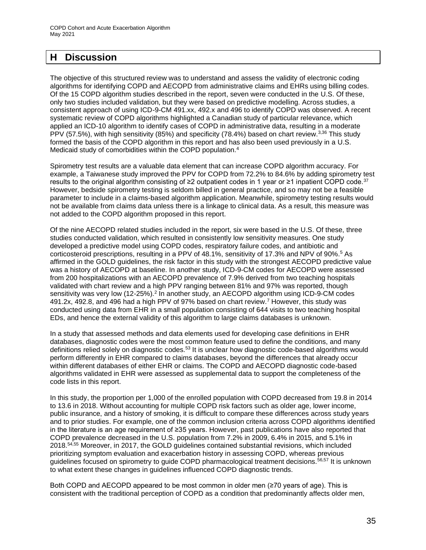## <span id="page-33-0"></span>**H Discussion**

The objective of this structured review was to understand and assess the validity of electronic coding algorithms for identifying COPD and AECOPD from administrative claims and EHRs using billing codes. Of the 15 COPD algorithm studies described in the report, seven were conducted in the U.S. Of these, only two studies included validation, but they were based on predictive modelling. Across studies, a consistent approach of using ICD-9-CM 491.xx, 492.x and 496 to identify COPD was observed. A recent systematic review of COPD algorithms highlighted a Canadian study of particular relevance, which applied an ICD-10 algorithm to identify cases of COPD in administrative data, resulting in a moderate PPV (57.5%), with high sensitivity (85%) and specificity (78.4%) based on chart review.<sup>3,36</sup> This study formed the basis of the COPD algorithm in this report and has also been used previously in a U.S. Medicaid study of comorbidities within the COPD population.<sup>4</sup>

Spirometry test results are a valuable data element that can increase COPD algorithm accuracy. For example, a Taiwanese study improved the PPV for COPD from 72.2% to 84.6% by adding spirometry test results to the original algorithm consisting of ≥2 outpatient codes in 1 year or ≥1 inpatient COPD code.<sup>37</sup> However, bedside spirometry testing is seldom billed in general practice, and so may not be a feasible parameter to include in a claims-based algorithm application. Meanwhile, spirometry testing results would not be available from claims data unless there is a linkage to clinical data. As a result, this measure was not added to the COPD algorithm proposed in this report.

Of the nine AECOPD related studies included in the report, six were based in the U.S. Of these, three studies conducted validation, which resulted in consistently low sensitivity measures. One study developed a predictive model using COPD codes, respiratory failure codes, and antibiotic and corticosteroid prescriptions, resulting in a PPV of 48.1%, sensitivity of 17.3% and NPV of 90%.<sup>5</sup> As affirmed in the GOLD guidelines, the risk factor in this study with the strongest AECOPD predictive value was a history of AECOPD at baseline. In another study, ICD-9-CM codes for AECOPD were assessed from 200 hospitalizations with an AECOPD prevalence of 7.9% derived from two teaching hospitals validated with chart review and a high PPV ranging between 81% and 97% was reported, though sensitivity was very low (12-25%).<sup>2</sup> In another study, an AECOPD algorithm using ICD-9-CM codes 491.2x, 492.8, and 496 had a high PPV of 97% based on chart review.<sup>7</sup> However, this study was conducted using data from EHR in a small population consisting of 644 visits to two teaching hospital EDs, and hence the external validity of this algorithm to large claims databases is unknown.

In a study that assessed methods and data elements used for developing case definitions in EHR databases, diagnostic codes were the most common feature used to define the conditions, and many definitions relied solely on diagnostic codes.<sup>53</sup> It is unclear how diagnostic code-based algorithms would perform differently in EHR compared to claims databases, beyond the differences that already occur within different databases of either EHR or claims. The COPD and AECOPD diagnostic code-based algorithms validated in EHR were assessed as supplemental data to support the completeness of the code lists in this report.

In this study, the proportion per 1,000 of the enrolled population with COPD decreased from 19.8 in 2014 to 13.6 in 2018. Without accounting for multiple COPD risk factors such as older age, lower income, public insurance, and a history of smoking, it is difficult to compare these differences across study years and to prior studies. For example, one of the common inclusion criteria across COPD algorithms identified in the literature is an age requirement of ≥35 years. However, past publications have also reported that COPD prevalence decreased in the U.S. population from 7.2% in 2009, 6.4% in 2015, and 5.1% in 2018.54,55 Moreover, in 2017, the GOLD guidelines contained substantial revisions, which included prioritizing symptom evaluation and exacerbation history in assessing COPD, whereas previous guidelines focused on spirometry to guide COPD pharmacological treatment decisions.<sup>56,57</sup> It is unknown to what extent these changes in guidelines influenced COPD diagnostic trends.

Both COPD and AECOPD appeared to be most common in older men (≥70 years of age). This is consistent with the traditional perception of COPD as a condition that predominantly affects older men,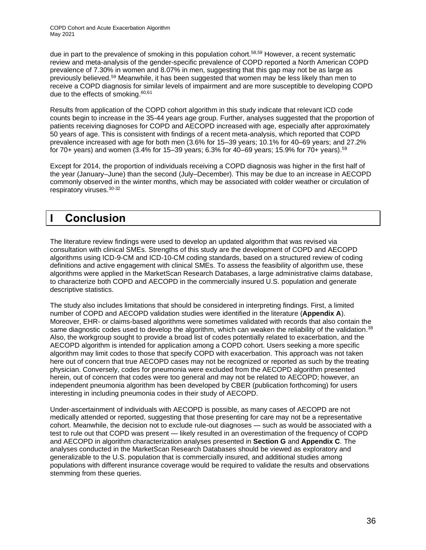due in part to the prevalence of smoking in this population cohort.<sup>58,59</sup> However, a recent systematic review and meta-analysis of the gender-specific prevalence of COPD reported a North American COPD prevalence of 7.30% in women and 8.07% in men, suggesting that this gap may not be as large as previously believed.<sup>59</sup> Meanwhile, it has been suggested that women may be less likely than men to receive a COPD diagnosis for similar levels of impairment and are more susceptible to developing COPD due to the effects of smoking.<sup>60,61</sup>

Results from application of the COPD cohort algorithm in this study indicate that relevant ICD code counts begin to increase in the 35-44 years age group. Further, analyses suggested that the proportion of patients receiving diagnoses for COPD and AECOPD increased with age, especially after approximately 50 years of age. This is consistent with findings of a recent meta-analysis, which reported that COPD prevalence increased with age for both men (3.6% for 15–39 years; 10.1% for 40–69 years; and 27.2% for 70+ years) and women  $(3.4\%$  for 15–39 years; 6.3% for 40–69 years; 15.9% for 70+ years).<sup>59</sup>

Except for 2014, the proportion of individuals receiving a COPD diagnosis was higher in the first half of the year (January–June) than the second (July–December). This may be due to an increase in AECOPD commonly observed in the winter months, which may be associated with colder weather or circulation of respiratory viruses.30-32

# <span id="page-34-0"></span>**I Conclusion**

The literature review findings were used to develop an updated algorithm that was revised via consultation with clinical SMEs. Strengths of this study are the development of COPD and AECOPD algorithms using ICD-9-CM and ICD-10-CM coding standards, based on a structured review of coding definitions and active engagement with clinical SMEs. To assess the feasibility of algorithm use, these algorithms were applied in the MarketScan Research Databases, a large administrative claims database, to characterize both COPD and AECOPD in the commercially insured U.S. population and generate descriptive statistics.

The study also includes limitations that should be considered in interpreting findings. First, a limited number of COPD and AECOPD validation studies were identified in the literature (**Appendix A**). Moreover, EHR- or claims-based algorithms were sometimes validated with records that also contain the same diagnostic codes used to develop the algorithm, which can weaken the reliability of the validation.<sup>38</sup> Also, the workgroup sought to provide a broad list of codes potentially related to exacerbation, and the AECOPD algorithm is intended for application among a COPD cohort. Users seeking a more specific algorithm may limit codes to those that specify COPD with exacerbation. This approach was not taken here out of concern that true AECOPD cases may not be recognized or reported as such by the treating physician. Conversely, codes for pneumonia were excluded from the AECOPD algorithm presented herein, out of concern that codes were too general and may not be related to AECOPD; however, an independent pneumonia algorithm has been developed by CBER (publication forthcoming) for users interesting in including pneumonia codes in their study of AECOPD.

Under-ascertainment of individuals with AECOPD is possible, as many cases of AECOPD are not medically attended or reported, suggesting that those presenting for care may not be a representative cohort. Meanwhile, the decision not to exclude rule-out diagnoses — such as would be associated with a test to rule out that COPD was present — likely resulted in an overestimation of the frequency of COPD and AECOPD in algorithm characterization analyses presented in **Section G** and **Appendix C**. The analyses conducted in the MarketScan Research Databases should be viewed as exploratory and generalizable to the U.S. population that is commercially insured, and additional studies among populations with different insurance coverage would be required to validate the results and observations stemming from these queries.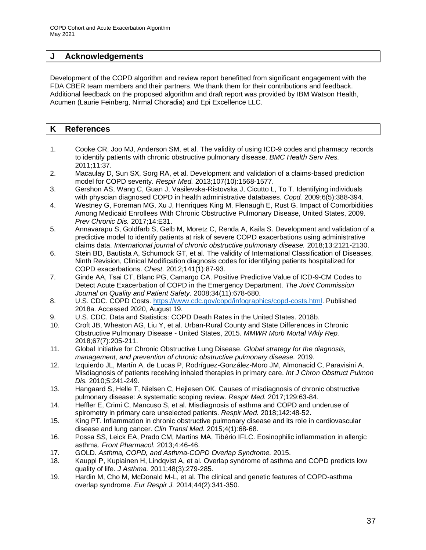#### <span id="page-35-0"></span>**J Acknowledgements**

Development of the COPD algorithm and review report benefitted from significant engagement with the FDA CBER team members and their partners. We thank them for their contributions and feedback. Additional feedback on the proposed algorithm and draft report was provided by IBM Watson Health, Acumen (Laurie Feinberg, Nirmal Choradia) and Epi Excellence LLC.

#### <span id="page-35-1"></span>**K References**

- 1. Cooke CR, Joo MJ, Anderson SM, et al. The validity of using ICD-9 codes and pharmacy records to identify patients with chronic obstructive pulmonary disease. *BMC Health Serv Res.*  2011;11:37.
- 2. Macaulay D, Sun SX, Sorg RA, et al. Development and validation of a claims-based prediction model for COPD severity. *Respir Med.* 2013;107(10):1568-1577.
- 3. Gershon AS, Wang C, Guan J, Vasilevska-Ristovska J, Cicutto L, To T. Identifying individuals with physcian diagnosed COPD in health administrative databases. *Copd.* 2009;6(5):388-394.
- 4. Westney G, Foreman MG, Xu J, Henriques King M, Flenaugh E, Rust G. Impact of Comorbidities Among Medicaid Enrollees With Chronic Obstructive Pulmonary Disease, United States, 2009. *Prev Chronic Dis.* 2017;14:E31.
- 5. Annavarapu S, Goldfarb S, Gelb M, Moretz C, Renda A, Kaila S. Development and validation of a predictive model to identify patients at risk of severe COPD exacerbations using administrative claims data. *International journal of chronic obstructive pulmonary disease.* 2018;13:2121-2130.
- 6. Stein BD, Bautista A, Schumock GT, et al. The validity of International Classification of Diseases, Ninth Revision, Clinical Modification diagnosis codes for identifying patients hospitalized for COPD exacerbations. *Chest.* 2012;141(1):87-93.
- 7. Ginde AA, Tsai CT, Blanc PG, Camargo CA. Positive Predictive Value of ICD-9-CM Codes to Detect Acute Exacerbation of COPD in the Emergency Department. *The Joint Commission Journal on Quality and Patient Safety.* 2008;34(11):678-680.
- 8. U.S. CDC. COPD Costs. [https://www.cdc.gov/copd/infographics/copd-costs.html.](https://www.cdc.gov/copd/infographics/copd-costs.html) Published 2018a. Accessed 2020, August 19.
- 9. U.S. CDC. Data and Statistics: COPD Death Rates in the United States. 2018b.
- 10. Croft JB, Wheaton AG, Liu Y, et al. Urban-Rural County and State Differences in Chronic Obstructive Pulmonary Disease - United States, 2015. *MMWR Morb Mortal Wkly Rep.*  2018;67(7):205-211.
- 11. Global Initiative for Chronic Obstructive Lung Disease. *Global strategy for the diagnosis, management, and prevention of chronic obstructive pulmonary disease.* 2019.
- 12. Izquierdo JL, Martín A, de Lucas P, Rodríguez-González-Moro JM, Almonacid C, Paravisini A. Misdiagnosis of patients receiving inhaled therapies in primary care. *Int J Chron Obstruct Pulmon Dis.* 2010;5:241-249.
- 13. Hangaard S, Helle T, Nielsen C, Hejlesen OK. Causes of misdiagnosis of chronic obstructive pulmonary disease: A systematic scoping review. *Respir Med.* 2017;129:63-84.
- 14. Heffler E, Crimi C, Mancuso S, et al. Misdiagnosis of asthma and COPD and underuse of spirometry in primary care unselected patients. *Respir Med.* 2018;142:48-52.
- 15. King PT. Inflammation in chronic obstructive pulmonary disease and its role in cardiovascular disease and lung cancer. *Clin Transl Med.* 2015;4(1):68-68.
- 16. Possa SS, Leick EA, Prado CM, Martins MA, Tibério IFLC. Eosinophilic inflammation in allergic asthma. *Front Pharmacol.* 2013;4:46-46.
- 17. GOLD. *Asthma, COPD, and Asthma-COPD Overlap Syndrome.* 2015.
- 18. Kauppi P, Kupiainen H, Lindqvist A, et al. Overlap syndrome of asthma and COPD predicts low quality of life. *J Asthma.* 2011;48(3):279-285.
- 19. Hardin M, Cho M, McDonald M-L, et al. The clinical and genetic features of COPD-asthma overlap syndrome. *Eur Respir J.* 2014;44(2):341-350.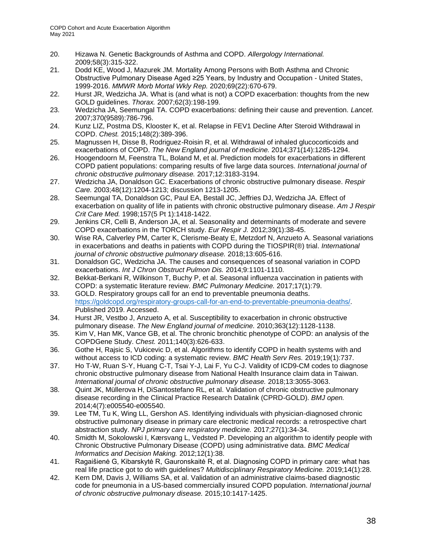- 20. Hizawa N. Genetic Backgrounds of Asthma and COPD. *Allergology International.*  2009;58(3):315-322.
- 21. Dodd KE, Wood J, Mazurek JM. Mortality Among Persons with Both Asthma and Chronic Obstructive Pulmonary Disease Aged ≥25 Years, by Industry and Occupation - United States, 1999-2016. *MMWR Morb Mortal Wkly Rep.* 2020;69(22):670-679.
- 22. Hurst JR, Wedzicha JA. What is (and what is not) a COPD exacerbation: thoughts from the new GOLD guidelines. *Thorax.* 2007;62(3):198-199.
- 23. Wedzicha JA, Seemungal TA. COPD exacerbations: defining their cause and prevention. *Lancet.*  2007;370(9589):786-796.
- 24. Kunz LIZ, Postma DS, Klooster K, et al. Relapse in FEV1 Decline After Steroid Withdrawal in COPD. *Chest.* 2015;148(2):389-396.
- 25. Magnussen H, Disse B, Rodriguez-Roisin R, et al. Withdrawal of inhaled glucocorticoids and exacerbations of COPD. *The New England journal of medicine.* 2014;371(14):1285-1294.
- 26. Hoogendoorn M, Feenstra TL, Boland M, et al. Prediction models for exacerbations in different COPD patient populations: comparing results of five large data sources. *International journal of chronic obstructive pulmonary disease.* 2017;12:3183-3194.
- 27. Wedzicha JA, Donaldson GC. Exacerbations of chronic obstructive pulmonary disease. *Respir Care.* 2003;48(12):1204-1213; discussion 1213-1205.
- 28. Seemungal TA, Donaldson GC, Paul EA, Bestall JC, Jeffries DJ, Wedzicha JA. Effect of exacerbation on quality of life in patients with chronic obstructive pulmonary disease. *Am J Respir Crit Care Med.* 1998;157(5 Pt 1):1418-1422.
- 29. Jenkins CR, Celli B, Anderson JA, et al. Seasonality and determinants of moderate and severe COPD exacerbations in the TORCH study. *Eur Respir J.* 2012;39(1):38-45.
- 30. Wise RA, Calverley PM, Carter K, Clerisme-Beaty E, Metzdorf N, Anzueto A. Seasonal variations in exacerbations and deaths in patients with COPD during the TIOSPIR(®) trial. *International journal of chronic obstructive pulmonary disease.* 2018;13:605-616.
- 31. Donaldson GC, Wedzicha JA. The causes and consequences of seasonal variation in COPD exacerbations. *Int J Chron Obstruct Pulmon Dis.* 2014;9:1101-1110.
- 32. Bekkat-Berkani R, Wilkinson T, Buchy P, et al. Seasonal influenza vaccination in patients with COPD: a systematic literature review. *BMC Pulmonary Medicine.* 2017;17(1):79.
- 33. GOLD. Respiratory groups call for an end to preventable pneumonia deaths. [https://goldcopd.org/respiratory-groups-call-for-an-end-to-preventable-pneumonia-deaths/.](https://goldcopd.org/respiratory-groups-call-for-an-end-to-preventable-pneumonia-deaths/) Published 2019. Accessed.
- 34. Hurst JR, Vestbo J, Anzueto A, et al. Susceptibility to exacerbation in chronic obstructive pulmonary disease. *The New England journal of medicine.* 2010;363(12):1128-1138.
- 35. Kim V, Han MK, Vance GB, et al. The chronic bronchitic phenotype of COPD: an analysis of the COPDGene Study. *Chest.* 2011;140(3):626-633.
- 36. Gothe H, Rajsic S, Vukicevic D, et al. Algorithms to identify COPD in health systems with and without access to ICD coding: a systematic review. *BMC Health Serv Res.* 2019;19(1):737.
- 37. Ho T-W, Ruan S-Y, Huang C-T, Tsai Y-J, Lai F, Yu C-J. Validity of ICD9-CM codes to diagnose chronic obstructive pulmonary disease from National Health Insurance claim data in Taiwan. *International journal of chronic obstructive pulmonary disease.* 2018;13:3055-3063.
- 38. Quint JK, Müllerova H, DiSantostefano RL, et al. Validation of chronic obstructive pulmonary disease recording in the Clinical Practice Research Datalink (CPRD-GOLD). *BMJ open.*  2014;4(7):e005540-e005540.
- 39. Lee TM, Tu K, Wing LL, Gershon AS. Identifying individuals with physician-diagnosed chronic obstructive pulmonary disease in primary care electronic medical records: a retrospective chart abstraction study. *NPJ primary care respiratory medicine.* 2017;27(1):34-34.
- 40. Smidth M, Sokolowski I, Kærsvang L, Vedsted P. Developing an algorithm to identify people with Chronic Obstructive Pulmonary Disease (COPD) using administrative data. *BMC Medical Informatics and Decision Making.* 2012;12(1):38.
- 41. Ragaišienė G, Kibarskytė R, Gauronskaitė R, et al. Diagnosing COPD in primary care: what has real life practice got to do with guidelines? *Multidisciplinary Respiratory Medicine.* 2019;14(1):28.
- 42. Kern DM, Davis J, Williams SA, et al. Validation of an administrative claims-based diagnostic code for pneumonia in a US-based commercially insured COPD population. *International journal of chronic obstructive pulmonary disease.* 2015;10:1417-1425.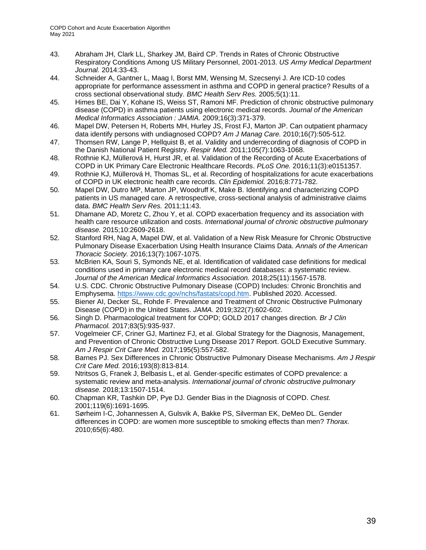- 43. Abraham JH, Clark LL, Sharkey JM, Baird CP. Trends in Rates of Chronic Obstructive Respiratory Conditions Among US Military Personnel, 2001-2013. *US Army Medical Department Journal.* 2014:33-43.
- 44. Schneider A, Gantner L, Maag I, Borst MM, Wensing M, Szecsenyi J. Are ICD-10 codes appropriate for performance assessment in asthma and COPD in general practice? Results of a cross sectional observational study. *BMC Health Serv Res.* 2005;5(1):11.
- 45. Himes BE, Dai Y, Kohane IS, Weiss ST, Ramoni MF. Prediction of chronic obstructive pulmonary disease (COPD) in asthma patients using electronic medical records. *Journal of the American Medical Informatics Association : JAMIA.* 2009;16(3):371-379.
- 46. Mapel DW, Petersen H, Roberts MH, Hurley JS, Frost FJ, Marton JP. Can outpatient pharmacy data identify persons with undiagnosed COPD? *Am J Manag Care.* 2010;16(7):505-512.
- 47. Thomsen RW, Lange P, Hellquist B, et al. Validity and underrecording of diagnosis of COPD in the Danish National Patient Registry. *Respir Med.* 2011;105(7):1063-1068.
- 48. Rothnie KJ, Müllerová H, Hurst JR, et al. Validation of the Recording of Acute Exacerbations of COPD in UK Primary Care Electronic Healthcare Records. *PLoS One.* 2016;11(3):e0151357.
- 49. Rothnie KJ, Müllerová H, Thomas SL, et al. Recording of hospitalizations for acute exacerbations of COPD in UK electronic health care records. *Clin Epidemiol.* 2016;8:771-782.
- 50. Mapel DW, Dutro MP, Marton JP, Woodruff K, Make B. Identifying and characterizing COPD patients in US managed care. A retrospective, cross-sectional analysis of administrative claims data. *BMC Health Serv Res.* 2011;11:43.
- 51. Dhamane AD, Moretz C, Zhou Y, et al. COPD exacerbation frequency and its association with health care resource utilization and costs. *International journal of chronic obstructive pulmonary disease.* 2015;10:2609-2618.
- 52. Stanford RH, Nag A, Mapel DW, et al. Validation of a New Risk Measure for Chronic Obstructive Pulmonary Disease Exacerbation Using Health Insurance Claims Data. *Annals of the American Thoracic Society.* 2016;13(7):1067-1075.
- 53. McBrien KA, Souri S, Symonds NE, et al. Identification of validated case definitions for medical conditions used in primary care electronic medical record databases: a systematic review. *Journal of the American Medical Informatics Association.* 2018;25(11):1567-1578.
- 54. U.S. CDC. Chronic Obstructive Pulmonary Disease (COPD) Includes: Chronic Bronchitis and Emphysema. [https://www.cdc.gov/nchs/fastats/copd.htm.](https://www.cdc.gov/nchs/fastats/copd.htm) Published 2020. Accessed.
- 55. Biener AI, Decker SL, Rohde F. Prevalence and Treatment of Chronic Obstructive Pulmonary Disease (COPD) in the United States. *JAMA.* 2019;322(7):602-602.
- 56. Singh D. Pharmacological treatment for COPD; GOLD 2017 changes direction. *Br J Clin Pharmacol.* 2017;83(5):935-937.
- 57. Vogelmeier CF, Criner GJ, Martinez FJ, et al. Global Strategy for the Diagnosis, Management, and Prevention of Chronic Obstructive Lung Disease 2017 Report. GOLD Executive Summary. *Am J Respir Crit Care Med.* 2017;195(5):557-582.
- 58. Barnes PJ. Sex Differences in Chronic Obstructive Pulmonary Disease Mechanisms. *Am J Respir Crit Care Med.* 2016;193(8):813-814.
- 59. Ntritsos G, Franek J, Belbasis L, et al. Gender-specific estimates of COPD prevalence: a systematic review and meta-analysis. *International journal of chronic obstructive pulmonary disease.* 2018;13:1507-1514.
- 60. Chapman KR, Tashkin DP, Pye DJ. Gender Bias in the Diagnosis of COPD. *Chest.*  2001;119(6):1691-1695.
- 61. Sørheim I-C, Johannessen A, Gulsvik A, Bakke PS, Silverman EK, DeMeo DL. Gender differences in COPD: are women more susceptible to smoking effects than men? *Thorax.*  2010;65(6):480.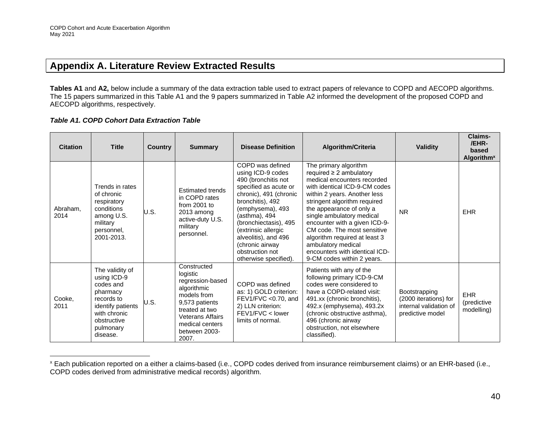## **Appendix A. Literature Review Extracted Results**

**Tables A1** and **A2,** below include a summary of the data extraction table used to extract papers of relevance to COPD and AECOPD algorithms. The 15 papers summarized in this Table A1 and the 9 papers summarized in Table A2 informed the development of the proposed COPD and AECOPD algorithms, respectively.

#### *Table A1. COPD Cohort Data Extraction Table*

| <b>Citation</b>  | <b>Title</b>                                                                                                                                       | <b>Country</b> | <b>Summary</b>                                                                                                                                                                        | <b>Disease Definition</b>                                                                                                                                                                                                                                                                                       | Algorithm/Criteria                                                                                                                                                                                                                                                                                                                                                                                                                    | <b>Validity</b>                                                                      | <b>Claims-</b><br>/EHR-<br>based<br>Algorithm <sup>x</sup> |
|------------------|----------------------------------------------------------------------------------------------------------------------------------------------------|----------------|---------------------------------------------------------------------------------------------------------------------------------------------------------------------------------------|-----------------------------------------------------------------------------------------------------------------------------------------------------------------------------------------------------------------------------------------------------------------------------------------------------------------|---------------------------------------------------------------------------------------------------------------------------------------------------------------------------------------------------------------------------------------------------------------------------------------------------------------------------------------------------------------------------------------------------------------------------------------|--------------------------------------------------------------------------------------|------------------------------------------------------------|
| Abraham,<br>2014 | Trends in rates<br>of chronic<br>respiratory<br>conditions<br>among U.S.<br>military<br>personnel,<br>2001-2013.                                   | U.S.           | <b>Estimated trends</b><br>in COPD rates<br>from $2001$ to<br>2013 among<br>active-duty U.S.<br>military<br>personnel.                                                                | COPD was defined<br>using ICD-9 codes<br>490 (bronchitis not<br>specified as acute or<br>chronic), 491 (chronic<br>bronchitis), 492<br>(emphysema), 493<br>(asthma), 494<br>(bronchiectasis), 495<br>(extrinsic allergic<br>alveolitis), and 496<br>(chronic airway<br>obstruction not<br>otherwise specified). | The primary algorithm<br>required $\geq 2$ ambulatory<br>medical encounters recorded<br>with identical ICD-9-CM codes<br>within 2 years. Another less<br>stringent algorithm required<br>the appearance of only a<br>single ambulatory medical<br>encounter with a given ICD-9-<br>CM code. The most sensitive<br>algorithm required at least 3<br>ambulatory medical<br>encounters with identical ICD-<br>9-CM codes within 2 years. | <b>NR</b>                                                                            | <b>EHR</b>                                                 |
| Cooke,<br>2011   | The validity of<br>using ICD-9<br>codes and<br>pharmacy<br>records to<br>identify patients<br>with chronic<br>obstructive<br>pulmonary<br>disease. | U.S.           | Constructed<br>logistic<br>regression-based<br>algorithmic<br>models from<br>9,573 patients<br>treated at two<br><b>Veterans Affairs</b><br>medical centers<br>between 2003-<br>2007. | COPD was defined<br>as: 1) GOLD criterion:<br>FEV1/FVC < 0.70, and<br>2) LLN criterion:<br>FEV1/FVC < lower<br>limits of normal.                                                                                                                                                                                | Patients with any of the<br>following primary ICD-9-CM<br>codes were considered to<br>have a COPD-related visit:<br>491.xx (chronic bronchitis),<br>492.x (emphysema), 493.2x<br>(chronic obstructive asthma),<br>496 (chronic airway<br>obstruction, not elsewhere<br>classified).                                                                                                                                                   | Bootstrapping<br>(2000 iterations) for<br>internal validation of<br>predictive model | <b>EHR</b><br>(predictive<br>modelling)                    |

<sup>x</sup> Each publication reported on a either a claims-based (i.e., COPD codes derived from insurance reimbursement claims) or an EHR-based (i.e., COPD codes derived from administrative medical records) algorithm.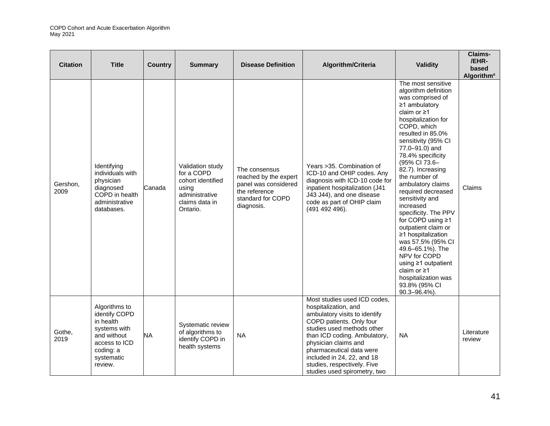| <b>Citation</b>  | <b>Title</b>                                                                                                                      | <b>Country</b> | <b>Summary</b>                                                                                               | <b>Disease Definition</b>                                                                                          | Algorithm/Criteria                                                                                                                                                                                                                                                                                                               | <b>Validity</b>                                                                                                                                                                                                                                                                                                                                                                                                                                                                                                                                                                                                              | Claims-<br>/EHR-<br>based<br><b>Algorithm<sup>x</sup></b> |
|------------------|-----------------------------------------------------------------------------------------------------------------------------------|----------------|--------------------------------------------------------------------------------------------------------------|--------------------------------------------------------------------------------------------------------------------|----------------------------------------------------------------------------------------------------------------------------------------------------------------------------------------------------------------------------------------------------------------------------------------------------------------------------------|------------------------------------------------------------------------------------------------------------------------------------------------------------------------------------------------------------------------------------------------------------------------------------------------------------------------------------------------------------------------------------------------------------------------------------------------------------------------------------------------------------------------------------------------------------------------------------------------------------------------------|-----------------------------------------------------------|
| Gershon,<br>2009 | Identifying<br>individuals with<br>physician<br>diagnosed<br>COPD in health<br>administrative<br>databases.                       | Canada         | Validation study<br>for a COPD<br>cohort identified<br>using<br>administrative<br>claims data in<br>Ontario. | The consensus<br>reached by the expert<br>panel was considered<br>the reference<br>standard for COPD<br>diagnosis. | Years >35. Combination of<br>ICD-10 and OHIP codes. Any<br>diagnosis with ICD-10 code for<br>inpatient hospitalization (J41<br>J43 J44), and one disease<br>code as part of OHIP claim<br>(491 492 496).                                                                                                                         | The most sensitive<br>algorithm definition<br>was comprised of<br>$\geq$ 1 ambulatory<br>claim or $\geq$ 1<br>hospitalization for<br>COPD, which<br>resulted in 85.0%<br>sensitivity (95% CI<br>77.0-91.0) and<br>78.4% specificity<br>(95% CI 73.6-<br>82.7). Increasing<br>the number of<br>ambulatory claims<br>required decreased<br>sensitivity and<br>increased<br>specificity. The PPV<br>for COPD using ≥1<br>outpatient claim or<br>≥1 hospitalization<br>was 57.5% (95% CI<br>49.6-65.1%). The<br>NPV for COPD<br>using ≥1 outpatient<br>claim or $\geq$ 1<br>hospitalization was<br>93.8% (95% CI<br>90.3-96.4%). | Claims                                                    |
| Gothe,<br>2019   | Algorithms to<br>identify COPD<br>in health<br>systems with<br>and without<br>access to ICD<br>coding: a<br>systematic<br>review. | <b>NA</b>      | Systematic review<br>of algorithms to<br>identify COPD in<br>health systems                                  | <b>NA</b>                                                                                                          | Most studies used ICD codes,<br>hospitalization, and<br>ambulatory visits to identify<br>COPD patients. Only four<br>studies used methods other<br>than ICD coding. Ambulatory,<br>physician claims and<br>pharmaceutical data were<br>included in 24, 22, and 18<br>studies, respectively. Five<br>studies used spirometry, two | <b>NA</b>                                                                                                                                                                                                                                                                                                                                                                                                                                                                                                                                                                                                                    | Literature<br>review                                      |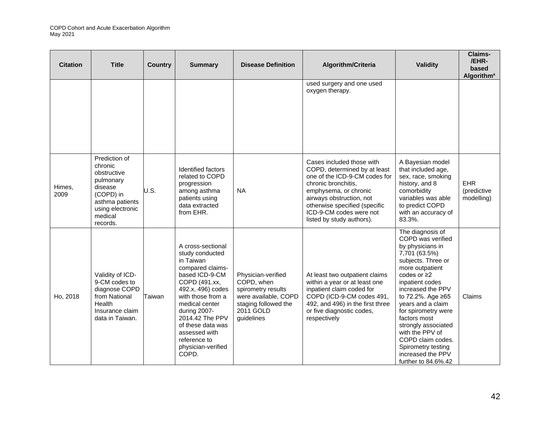| <b>Citation</b> | <b>Title</b>                                                                                                                               | <b>Country</b> | <b>Summary</b>                                                                                                                                                                                                                                                                               | <b>Disease Definition</b>                                                                                                         | Algorithm/Criteria                                                                                                                                                                                                                                              | Validity                                                                                                                                                                                                                                                                                                                                                                                           | <b>Claims-</b><br>/EHR-<br>based<br><b>Algorithm<sup>x</sup></b> |
|-----------------|--------------------------------------------------------------------------------------------------------------------------------------------|----------------|----------------------------------------------------------------------------------------------------------------------------------------------------------------------------------------------------------------------------------------------------------------------------------------------|-----------------------------------------------------------------------------------------------------------------------------------|-----------------------------------------------------------------------------------------------------------------------------------------------------------------------------------------------------------------------------------------------------------------|----------------------------------------------------------------------------------------------------------------------------------------------------------------------------------------------------------------------------------------------------------------------------------------------------------------------------------------------------------------------------------------------------|------------------------------------------------------------------|
|                 |                                                                                                                                            |                |                                                                                                                                                                                                                                                                                              |                                                                                                                                   | used surgery and one used<br>oxygen therapy.                                                                                                                                                                                                                    |                                                                                                                                                                                                                                                                                                                                                                                                    |                                                                  |
| Himes,<br>2009  | Prediction of<br>chronic<br>obstructive<br>pulmonary<br>disease<br>(COPD) in<br>asthma patients<br>using electronic<br>medical<br>records. | U.S.           | Identified factors<br>related to COPD<br>progression<br>among asthma<br>patients using<br>data extracted<br>from EHR.                                                                                                                                                                        | <b>NA</b>                                                                                                                         | Cases included those with<br>COPD, determined by at least<br>one of the ICD-9-CM codes for<br>chronic bronchitis,<br>emphysema, or chronic<br>airways obstruction, not<br>otherwise specified (specific<br>ICD-9-CM codes were not<br>listed by study authors). | A Bayesian model<br>that included age,<br>sex, race, smoking<br>history, and 8<br>comorbidity<br>variables was able<br>to predict COPD<br>with an accuracy of<br>83.3%.                                                                                                                                                                                                                            | <b>EHR</b><br>(predictive<br>modelling)                          |
| Ho, 2018        | Validity of ICD-<br>9-CM codes to<br>diagnose COPD<br>from National<br>Health<br>Insurance claim<br>data in Taiwan.                        | Taiwan         | A cross-sectional<br>study conducted<br>in Taiwan<br>compared claims-<br>based ICD-9-CM<br>COPD (491.xx,<br>492.x, 496) codes<br>with those from a<br>medical center<br>during 2007-<br>2014.42 The PPV<br>of these data was<br>assessed with<br>reference to<br>physician-verified<br>COPD. | Physician-verified<br>COPD, when<br>spirometry results<br>were available, COPD<br>staging followed the<br>2011 GOLD<br>guidelines | At least two outpatient claims<br>within a year or at least one<br>inpatient claim coded for<br>COPD (ICD-9-CM codes 491,<br>492, and 496) in the first three<br>or five diagnostic codes,<br>respectively                                                      | The diagnosis of<br>COPD was verified<br>by physicians in<br>7,701 (63.5%)<br>subjects. Three or<br>more outpatient<br>codes or $\geq$ 2<br>inpatient codes<br>increased the PPV<br>to 72.2%. Age ≥65<br>years and a claim<br>for spirometry were<br>factors most<br>strongly associated<br>with the PPV of<br>COPD claim codes.<br>Spirometry testing<br>increased the PPV<br>further to 84.6%.42 | Claims                                                           |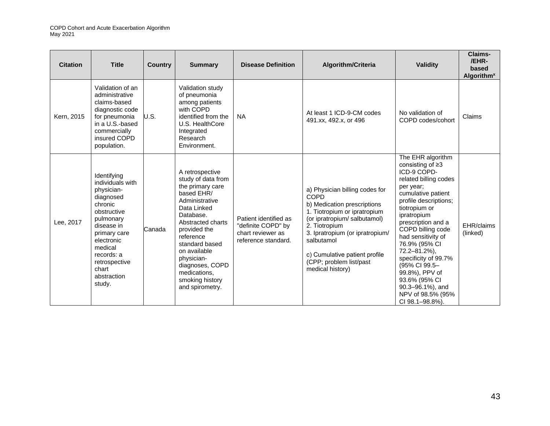| <b>Citation</b> | <b>Title</b>                                                                                                                                                                                                              | <b>Country</b> | <b>Summary</b>                                                                                                                                                                                                                                                                                   | <b>Disease Definition</b>                                                               | Algorithm/Criteria                                                                                                                                                                                                                                                                      | <b>Validity</b>                                                                                                                                                                                                                                                                                                                                                                                                           | <b>Claims-</b><br>/EHR-<br>based<br><b>Algorithm<sup>x</sup></b> |
|-----------------|---------------------------------------------------------------------------------------------------------------------------------------------------------------------------------------------------------------------------|----------------|--------------------------------------------------------------------------------------------------------------------------------------------------------------------------------------------------------------------------------------------------------------------------------------------------|-----------------------------------------------------------------------------------------|-----------------------------------------------------------------------------------------------------------------------------------------------------------------------------------------------------------------------------------------------------------------------------------------|---------------------------------------------------------------------------------------------------------------------------------------------------------------------------------------------------------------------------------------------------------------------------------------------------------------------------------------------------------------------------------------------------------------------------|------------------------------------------------------------------|
| Kern, 2015      | Validation of an<br>administrative<br>claims-based<br>diagnostic code<br>for pneumonia<br>in a U.S.-based<br>commercially<br>insured COPD<br>population.                                                                  | U.S.           | Validation study<br>of pneumonia<br>among patients<br>with COPD<br>identified from the<br>U.S. HealthCore<br>Integrated<br>Research<br>Environment.                                                                                                                                              | <b>NA</b>                                                                               | At least 1 ICD-9-CM codes<br>491.xx, 492.x, or 496                                                                                                                                                                                                                                      | No validation of<br>COPD codes/cohort                                                                                                                                                                                                                                                                                                                                                                                     | Claims                                                           |
| Lee, 2017       | Identifying<br>individuals with<br>physician-<br>diagnosed<br>chronic<br>obstructive<br>pulmonary<br>disease in<br>primary care<br>electronic<br>medical<br>records: a<br>retrospective<br>chart<br>abstraction<br>study. | Canada         | A retrospective<br>study of data from<br>the primary care<br>based EHR/<br>Administrative<br>Data Linked<br>Database.<br>Abstracted charts<br>provided the<br>reference<br>standard based<br>on available<br>physician-<br>diagnoses, COPD<br>medications,<br>smoking history<br>and spirometry. | Patient identified as<br>"definite COPD" by<br>chart reviewer as<br>reference standard. | a) Physician billing codes for<br>COPD<br>b) Medication prescriptions<br>1. Tiotropium or ipratropium<br>(or ipratropium/ salbutamol)<br>2. Tiotropium<br>3. Ipratropium (or ipratropium/<br>salbutamol<br>c) Cumulative patient profile<br>(CPP; problem list/past<br>medical history) | The EHR algorithm<br>consisting of $\geq$ 3<br>ICD-9 COPD-<br>related billing codes<br>per year;<br>cumulative patient<br>profile descriptions;<br>tiotropium or<br>ipratropium<br>prescription and a<br>COPD billing code<br>had sensitivity of<br>76.9% (95% CI<br>72.2-81.2%),<br>specificity of 99.7%<br>(95% CI 99.5-<br>99.8%), PPV of<br>93.6% (95% CI<br>90.3-96.1%), and<br>NPV of 98.5% (95%<br>CI 98.1-98.8%). | EHR/claims<br>(linked)                                           |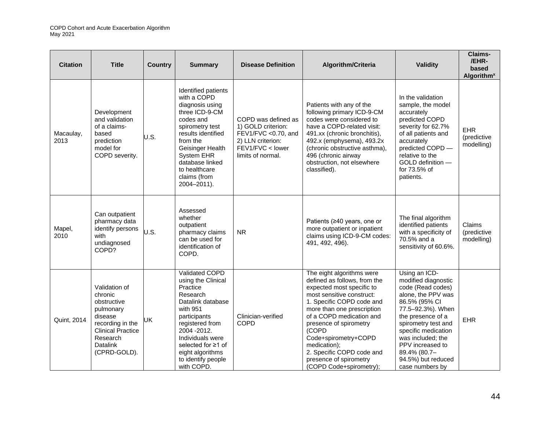| <b>Citation</b>   | <b>Title</b>                                                                                                                                            | <b>Country</b> | <b>Summary</b>                                                                                                                                                                                                                                     | <b>Disease Definition</b>                                                                                                       | Algorithm/Criteria                                                                                                                                                                                                                                                                                                                                                      | <b>Validity</b>                                                                                                                                                                                                                                                                            | <b>Claims-</b><br>/EHR-<br>based<br><b>Algorithm<sup>x</sup></b> |
|-------------------|---------------------------------------------------------------------------------------------------------------------------------------------------------|----------------|----------------------------------------------------------------------------------------------------------------------------------------------------------------------------------------------------------------------------------------------------|---------------------------------------------------------------------------------------------------------------------------------|-------------------------------------------------------------------------------------------------------------------------------------------------------------------------------------------------------------------------------------------------------------------------------------------------------------------------------------------------------------------------|--------------------------------------------------------------------------------------------------------------------------------------------------------------------------------------------------------------------------------------------------------------------------------------------|------------------------------------------------------------------|
| Macaulay,<br>2013 | Development<br>and validation<br>of a claims-<br>based<br>prediction<br>model for<br>COPD severity.                                                     | J.S.           | Identified patients<br>with a COPD<br>diagnosis using<br>three ICD-9-CM<br>codes and<br>spirometry test<br>results identified<br>from the<br>Geisinger Health<br>System EHR<br>database linked<br>to healthcare<br>claims (from<br>2004-2011).     | COPD was defined as<br>1) GOLD criterion:<br>FEV1/FVC < 0.70, and<br>2) LLN criterion:<br>FEV1/FVC < lower<br>limits of normal. | Patients with any of the<br>following primary ICD-9-CM<br>codes were considered to<br>have a COPD-related visit:<br>491.xx (chronic bronchitis),<br>492.x (emphysema), 493.2x<br>(chronic obstructive asthma),<br>496 (chronic airway<br>obstruction, not elsewhere<br>classified).                                                                                     | In the validation<br>sample, the model<br>accurately<br>predicted COPD<br>severity for 62.7%<br>of all patients and<br>accurately<br>predicted COPD -<br>relative to the<br>GOLD definition -<br>for 73.5% of<br>patients.                                                                 | <b>EHR</b><br>(predictive<br>modelling)                          |
| Mapel,<br>2010    | Can outpatient<br>pharmacy data<br>identify persons<br>with<br>undiagnosed<br>COPD?                                                                     | J.S.           | Assessed<br>whether<br>outpatient<br>pharmacy claims<br>can be used for<br>identification of<br>COPD.                                                                                                                                              | <b>NR</b>                                                                                                                       | Patients (≥40 years, one or<br>more outpatient or inpatient<br>claims using ICD-9-CM codes:<br>491, 492, 496).                                                                                                                                                                                                                                                          | The final algorithm<br>identified patients<br>with a specificity of<br>70.5% and a<br>sensitivity of 60.6%.                                                                                                                                                                                | Claims<br>(predictive<br>modelling)                              |
| Quint, 2014       | Validation of<br>chronic<br>obstructive<br>pulmonary<br>disease<br>recording in the<br><b>Clinical Practice</b><br>Research<br>Datalink<br>(CPRD-GOLD). | UK             | Validated COPD<br>using the Clinical<br>Practice<br>Research<br>Datalink database<br>with 951<br>participants<br>registered from<br>2004 - 2012.<br>Individuals were<br>selected for ≥1 of<br>eight algorithms<br>to identify people<br>with COPD. | Clinician-verified<br><b>COPD</b>                                                                                               | The eight algorithms were<br>defined as follows, from the<br>expected most specific to<br>most sensitive construct:<br>1. Specific COPD code and<br>more than one prescription<br>of a COPD medication and<br>presence of spirometry<br>(COPD<br>Code+spirometry+COPD<br>medication);<br>2. Specific COPD code and<br>presence of spirometry<br>(COPD Code+spirometry); | Using an ICD-<br>modified diagnostic<br>code (Read codes)<br>alone, the PPV was<br>86.5% (95% CI<br>77.5-92.3%). When<br>the presence of a<br>spirometry test and<br>specific medication<br>was included; the<br>PPV increased to<br>89.4% (80.7-<br>94.5%) but reduced<br>case numbers by | <b>EHR</b>                                                       |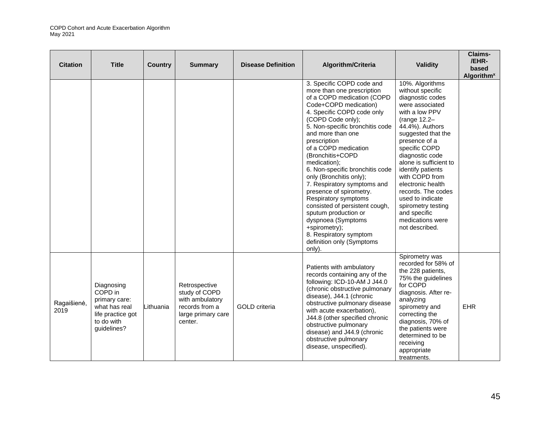| <b>Citation</b>     | <b>Title</b>                                                                                              | <b>Country</b> | <b>Summary</b>                                                                                       | <b>Disease Definition</b> | Algorithm/Criteria                                                                                                                                                                                                                                                                                                                                                                                                                                                                                                                                                                                                      | Validity                                                                                                                                                                                                                                                                                                                                                                                                               | <b>Claims-</b><br>/EHR-<br>based<br><b>Algorithm<sup>x</sup></b> |
|---------------------|-----------------------------------------------------------------------------------------------------------|----------------|------------------------------------------------------------------------------------------------------|---------------------------|-------------------------------------------------------------------------------------------------------------------------------------------------------------------------------------------------------------------------------------------------------------------------------------------------------------------------------------------------------------------------------------------------------------------------------------------------------------------------------------------------------------------------------------------------------------------------------------------------------------------------|------------------------------------------------------------------------------------------------------------------------------------------------------------------------------------------------------------------------------------------------------------------------------------------------------------------------------------------------------------------------------------------------------------------------|------------------------------------------------------------------|
|                     |                                                                                                           |                |                                                                                                      |                           | 3. Specific COPD code and<br>more than one prescription<br>of a COPD medication (COPD<br>Code+COPD medication)<br>4. Specific COPD code only<br>(COPD Code only);<br>5. Non-specific bronchitis code<br>and more than one<br>prescription<br>of a COPD medication<br>(Bronchitis+COPD<br>medication);<br>6. Non-specific bronchitis code<br>only (Bronchitis only);<br>7. Respiratory symptoms and<br>presence of spirometry.<br>Respiratory symptoms<br>consisted of persistent cough,<br>sputum production or<br>dyspnoea (Symptoms<br>+spirometry);<br>8. Respiratory symptom<br>definition only (Symptoms<br>only). | 10%. Algorithms<br>without specific<br>diagnostic codes<br>were associated<br>with a low PPV<br>(range 12.2-<br>44.4%). Authors<br>suggested that the<br>presence of a<br>specific COPD<br>diagnostic code<br>alone is sufficient to<br>identify patients<br>with COPD from<br>electronic health<br>records. The codes<br>used to indicate<br>spirometry testing<br>and specific<br>medications were<br>not described. |                                                                  |
| Ragaišienė,<br>2019 | Diagnosing<br>COPD in<br>primary care:<br>what has real<br>life practice got<br>to do with<br>guidelines? | Lithuania      | Retrospective<br>study of COPD<br>with ambulatory<br>records from a<br>large primary care<br>center. | GOLD criteria             | Patients with ambulatory<br>records containing any of the<br>following: ICD-10-AM J J44.0<br>(chronic obstructive pulmonary<br>disease), J44.1 (chronic<br>obstructive pulmonary disease<br>with acute exacerbation),<br>J44.8 (other specified chronic<br>obstructive pulmonary<br>disease) and J44.9 (chronic<br>obstructive pulmonary<br>disease, unspecified).                                                                                                                                                                                                                                                      | Spirometry was<br>recorded for 58% of<br>the 228 patients,<br>75% the guidelines<br>for COPD<br>diagnosis. After re-<br>analyzing<br>spirometry and<br>correcting the<br>diagnosis, 70% of<br>the patients were<br>determined to be<br>receiving<br>appropriate<br>treatments.                                                                                                                                         | <b>EHR</b>                                                       |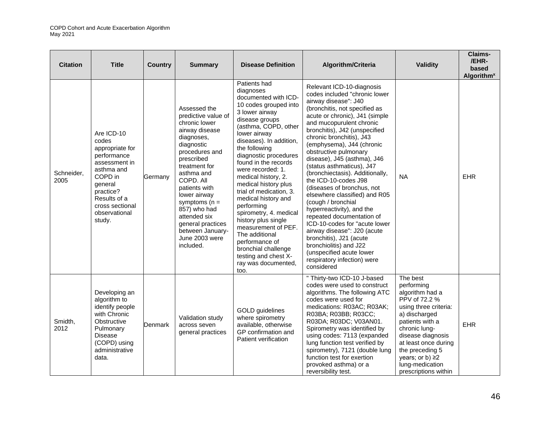| <b>Citation</b>    | <b>Title</b>                                                                                                                                                                          | <b>Country</b> | <b>Summary</b>                                                                                                                                                                                                                                                                                                                             | <b>Disease Definition</b>                                                                                                                                                                                                                                                                                                                                                                                                                                                                                                                                                         | Algorithm/Criteria                                                                                                                                                                                                                                                                                                                                                                                                                                                                                                                                                                                                                                                                                                                                                       | <b>Validity</b>                                                                                                                                                                                                                                                              | Claims-<br>/EHR-<br>based<br><b>Algorithm<sup>x</sup></b> |
|--------------------|---------------------------------------------------------------------------------------------------------------------------------------------------------------------------------------|----------------|--------------------------------------------------------------------------------------------------------------------------------------------------------------------------------------------------------------------------------------------------------------------------------------------------------------------------------------------|-----------------------------------------------------------------------------------------------------------------------------------------------------------------------------------------------------------------------------------------------------------------------------------------------------------------------------------------------------------------------------------------------------------------------------------------------------------------------------------------------------------------------------------------------------------------------------------|--------------------------------------------------------------------------------------------------------------------------------------------------------------------------------------------------------------------------------------------------------------------------------------------------------------------------------------------------------------------------------------------------------------------------------------------------------------------------------------------------------------------------------------------------------------------------------------------------------------------------------------------------------------------------------------------------------------------------------------------------------------------------|------------------------------------------------------------------------------------------------------------------------------------------------------------------------------------------------------------------------------------------------------------------------------|-----------------------------------------------------------|
| Schneider,<br>2005 | Are ICD-10<br>codes<br>appropriate for<br>performance<br>assessment in<br>asthma and<br>COPD in<br>general<br>practice?<br>Results of a<br>cross sectional<br>observational<br>study. | Germany        | Assessed the<br>predictive value of<br>chronic lower<br>airway disease<br>diagnoses,<br>diagnostic<br>procedures and<br>prescribed<br>treatment for<br>asthma and<br>COPD. All<br>patients with<br>lower airway<br>symptoms $(n =$<br>857) who had<br>attended six<br>general practices<br>between January-<br>June 2003 were<br>included. | Patients had<br>diagnoses<br>documented with ICD-<br>10 codes grouped into<br>3 lower airway<br>disease groups<br>(asthma, COPD, other<br>lower airway<br>diseases). In addition,<br>the following<br>diagnostic procedures<br>found in the records<br>were recorded: 1.<br>medical history, 2.<br>medical history plus<br>trial of medication, 3.<br>medical history and<br>performing<br>spirometry, 4. medical<br>history plus single<br>measurement of PEF.<br>The additional<br>performance of<br>bronchial challenge<br>testing and chest X-<br>ray was documented,<br>too. | Relevant ICD-10-diagnosis<br>codes included "chronic lower<br>airway disease": J40<br>(bronchitis, not specified as<br>acute or chronic), J41 (simple<br>and mucopurulent chronic<br>bronchitis), J42 (unspecified<br>chronic bronchitis), J43<br>(emphysema), J44 (chronic<br>obstructive pulmonary<br>disease), J45 (asthma), J46<br>(status asthmaticus), J47<br>(bronchiectasis). Additionally,<br>the ICD-10-codes J98<br>(diseases of bronchus, not<br>elsewhere classified) and R05<br>(cough / bronchial<br>hyperreactivity), and the<br>repeated documentation of<br>ICD-10-codes for "acute lower<br>airway disease": J20 (acute<br>bronchitis), J21 (acute<br>bronchiolitis) and J22<br>(unspecified acute lower<br>respiratory infection) were<br>considered | <b>NA</b>                                                                                                                                                                                                                                                                    | <b>EHR</b>                                                |
| Smidth,<br>2012    | Developing an<br>algorithm to<br>identify people<br>with Chronic<br>Obstructive<br>Pulmonary<br><b>Disease</b><br>(COPD) using<br>administrative<br>data.                             | Denmark        | Validation study<br>across seven<br>general practices                                                                                                                                                                                                                                                                                      | GOLD guidelines<br>where spirometry<br>available, otherwise<br>GP confirmation and<br>Patient verification                                                                                                                                                                                                                                                                                                                                                                                                                                                                        | " Thirty-two ICD-10 J-based<br>codes were used to construct<br>algorithms. The following ATC<br>codes were used for<br>medications: R03AC; R03AK;<br>R03BA; R03BB; R03CC;<br>R03DA; R03DC; V03AN01.<br>Spirometry was identified by<br>using codes: 7113 (expanded<br>lung function test verified by<br>spirometry), 7121 (double lung<br>function test for exertion<br>provoked asthma) or a<br>reversibility test.                                                                                                                                                                                                                                                                                                                                                     | The best<br>performing<br>algorithm had a<br>PPV of 72.2 %<br>using three criteria:<br>a) discharged<br>patients with a<br>chronic lung-<br>disease diagnosis<br>at least once during<br>the preceding 5<br>years; or b) $\geq 2$<br>lung-medication<br>prescriptions within | EHR                                                       |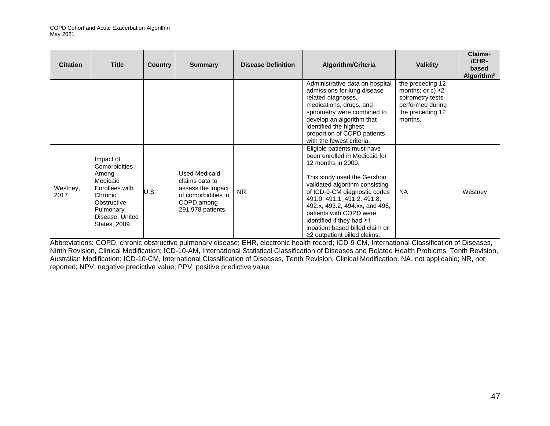| <b>Citation</b>  | <b>Title</b>                                                                                                                                 | <b>Country</b> | <b>Summary</b>                                                                                                 | <b>Disease Definition</b> | Algorithm/Criteria                                                                                                                                                                                                                                                                                                                                                                  | <b>Validity</b>                                                                                                   | Claims-<br>/EHR-<br>based<br><b>Algorithm<sup>x</sup></b> |
|------------------|----------------------------------------------------------------------------------------------------------------------------------------------|----------------|----------------------------------------------------------------------------------------------------------------|---------------------------|-------------------------------------------------------------------------------------------------------------------------------------------------------------------------------------------------------------------------------------------------------------------------------------------------------------------------------------------------------------------------------------|-------------------------------------------------------------------------------------------------------------------|-----------------------------------------------------------|
|                  |                                                                                                                                              |                |                                                                                                                |                           | Administrative data on hospital<br>admissions for lung disease<br>related diagnoses,<br>medications, drugs, and<br>spirometry were combined to<br>develop an algorithm that<br>identified the highest<br>proportion of COPD patients<br>with the fewest criteria.                                                                                                                   | the preceding 12<br>months; or c) $\geq$ 2<br>spirometry tests<br>performed during<br>the preceding 12<br>months. |                                                           |
| Westney,<br>2017 | Impact of<br>Comorbidities<br>Among<br>Medicaid<br>Enrollees with<br>Chronic<br>Obstructive<br>Pulmonary<br>Disease, United<br>States, 2009. | U.S.           | Used Medicaid<br>claims data to<br>assess the impact<br>of comorbidities in<br>COPD among<br>291,978 patients. | <b>NR</b>                 | Eligible patients must have<br>been enrolled in Medicaid for<br>12 months in 2009.<br>This study used the Gershon<br>validated algorithm consisting<br>of ICD-9-CM diagnostic codes<br>491.0, 491.1, 491.2, 491.8,<br>492.x, 493.2, 494.xx, and 496,<br>patients with COPD were<br>identified if they had ≥1<br>inpatient based billed claim or<br>$\geq$ outpatient billed claims. | <b>NA</b>                                                                                                         | Westney                                                   |

Abbreviations: COPD, chronic obstructive pulmonary disease; EHR, electronic health record; ICD-9-CM, International Classification of Diseases, Ninth Revision, Clinical Modification; ICD-10-AM, International Statistical Classification of Diseases and Related Health Problems, Tenth Revision, Australian Modification; ICD-10-CM, International Classification of Diseases, Tenth Revision, Clinical Modification; NA, not applicable; NR, not reported; NPV, negative predictive value; PPV, positive predictive value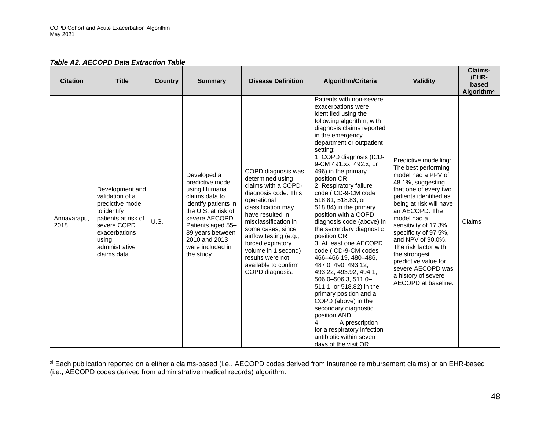*Table A2. AECOPD Data Extraction Table*

| <b>Citation</b>     | <b>Title</b>                                                                                                                                                            | <b>Country</b> | <b>Summary</b>                                                                                                                                                                                                                 | <b>Disease Definition</b>                                                                                                                                                                                                                                                                                                        | Algorithm/Criteria                                                                                                                                                                                                                                                                                                                                                                                                                                                                                                                                                                                                                                                                                                                                                                                                                                                        | <b>Validity</b>                                                                                                                                                                                                                                                                                                                                                                                                   | <b>Claims-</b><br>/EHR-<br>based<br><b>Algorithm<sup>xi</sup></b> |
|---------------------|-------------------------------------------------------------------------------------------------------------------------------------------------------------------------|----------------|--------------------------------------------------------------------------------------------------------------------------------------------------------------------------------------------------------------------------------|----------------------------------------------------------------------------------------------------------------------------------------------------------------------------------------------------------------------------------------------------------------------------------------------------------------------------------|---------------------------------------------------------------------------------------------------------------------------------------------------------------------------------------------------------------------------------------------------------------------------------------------------------------------------------------------------------------------------------------------------------------------------------------------------------------------------------------------------------------------------------------------------------------------------------------------------------------------------------------------------------------------------------------------------------------------------------------------------------------------------------------------------------------------------------------------------------------------------|-------------------------------------------------------------------------------------------------------------------------------------------------------------------------------------------------------------------------------------------------------------------------------------------------------------------------------------------------------------------------------------------------------------------|-------------------------------------------------------------------|
| Annavarapu,<br>2018 | Development and<br>validation of a<br>predictive model<br>to identify<br>patients at risk of<br>severe COPD<br>exacerbations<br>using<br>administrative<br>claims data. | U.S.           | Developed a<br>predictive model<br>using Humana<br>claims data to<br>identify patients in<br>the U.S. at risk of<br>severe AECOPD.<br>Patients aged 55-<br>89 years between<br>2010 and 2013<br>were included in<br>the study. | COPD diagnosis was<br>determined using<br>claims with a COPD-<br>diagnosis code. This<br>operational<br>classification may<br>have resulted in<br>misclassification in<br>some cases, since<br>airflow testing (e.g.,<br>forced expiratory<br>volume in 1 second)<br>results were not<br>available to confirm<br>COPD diagnosis. | Patients with non-severe<br>exacerbations were<br>identified using the<br>following algorithm, with<br>diagnosis claims reported<br>in the emergency<br>department or outpatient<br>setting:<br>1. COPD diagnosis (ICD-<br>9-CM 491.xx, 492.x, or<br>496) in the primary<br>position OR<br>2. Respiratory failure<br>code (ICD-9-CM code<br>518.81, 518.83, or<br>518.84) in the primary<br>position with a COPD<br>diagnosis code (above) in<br>the secondary diagnostic<br>position OR<br>3. At least one AECOPD<br>code (ICD-9-CM codes<br>466-466.19, 480-486,<br>487.0, 490, 493.12,<br>493.22, 493.92, 494.1,<br>506.0-506.3, 511.0-<br>511.1, or 518.82) in the<br>primary position and a<br>COPD (above) in the<br>secondary diagnostic<br>position AND<br>4.<br>A prescription<br>for a respiratory infection<br>antibiotic within seven<br>days of the visit OR | Predictive modelling:<br>The best performing<br>model had a PPV of<br>48.1%, suggesting<br>that one of every two<br>patients identified as<br>being at risk will have<br>an AECOPD. The<br>model had a<br>sensitivity of 17.3%,<br>specificity of 97.5%,<br>and NPV of 90.0%.<br>The risk factor with<br>the strongest<br>predictive value for<br>severe AECOPD was<br>a history of severe<br>AECOPD at baseline. | Claims                                                            |

xi Each publication reported on a either a claims-based (i.e., AECOPD codes derived from insurance reimbursement claims) or an EHR-based (i.e., AECOPD codes derived from administrative medical records) algorithm.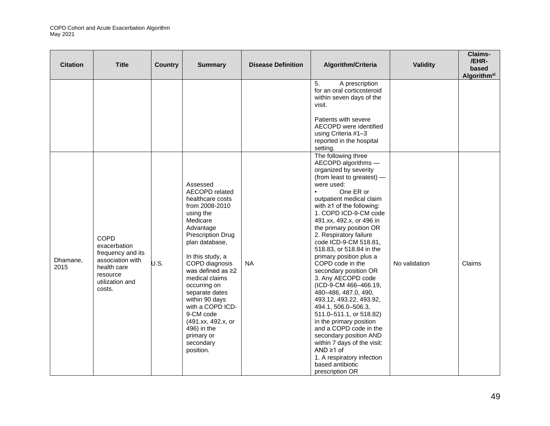| <b>Citation</b>  | <b>Title</b>                                                                                                                 | <b>Country</b> | <b>Summary</b>                                                                                                                                                                                                                                                                                                                                                                                                   | <b>Disease Definition</b> | Algorithm/Criteria                                                                                                                                                                                                                                                                                                                                                                                                                                                                                                                                                                                                                                                                                                                                                                                        | <b>Validity</b> | <b>Claims-</b><br>/EHR-<br>based<br><b>Algorithm</b> <sup>xi</sup> |
|------------------|------------------------------------------------------------------------------------------------------------------------------|----------------|------------------------------------------------------------------------------------------------------------------------------------------------------------------------------------------------------------------------------------------------------------------------------------------------------------------------------------------------------------------------------------------------------------------|---------------------------|-----------------------------------------------------------------------------------------------------------------------------------------------------------------------------------------------------------------------------------------------------------------------------------------------------------------------------------------------------------------------------------------------------------------------------------------------------------------------------------------------------------------------------------------------------------------------------------------------------------------------------------------------------------------------------------------------------------------------------------------------------------------------------------------------------------|-----------------|--------------------------------------------------------------------|
|                  |                                                                                                                              |                |                                                                                                                                                                                                                                                                                                                                                                                                                  |                           | 5.<br>A prescription<br>for an oral corticosteroid<br>within seven days of the<br>visit.<br>Patients with severe<br>AECOPD were identified<br>using Criteria #1-3<br>reported in the hospital<br>setting.                                                                                                                                                                                                                                                                                                                                                                                                                                                                                                                                                                                                 |                 |                                                                    |
| Dhamane,<br>2015 | <b>COPD</b><br>exacerbation<br>frequency and its<br>association with<br>health care<br>resource<br>utilization and<br>costs. | U.S.           | Assessed<br><b>AECOPD</b> related<br>healthcare costs<br>from 2008-2010<br>using the<br>Medicare<br>Advantage<br><b>Prescription Drug</b><br>plan database,<br>In this study, a<br>COPD diagnosis<br>was defined as $\geq$ 2<br>medical claims<br>occurring on<br>separate dates<br>within 90 days<br>with a COPD ICD-<br>9-CM code<br>(491.xx, 492.x, or<br>496) in the<br>primary or<br>secondary<br>position. | <b>NA</b>                 | The following three<br>AECOPD algorithms -<br>organized by severity<br>(from least to greatest) -<br>were used:<br>One ER or<br>$\bullet$<br>outpatient medical claim<br>with $\geq 1$ of the following:<br>1. COPD ICD-9-CM code<br>491.xx, 492.x, or 496 in<br>the primary position OR<br>2. Respiratory failure<br>code ICD-9-CM 518.81,<br>518.83, or 518.84 in the<br>primary position plus a<br>COPD code in the<br>secondary position OR<br>3. Any AECOPD code<br>(ICD-9-CM 466-466.19,<br>480-486, 487.0, 490,<br>493.12, 493.22, 493.92,<br>494.1, 506.0-506.3,<br>511.0-511.1, or 518.82)<br>in the primary position<br>and a COPD code in the<br>secondary position AND<br>within 7 days of the visit:<br>AND $\geq 1$ of<br>1. A respiratory infection<br>based antibiotic<br>prescription OR | No validation   | Claims                                                             |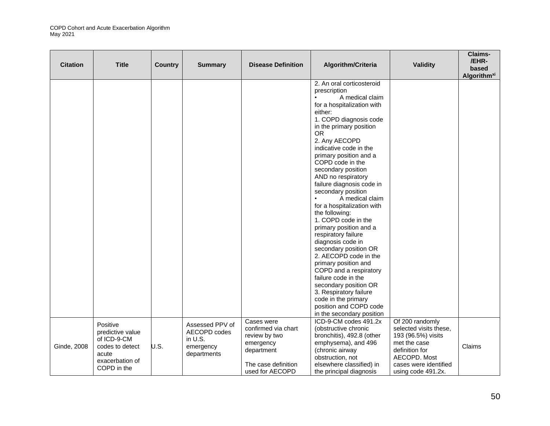| <b>Citation</b> | <b>Title</b>                                                                                              | <b>Country</b> | <b>Summary</b>                                                         | <b>Disease Definition</b>                                                                                               | Algorithm/Criteria                                                                                                                                                                                                                                                                                                                                                                                                                                                                                                                                                                                                                                                                                                                                                                          | <b>Validity</b>                                                                                                                                                  | Claims-<br>/EHR-<br>based<br><b>Algorithm</b> <sup>xi</sup> |
|-----------------|-----------------------------------------------------------------------------------------------------------|----------------|------------------------------------------------------------------------|-------------------------------------------------------------------------------------------------------------------------|---------------------------------------------------------------------------------------------------------------------------------------------------------------------------------------------------------------------------------------------------------------------------------------------------------------------------------------------------------------------------------------------------------------------------------------------------------------------------------------------------------------------------------------------------------------------------------------------------------------------------------------------------------------------------------------------------------------------------------------------------------------------------------------------|------------------------------------------------------------------------------------------------------------------------------------------------------------------|-------------------------------------------------------------|
|                 |                                                                                                           |                |                                                                        |                                                                                                                         | 2. An oral corticosteroid<br>prescription<br>A medical claim<br>for a hospitalization with<br>either:<br>1. COPD diagnosis code<br>in the primary position<br><b>OR</b><br>2. Any AECOPD<br>indicative code in the<br>primary position and a<br>COPD code in the<br>secondary position<br>AND no respiratory<br>failure diagnosis code in<br>secondary position<br>A medical claim<br>for a hospitalization with<br>the following:<br>1. COPD code in the<br>primary position and a<br>respiratory failure<br>diagnosis code in<br>secondary position OR<br>2. AECOPD code in the<br>primary position and<br>COPD and a respiratory<br>failure code in the<br>secondary position OR<br>3. Respiratory failure<br>code in the primary<br>position and COPD code<br>in the secondary position |                                                                                                                                                                  |                                                             |
| Ginde, 2008     | Positive<br>predictive value<br>of ICD-9-CM<br>codes to detect<br>acute<br>exacerbation of<br>COPD in the | U.S.           | Assessed PPV of<br>AECOPD codes<br>in U.S.<br>emergency<br>departments | Cases were<br>confirmed via chart<br>review by two<br>emergency<br>department<br>The case definition<br>used for AECOPD | ICD-9-CM codes 491.2x<br>(obstructive chronic<br>bronchitis), 492.8 (other<br>emphysema), and 496<br>(chronic airway<br>obstruction, not<br>elsewhere classified) in<br>the principal diagnosis                                                                                                                                                                                                                                                                                                                                                                                                                                                                                                                                                                                             | Of 200 randomly<br>selected visits these,<br>193 (96.5%) visits<br>met the case<br>definition for<br>AECOPD. Most<br>cases were identified<br>using code 491.2x. | Claims                                                      |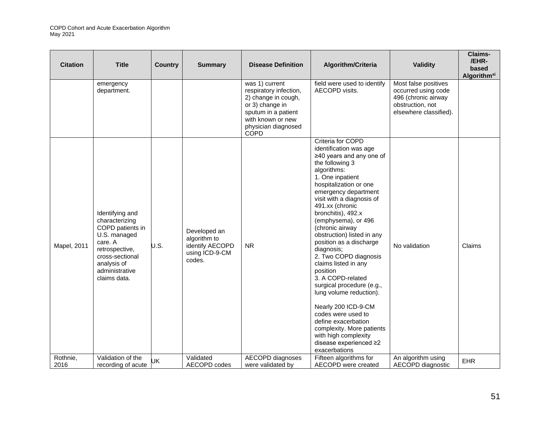| <b>Citation</b>  | <b>Title</b>                                                                                                                                                           | <b>Country</b> | <b>Summary</b>                                                              | <b>Disease Definition</b>                                                                                                                                            | Algorithm/Criteria                                                                                                                                                                                                                                                                                                                                                                                                                                                                                                                                                                                                                                                                         | <b>Validity</b>                                                                                                  | <b>Claims-</b><br>/EHR-<br>based<br><b>Algorithm</b> <sup>xi</sup> |
|------------------|------------------------------------------------------------------------------------------------------------------------------------------------------------------------|----------------|-----------------------------------------------------------------------------|----------------------------------------------------------------------------------------------------------------------------------------------------------------------|--------------------------------------------------------------------------------------------------------------------------------------------------------------------------------------------------------------------------------------------------------------------------------------------------------------------------------------------------------------------------------------------------------------------------------------------------------------------------------------------------------------------------------------------------------------------------------------------------------------------------------------------------------------------------------------------|------------------------------------------------------------------------------------------------------------------|--------------------------------------------------------------------|
|                  | emergency<br>department.                                                                                                                                               |                |                                                                             | was 1) current<br>respiratory infection,<br>2) change in cough,<br>or 3) change in<br>sputum in a patient<br>with known or new<br>physician diagnosed<br><b>COPD</b> | field were used to identify<br>AECOPD visits.                                                                                                                                                                                                                                                                                                                                                                                                                                                                                                                                                                                                                                              | Most false positives<br>occurred using code<br>496 (chronic airway<br>obstruction, not<br>elsewhere classified). |                                                                    |
| Mapel, 2011      | Identifying and<br>characterizing<br>COPD patients in<br>U.S. managed<br>care. A<br>retrospective,<br>cross-sectional<br>analysis of<br>administrative<br>claims data. | U.S.           | Developed an<br>algorithm to<br>identify AECOPD<br>using ICD-9-CM<br>codes. | <b>NR</b>                                                                                                                                                            | Criteria for COPD<br>identification was age<br>$\geq$ 40 years and any one of<br>the following 3<br>algorithms:<br>1. One inpatient<br>hospitalization or one<br>emergency department<br>visit with a diagnosis of<br>491.xx (chronic<br>bronchitis), 492.x<br>(emphysema), or 496<br>(chronic airway<br>obstruction) listed in any<br>position as a discharge<br>diagnosis;<br>2. Two COPD diagnosis<br>claims listed in any<br>position<br>3. A COPD-related<br>surgical procedure (e.g.,<br>lung volume reduction).<br>Nearly 200 ICD-9-CM<br>codes were used to<br>define exacerbation<br>complexity. More patients<br>with high complexity<br>disease experienced ≥2<br>exacerbations | No validation                                                                                                    | Claims                                                             |
| Rothnie,<br>2016 | Validation of the<br>recording of acute                                                                                                                                | UK             | Validated<br>AECOPD codes                                                   | AECOPD diagnoses<br>were validated by                                                                                                                                | Fifteen algorithms for<br>AECOPD were created                                                                                                                                                                                                                                                                                                                                                                                                                                                                                                                                                                                                                                              | An algorithm using<br>AECOPD diagnostic                                                                          | <b>EHR</b>                                                         |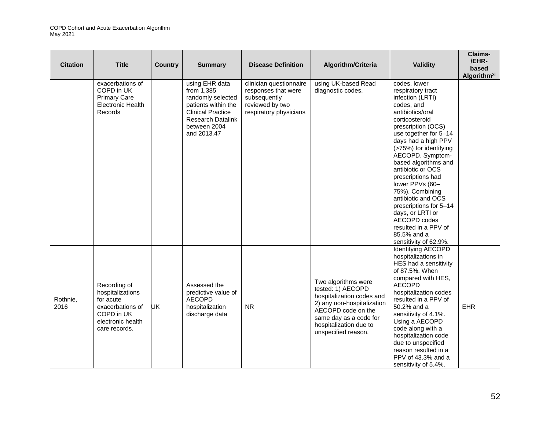| <b>Citation</b>  | <b>Title</b>                                                                                                          | <b>Country</b> | <b>Summary</b>                                                                                                                                                  | <b>Disease Definition</b>                                                                                   | Algorithm/Criteria                                                                                                                                                                                   | <b>Validity</b>                                                                                                                                                                                                                                                                                                                                                                                                                                                                           | <b>Claims-</b><br>/EHR-<br>based<br><b>Algorithm<sup>xi</sup></b> |
|------------------|-----------------------------------------------------------------------------------------------------------------------|----------------|-----------------------------------------------------------------------------------------------------------------------------------------------------------------|-------------------------------------------------------------------------------------------------------------|------------------------------------------------------------------------------------------------------------------------------------------------------------------------------------------------------|-------------------------------------------------------------------------------------------------------------------------------------------------------------------------------------------------------------------------------------------------------------------------------------------------------------------------------------------------------------------------------------------------------------------------------------------------------------------------------------------|-------------------------------------------------------------------|
|                  | exacerbations of<br>COPD in UK<br><b>Primary Care</b><br>Electronic Health<br>Records                                 |                | using EHR data<br>from 1,385<br>randomly selected<br>patients within the<br><b>Clinical Practice</b><br><b>Research Datalink</b><br>between 2004<br>and 2013.47 | clinician questionnaire<br>responses that were<br>subsequently<br>reviewed by two<br>respiratory physicians | using UK-based Read<br>diagnostic codes.                                                                                                                                                             | codes, lower<br>respiratory tract<br>infection (LRTI)<br>codes, and<br>antibiotics/oral<br>corticosteroid<br>prescription (OCS)<br>use together for 5-14<br>days had a high PPV<br>(>75%) for identifying<br>AECOPD. Symptom-<br>based algorithms and<br>antibiotic or OCS<br>prescriptions had<br>lower PPVs (60-<br>75%). Combining<br>antibiotic and OCS<br>prescriptions for 5-14<br>days, or LRTI or<br>AECOPD codes<br>resulted in a PPV of<br>85.5% and a<br>sensitivity of 62.9%. |                                                                   |
| Rothnie,<br>2016 | Recording of<br>hospitalizations<br>for acute<br>exacerbations of<br>COPD in UK<br>electronic health<br>care records. | UK             | Assessed the<br>predictive value of<br><b>AECOPD</b><br>hospitalization<br>discharge data                                                                       | <b>NR</b>                                                                                                   | Two algorithms were<br>tested: 1) AECOPD<br>hospitalization codes and<br>2) any non-hospitalization<br>AECOPD code on the<br>same day as a code for<br>hospitalization due to<br>unspecified reason. | Identifying AECOPD<br>hospitalizations in<br>HES had a sensitivity<br>of 87.5%. When<br>compared with HES,<br><b>AECOPD</b><br>hospitalization codes<br>resulted in a PPV of<br>50.2% and a<br>sensitivity of 4.1%.<br>Using a AECOPD<br>code along with a<br>hospitalization code<br>due to unspecified<br>reason resulted in a<br>PPV of 43.3% and a<br>sensitivity of 5.4%.                                                                                                            | <b>EHR</b>                                                        |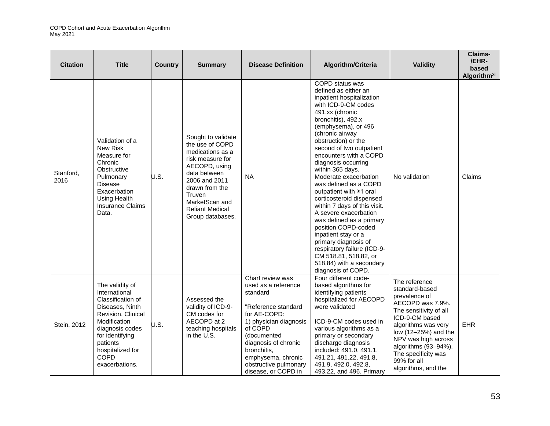| <b>Citation</b>   | <b>Title</b>                                                                                                                                                                                                          | <b>Country</b> | <b>Summary</b>                                                                                                                                                                                                              | <b>Disease Definition</b>                                                                                                                                                                                                                                   | Algorithm/Criteria                                                                                                                                                                                                                                                                                                                                                                                                                                                                                                                                                                                                                                                                   | <b>Validity</b>                                                                                                                                                                                                                                                             | <b>Claims-</b><br>/EHR-<br>based<br>Algorithm <sup>xi</sup> |
|-------------------|-----------------------------------------------------------------------------------------------------------------------------------------------------------------------------------------------------------------------|----------------|-----------------------------------------------------------------------------------------------------------------------------------------------------------------------------------------------------------------------------|-------------------------------------------------------------------------------------------------------------------------------------------------------------------------------------------------------------------------------------------------------------|--------------------------------------------------------------------------------------------------------------------------------------------------------------------------------------------------------------------------------------------------------------------------------------------------------------------------------------------------------------------------------------------------------------------------------------------------------------------------------------------------------------------------------------------------------------------------------------------------------------------------------------------------------------------------------------|-----------------------------------------------------------------------------------------------------------------------------------------------------------------------------------------------------------------------------------------------------------------------------|-------------------------------------------------------------|
| Stanford,<br>2016 | Validation of a<br><b>New Risk</b><br>Measure for<br>Chronic<br>Obstructive<br>Pulmonary<br><b>Disease</b><br>Exacerbation<br><b>Using Health</b><br><b>Insurance Claims</b><br>Data.                                 | U.S.           | Sought to validate<br>the use of COPD<br>medications as a<br>risk measure for<br>AECOPD, using<br>data between<br>2006 and 2011<br>drawn from the<br>Truven<br>MarketScan and<br><b>Reliant Medical</b><br>Group databases. | <b>NA</b>                                                                                                                                                                                                                                                   | COPD status was<br>defined as either an<br>inpatient hospitalization<br>with ICD-9-CM codes<br>491.xx (chronic<br>bronchitis), 492.x<br>(emphysema), or 496<br>(chronic airway<br>obstruction) or the<br>second of two outpatient<br>encounters with a COPD<br>diagnosis occurring<br>within 365 days.<br>Moderate exacerbation<br>was defined as a COPD<br>outpatient with ≥1 oral<br>corticosteroid dispensed<br>within 7 days of this visit.<br>A severe exacerbation<br>was defined as a primary<br>position COPD-coded<br>inpatient stay or a<br>primary diagnosis of<br>respiratory failure (ICD-9-<br>CM 518.81, 518.82, or<br>518.84) with a secondary<br>diagnosis of COPD. | No validation                                                                                                                                                                                                                                                               | Claims                                                      |
| Stein, 2012       | The validity of<br>International<br>Classification of<br>Diseases, Ninth<br>Revision, Clinical<br>Modification<br>diagnosis codes<br>for identifying<br>patients<br>hospitalized for<br><b>COPD</b><br>exacerbations. | U.S.           | Assessed the<br>validity of ICD-9-<br>CM codes for<br>AECOPD at 2<br>teaching hospitals<br>in the U.S.                                                                                                                      | Chart review was<br>used as a reference<br>standard<br>"Reference standard<br>for AE-COPD:<br>1) physician diagnosis<br>of COPD<br>(documented<br>diagnosis of chronic<br>bronchitis,<br>emphysema, chronic<br>obstructive pulmonary<br>disease, or COPD in | Four different code-<br>based algorithms for<br>identifying patients<br>hospitalized for AECOPD<br>were validated<br>ICD-9-CM codes used in<br>various algorithms as a<br>primary or secondary<br>discharge diagnosis<br>included: 491.0, 491.1,<br>491.21, 491.22, 491.8,<br>491.9, 492.0, 492.8,<br>493.22, and 496. Primary                                                                                                                                                                                                                                                                                                                                                       | The reference<br>standard-based<br>prevalence of<br>AECOPD was 7.9%.<br>The sensitivity of all<br>ICD-9-CM based<br>algorithms was very<br>low (12-25%) and the<br>NPV was high across<br>algorithms (93-94%).<br>The specificity was<br>99% for all<br>algorithms, and the | <b>EHR</b>                                                  |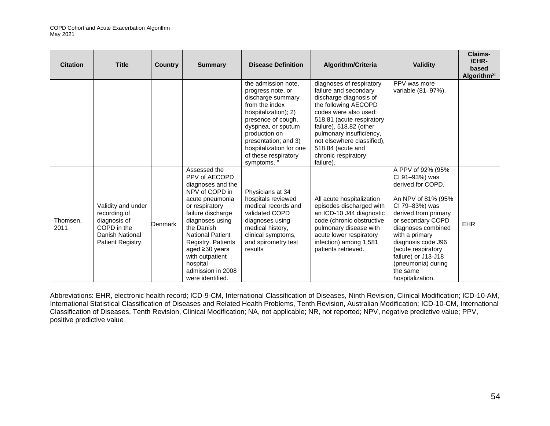| <b>Citation</b>  | <b>Title</b><br><b>Country</b>                                                                            |         | <b>Summary</b>                                                                                                                                                                                                                                                                                                    | <b>Disease Definition</b>                                                                                                                                                                                                                                     | Algorithm/Criteria                                                                                                                                                                                                                                                                                      | <b>Validity</b>                                                                                                                                                                                                                                                                                                | <b>Claims-</b><br>/EHR-<br>based<br><b>Algorithm<sup>xi</sup></b> |
|------------------|-----------------------------------------------------------------------------------------------------------|---------|-------------------------------------------------------------------------------------------------------------------------------------------------------------------------------------------------------------------------------------------------------------------------------------------------------------------|---------------------------------------------------------------------------------------------------------------------------------------------------------------------------------------------------------------------------------------------------------------|---------------------------------------------------------------------------------------------------------------------------------------------------------------------------------------------------------------------------------------------------------------------------------------------------------|----------------------------------------------------------------------------------------------------------------------------------------------------------------------------------------------------------------------------------------------------------------------------------------------------------------|-------------------------------------------------------------------|
|                  |                                                                                                           |         |                                                                                                                                                                                                                                                                                                                   | the admission note,<br>progress note, or<br>discharge summary<br>from the index<br>hospitalization); 2)<br>presence of cough,<br>dyspnea, or sputum<br>production on<br>presentation; and 3)<br>hospitalization for one<br>of these respiratory<br>symptoms." | diagnoses of respiratory<br>failure and secondary<br>discharge diagnosis of<br>the following AECOPD<br>codes were also used:<br>518.81 (acute respiratory<br>failure), 518.82 (other<br>pulmonary insufficiency,<br>not elsewhere classified),<br>518.84 (acute and<br>chronic respiratory<br>failure). | PPV was more<br>variable (81-97%).                                                                                                                                                                                                                                                                             |                                                                   |
| Thomsen,<br>2011 | Validity and under<br>recording of<br>diagnosis of<br>COPD in the<br>Danish National<br>Patient Registry. | Denmark | Assessed the<br>PPV of AECOPD<br>diagnoses and the<br>NPV of COPD in<br>acute pneumonia<br>or respiratory<br>failure discharge<br>diagnoses using<br>the Danish<br><b>National Patient</b><br><b>Registry. Patients</b><br>aged ≥30 years<br>with outpatient<br>hospital<br>admission in 2008<br>were identified. | Physicians at 34<br>hospitals reviewed<br>medical records and<br>validated COPD<br>diagnoses using<br>medical history,<br>clinical symptoms,<br>and spirometry test<br>results                                                                                | All acute hospitalization<br>episodes discharged with<br>an ICD-10 J44 diagnostic<br>code (chronic obstructive<br>pulmonary disease with<br>acute lower respiratory<br>infection) among 1,581<br>patients retrieved.                                                                                    | A PPV of 92% (95%<br>CI 91-93%) was<br>derived for COPD.<br>An NPV of 81% (95%<br>CI 79-83%) was<br>derived from primary<br>or secondary COPD<br>diagnoses combined<br>with a primary<br>diagnosis code J96<br>(acute respiratory<br>failure) or J13-J18<br>(pneumonia) during<br>the same<br>hospitalization. | <b>EHR</b>                                                        |

Abbreviations: EHR, electronic health record; ICD-9-CM, International Classification of Diseases, Ninth Revision, Clinical Modification; ICD-10-AM, International Statistical Classification of Diseases and Related Health Problems, Tenth Revision, Australian Modification; ICD-10-CM, International Classification of Diseases, Tenth Revision, Clinical Modification; NA, not applicable; NR, not reported; NPV, negative predictive value; PPV, positive predictive value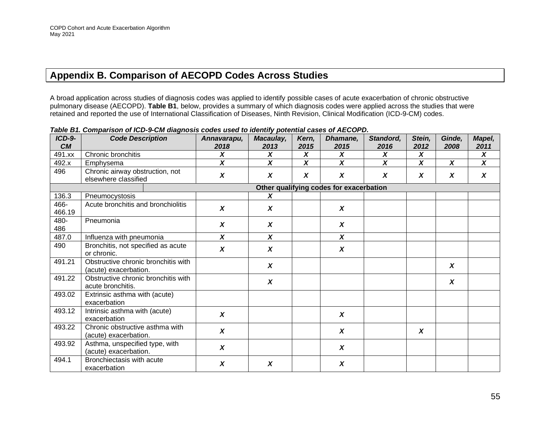## **Appendix B. Comparison of AECOPD Codes Across Studies**

A broad application across studies of diagnosis codes was applied to identify possible cases of acute exacerbation of chronic obstructive pulmonary disease (AECOPD). **Table B1**, below, provides a summary of which diagnosis codes were applied across the studies that were retained and reported the use of International Classification of Diseases, Ninth Revision, Clinical Modification (ICD-9-CM) codes.

| $ICD-9-$<br><b>CM</b> | <b>Code Description</b>                                      | Annavarapu,<br>2018     | Macaulay,<br>2013 | Kern,<br>2015    | Dhamane,<br>2015 | Standord,<br>2016 | Stein,<br>2012   | Ginde,<br>2008   | Mapel,<br>2011   |
|-----------------------|--------------------------------------------------------------|-------------------------|-------------------|------------------|------------------|-------------------|------------------|------------------|------------------|
| 491.xx                | Chronic bronchitis                                           | X                       | X                 | X                | $\boldsymbol{x}$ | X                 | X                |                  | X                |
| 492.x                 | Emphysema                                                    | $\overline{\mathbf{X}}$ | $\boldsymbol{x}$  | $\boldsymbol{x}$ | $\boldsymbol{x}$ | $\boldsymbol{x}$  | $\boldsymbol{X}$ | $\boldsymbol{X}$ | $\boldsymbol{X}$ |
| 496                   | Chronic airway obstruction, not<br>elsewhere classified      | $\boldsymbol{x}$        | X                 | X                | $\boldsymbol{X}$ | $\boldsymbol{x}$  | X                | X                | $\boldsymbol{x}$ |
|                       | Other qualifying codes for exacerbation                      |                         |                   |                  |                  |                   |                  |                  |                  |
| 136.3                 | Pneumocystosis                                               |                         | $\boldsymbol{x}$  |                  |                  |                   |                  |                  |                  |
| 466-<br>466.19        | Acute bronchitis and bronchiolitis                           | $\boldsymbol{x}$        | $\boldsymbol{X}$  |                  | $\boldsymbol{x}$ |                   |                  |                  |                  |
| 480-<br>486           | Pneumonia                                                    | $\boldsymbol{x}$        | X                 |                  | $\boldsymbol{X}$ |                   |                  |                  |                  |
| 487.0                 | Influenza with pneumonia                                     | $\boldsymbol{x}$        | X                 |                  | $\boldsymbol{X}$ |                   |                  |                  |                  |
| 490                   | Bronchitis, not specified as acute<br>or chronic.            | $\boldsymbol{x}$        | X                 |                  | $\boldsymbol{X}$ |                   |                  |                  |                  |
| 491.21                | Obstructive chronic bronchitis with<br>(acute) exacerbation. |                         | $\boldsymbol{X}$  |                  |                  |                   |                  | X                |                  |
| 491.22                | Obstructive chronic bronchitis with<br>acute bronchitis.     |                         | X                 |                  |                  |                   |                  | X                |                  |
| 493.02                | Extrinsic asthma with (acute)<br>exacerbation                |                         |                   |                  |                  |                   |                  |                  |                  |
| 493.12                | Intrinsic asthma with (acute)<br>exacerbation                | $\boldsymbol{x}$        |                   |                  | $\boldsymbol{X}$ |                   |                  |                  |                  |
| 493.22                | Chronic obstructive asthma with<br>(acute) exacerbation.     | $\boldsymbol{x}$        |                   |                  | $\boldsymbol{X}$ |                   | $\boldsymbol{x}$ |                  |                  |
| 493.92                | Asthma, unspecified type, with<br>(acute) exacerbation.      | $\boldsymbol{x}$        |                   |                  | $\boldsymbol{X}$ |                   |                  |                  |                  |
| 494.1                 | Bronchiectasis with acute<br>exacerbation                    | $\boldsymbol{x}$        | X                 |                  | $\boldsymbol{x}$ |                   |                  |                  |                  |

### *Table B1. Comparison of ICD-9-CM diagnosis codes used to identify potential cases of AECOPD.*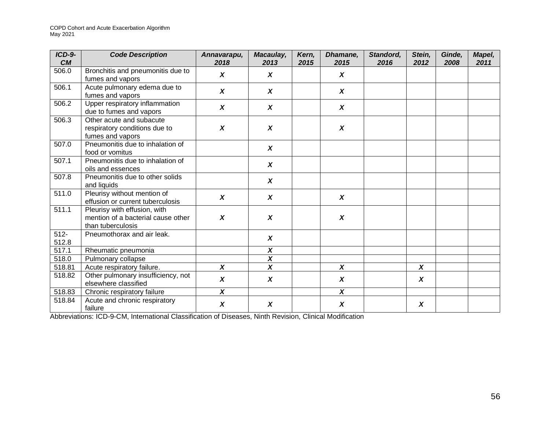| $ICD-9-$<br><b>CM</b> | <b>Code Description</b>                                                                 | Annavarapu,<br>2018 | Macaulay,<br>2013       | Kern,<br>2015 | Dhamane,<br>2015 | Standord,<br>2016 | Stein,<br>2012   | Ginde,<br>2008 | Mapel,<br>2011 |
|-----------------------|-----------------------------------------------------------------------------------------|---------------------|-------------------------|---------------|------------------|-------------------|------------------|----------------|----------------|
| 506.0                 | Bronchitis and pneumonitis due to<br>fumes and vapors                                   | $\boldsymbol{X}$    | X                       |               | $\boldsymbol{X}$ |                   |                  |                |                |
| 506.1                 | Acute pulmonary edema due to<br>fumes and vapors                                        | $\boldsymbol{x}$    | $\boldsymbol{X}$        |               | $\boldsymbol{x}$ |                   |                  |                |                |
| 506.2                 | Upper respiratory inflammation<br>due to fumes and vapors                               | $\boldsymbol{X}$    | $\boldsymbol{x}$        |               | $\boldsymbol{x}$ |                   |                  |                |                |
| 506.3                 | Other acute and subacute<br>respiratory conditions due to<br>fumes and vapors           | X                   | $\boldsymbol{X}$        |               | $\boldsymbol{X}$ |                   |                  |                |                |
| 507.0                 | Pneumonitis due to inhalation of<br>food or vomitus                                     |                     | $\boldsymbol{X}$        |               |                  |                   |                  |                |                |
| 507.1                 | Pneumonitis due to inhalation of<br>oils and essences                                   |                     | $\boldsymbol{X}$        |               |                  |                   |                  |                |                |
| 507.8                 | Pneumonitis due to other solids<br>and liquids                                          |                     | $\boldsymbol{X}$        |               |                  |                   |                  |                |                |
| 511.0                 | Pleurisy without mention of<br>effusion or current tuberculosis                         | $\boldsymbol{X}$    | $\boldsymbol{X}$        |               | $\boldsymbol{x}$ |                   |                  |                |                |
| 511.1                 | Pleurisy with effusion, with<br>mention of a bacterial cause other<br>than tuberculosis | $\boldsymbol{X}$    | $\boldsymbol{X}$        |               | $\boldsymbol{X}$ |                   |                  |                |                |
| $512 -$<br>512.8      | Pneumothorax and air leak.                                                              |                     | $\boldsymbol{X}$        |               |                  |                   |                  |                |                |
| 517.1                 | Rheumatic pneumonia                                                                     |                     | X                       |               |                  |                   |                  |                |                |
| 518.0                 | Pulmonary collapse                                                                      |                     | $\overline{\mathbf{X}}$ |               |                  |                   |                  |                |                |
| 518.81                | Acute respiratory failure.                                                              | $\boldsymbol{x}$    | $\overline{\mathbf{x}}$ |               | $\pmb{\chi}$     |                   | $\boldsymbol{X}$ |                |                |
| 518.82                | Other pulmonary insufficiency, not<br>elsewhere classified                              | $\boldsymbol{X}$    | $\boldsymbol{X}$        |               | $\boldsymbol{x}$ |                   | $\boldsymbol{x}$ |                |                |
| 518.83                | Chronic respiratory failure                                                             | $\boldsymbol{x}$    |                         |               | $\boldsymbol{x}$ |                   |                  |                |                |
| 518.84                | Acute and chronic respiratory<br>failure                                                | $\boldsymbol{x}$    | $\boldsymbol{X}$        |               | $\boldsymbol{x}$ |                   | $\boldsymbol{X}$ |                |                |

Abbreviations: ICD-9-CM, International Classification of Diseases, Ninth Revision, Clinical Modification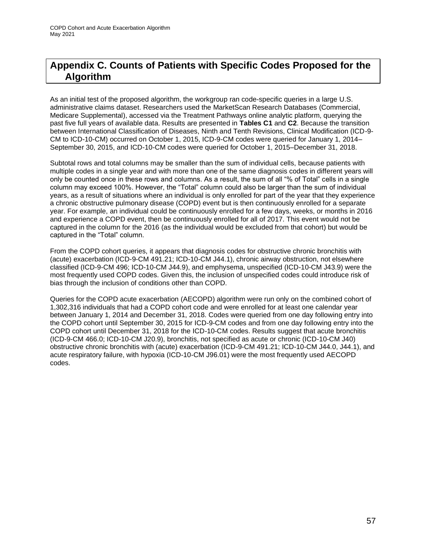## **Appendix C. Counts of Patients with Specific Codes Proposed for the Algorithm**

As an initial test of the proposed algorithm, the workgroup ran code-specific queries in a large U.S. administrative claims dataset. Researchers used the MarketScan Research Databases (Commercial, Medicare Supplemental), accessed via the Treatment Pathways online analytic platform, querying the past five full years of available data. Results are presented in **Tables C1** and **C2**. Because the transition between International Classification of Diseases, Ninth and Tenth Revisions, Clinical Modification (ICD-9- CM to ICD-10-CM) occurred on October 1, 2015, ICD-9-CM codes were queried for January 1, 2014– September 30, 2015, and ICD-10-CM codes were queried for October 1, 2015–December 31, 2018.

Subtotal rows and total columns may be smaller than the sum of individual cells, because patients with multiple codes in a single year and with more than one of the same diagnosis codes in different years will only be counted once in these rows and columns. As a result, the sum of all "% of Total" cells in a single column may exceed 100%. However, the "Total" column could also be larger than the sum of individual years, as a result of situations where an individual is only enrolled for part of the year that they experience a chronic obstructive pulmonary disease (COPD) event but is then continuously enrolled for a separate year. For example, an individual could be continuously enrolled for a few days, weeks, or months in 2016 and experience a COPD event, then be continuously enrolled for all of 2017. This event would not be captured in the column for the 2016 (as the individual would be excluded from that cohort) but would be captured in the "Total" column.

From the COPD cohort queries, it appears that diagnosis codes for obstructive chronic bronchitis with (acute) exacerbation (ICD-9-CM 491.21; ICD-10-CM J44.1), chronic airway obstruction, not elsewhere classified (ICD-9-CM 496; ICD-10-CM J44.9), and emphysema, unspecified (ICD-10-CM J43.9) were the most frequently used COPD codes. Given this, the inclusion of unspecified codes could introduce risk of bias through the inclusion of conditions other than COPD.

Queries for the COPD acute exacerbation (AECOPD) algorithm were run only on the combined cohort of 1,302,316 individuals that had a COPD cohort code and were enrolled for at least one calendar year between January 1, 2014 and December 31, 2018. Codes were queried from one day following entry into the COPD cohort until September 30, 2015 for ICD-9-CM codes and from one day following entry into the COPD cohort until December 31, 2018 for the ICD-10-CM codes. Results suggest that acute bronchitis (ICD-9-CM 466.0; ICD-10-CM J20.9), bronchitis, not specified as acute or chronic (ICD-10-CM J40) obstructive chronic bronchitis with (acute) exacerbation (ICD-9-CM 491.21; ICD-10-CM J44.0, J44.1), and acute respiratory failure, with hypoxia (ICD-10-CM J96.01) were the most frequently used AECOPD codes.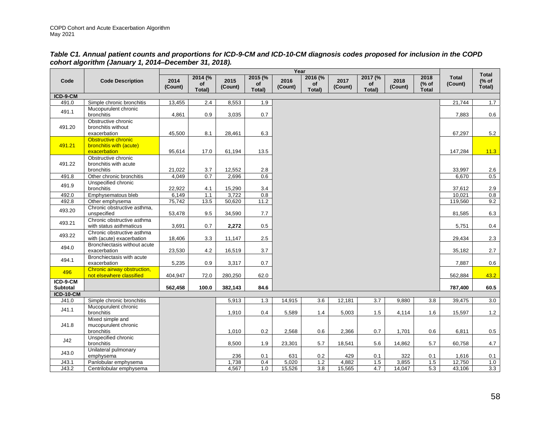| Table C1. Annual patient counts and proportions for ICD-9-CM and ICD-10-CM diagnosis codes proposed for inclusion in the COPD |
|-------------------------------------------------------------------------------------------------------------------------------|
| cohort algorithm (January 1, 2014–December 31, 2018).                                                                         |

|                      |                                                                   |                 |                         |                 |                         | Year            |                         |                 |                         |                 |                        |                         |                                 |
|----------------------|-------------------------------------------------------------------|-----------------|-------------------------|-----------------|-------------------------|-----------------|-------------------------|-----------------|-------------------------|-----------------|------------------------|-------------------------|---------------------------------|
| Code                 | <b>Code Description</b>                                           | 2014<br>(Count) | 2014 (%<br>of<br>Total) | 2015<br>(Count) | 2015 (%<br>of<br>Total) | 2016<br>(Count) | 2016 (%<br>of<br>Total) | 2017<br>(Count) | 2017 (%<br>of<br>Total) | 2018<br>(Count) | 2018<br>(% of<br>Total | <b>Total</b><br>(Count) | <b>Total</b><br>(% of<br>Total) |
| ICD-9-CM             |                                                                   |                 |                         |                 |                         |                 |                         |                 |                         |                 |                        |                         |                                 |
| 491.0                | Simple chronic bronchitis                                         | 13,455          | 2.4                     | 8,553           | 1.9                     |                 |                         |                 |                         |                 |                        | 21,744                  | 1.7                             |
| 491.1                | Mucopurulent chronic<br>bronchitis                                | 4,861           | 0.9                     | 3,035           | 0.7                     |                 |                         |                 |                         |                 |                        | 7,883                   | 0.6                             |
| 491.20               | Obstructive chronic<br>bronchitis without<br>exacerbation         | 45,500          | 8.1                     | 28,461          | 6.3                     |                 |                         |                 |                         |                 |                        | 67,297                  | 5.2                             |
| 491.21               | Obstructive chronic<br>bronchitis with (acute)<br>exacerbation    | 95,614          | 17.0                    | 61,194          | 13.5                    |                 |                         |                 |                         |                 |                        | 147,284                 | 11.3                            |
| 491.22               | Obstructive chronic<br>bronchitis with acute<br><b>bronchitis</b> | 21,022          | 3.7                     | 12,552          | 2.8                     |                 |                         |                 |                         |                 |                        | 33,997                  | 2.6                             |
| 491.8                | Other chronic bronchitis                                          | 4,049           | 0.7                     | 2,696           | 0.6                     |                 |                         |                 |                         |                 |                        | 6,670                   | 0.5                             |
| 491.9                | Unspecified chronic<br>bronchitis                                 | 22,922          | 4.1                     | 15,290          | 3.4                     |                 |                         |                 |                         |                 |                        | 37,612                  | 2.9                             |
| 492.0                | Emphysematous bleb                                                | 6,149           | 1.1                     | 3,722           | 0.8                     |                 |                         |                 |                         |                 |                        | 10,021                  | 0.8                             |
| 492.8                | Other emphysema                                                   | 75,742          | 13.5                    | 50,620          | 11.2                    |                 |                         |                 |                         |                 |                        | 119,560                 | 9.2                             |
| 493.20               | Chronic obstructive asthma,<br>unspecified                        | 53,478          | 9.5                     | 34,590          | 7.7                     |                 |                         |                 |                         |                 |                        | 81,585                  | 6.3                             |
| 493.21               | Chronic obstructive asthma<br>with status asthmaticus             | 3,691           | 0.7                     | 2,272           | 0.5                     |                 |                         |                 |                         |                 |                        | 5,751                   | 0.4                             |
| 493.22               | Chronic obstructive asthma<br>with (acute) exacerbation           | 18,406          | 3.3                     | 11,147          | 2.5                     |                 |                         |                 |                         |                 |                        | 29,434                  | 2.3                             |
| 494.0                | Bronchiectasis without acute<br>exacerbation                      | 23,530          | 4.2                     | 16,519          | 3.7                     |                 |                         |                 |                         |                 |                        | 35,182                  | 2.7                             |
| 494.1                | Bronchiectasis with acute<br>exacerbation                         | 5,235           | 0.9                     | 3,317           | 0.7                     |                 |                         |                 |                         |                 |                        | 7,887                   | 0.6                             |
| 496                  | Chronic airway obstruction,<br>not elsewhere classified           | 404,947         | 72.0                    | 280,250         | 62.0                    |                 |                         |                 |                         |                 |                        | 562,884                 | 43.2                            |
| ICD-9-CM<br>Subtotal |                                                                   | 562,458         | 100.0                   | 382,143         | 84.6                    |                 |                         |                 |                         |                 |                        | 787,400                 | 60.5                            |
| <b>ICD-10-CM</b>     |                                                                   |                 |                         |                 |                         |                 |                         |                 |                         |                 |                        |                         |                                 |
| J41.0                | Simple chronic bronchitis                                         |                 |                         | 5,913           | 1.3                     | 14,915          | 3.6                     | 12,181          | 3.7                     | 9.880           | 3.8                    | 39,475                  | $\overline{3.0}$                |
| J41.1                | Mucopurulent chronic<br>bronchitis                                |                 |                         | 1,910           | 0.4                     | 5,589           | 1.4                     | 5,003           | 1.5                     | 4,114           | 1.6                    | 15,597                  | 1.2                             |
| J41.8                | Mixed simple and<br>mucopurulent chronic<br>bronchitis            |                 |                         | 1,010           | 0.2                     | 2,568           | 0.6                     | 2,366           | 0.7                     | 1,701           | 0.6                    | 6,811                   | $0.5\,$                         |
| J42                  | Unspecified chronic<br>bronchitis                                 |                 |                         | 8,500           | 1.9                     | 23,301          | 5.7                     | 18,541          | 5.6                     | 14,862          | 5.7                    | 60,758                  | 4.7                             |
| J43.0                | Unilateral pulmonary<br>emphysema                                 |                 |                         | 236             | 0.1                     | 631             | 0.2                     | 429             | 0.1                     | 322             | 0.1                    | 1,616                   | 0.1                             |
| J43.1                | Panlobular emphysema                                              |                 |                         | 1,738           | 0.4                     | 5,020           | $\overline{1.2}$        | 4.882           | 1.5                     | 3,855           | 1.5                    | 12,750                  | 1.0                             |
| J43.2                | Centrilobular emphysema                                           |                 |                         | 4,567           | 1.0                     | 15,526          | 3.8                     | 15,565          | $\overline{4.7}$        | 14,047          | 5.3                    | 43,106                  | 3.3                             |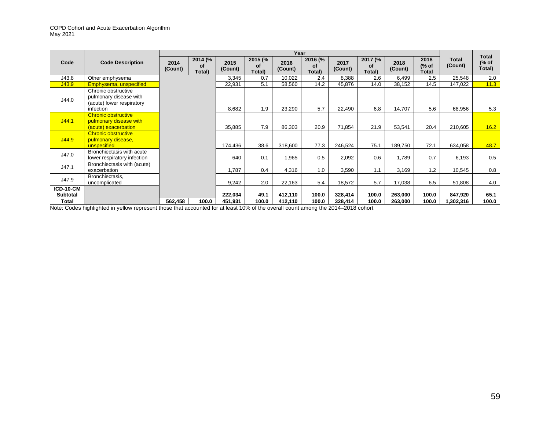|                       |                                                                                         |                 |                                |                 |                         | Year            |                                |                 |                         |                 |                        |                  | <b>Total</b>    |
|-----------------------|-----------------------------------------------------------------------------------------|-----------------|--------------------------------|-----------------|-------------------------|-----------------|--------------------------------|-----------------|-------------------------|-----------------|------------------------|------------------|-----------------|
| Code                  | <b>Code Description</b>                                                                 | 2014<br>(Count) | 2014 (%<br><b>of</b><br>Total) | 2015<br>(Count) | 2015 (%<br>οf<br>Total) | 2016<br>(Count) | 2016 (%<br><b>of</b><br>Total) | 2017<br>(Count) | 2017 (%<br>of<br>Total) | 2018<br>(Count) | 2018<br>(% of<br>Total | Total<br>(Count) | (% of<br>Total) |
| J43.8                 | Other emphysema                                                                         |                 |                                | 3,345           | 0.7                     | 10,022          | 2.4                            | 8,388           | 2.6                     | 6,499           | 2.5                    | 25,548           | 2.0             |
| J43.9                 | <b>Emphysema, unspecified</b>                                                           |                 |                                | 22,931          | 5.1                     | 58,560          | 14.2                           | 45,876          | 14.0                    | 38,152          | 14.5                   | 147,022          | 11.3            |
| J44.0                 | Chronic obstructive<br>pulmonary disease with<br>(acute) lower respiratory<br>infection |                 |                                | 8,682           | 1.9                     | 23,290          | 5.7                            | 22,490          | 6.8                     | 14,707          | 5.6                    | 68,956           | 5.3             |
| J44.1                 | <b>Chronic obstructive</b><br>pulmonary disease with<br>(acute) exacerbation            |                 |                                | 35,885          | 7.9                     | 86,303          | 20.9                           | 71,854          | 21.9                    | 53,541          | 20.4                   | 210,605          | 16.2            |
| J44.9                 | Chronic obstructive<br>pulmonary disease,<br>unspecified                                |                 |                                | 174,436         | 38.6                    | 318,600         | 77.3                           | 246,524         | 75.1                    | 189,750         | 72.1                   | 634,058          | 48.7            |
| J47.0                 | Bronchiectasis with acute<br>lower respiratory infection                                |                 |                                | 640             | 0.1                     | 1,965           | 0.5                            | 2,092           | 0.6                     | 1,789           | 0.7                    | 6,193            | 0.5             |
| J47.1                 | Bronchiectasis with (acute)<br>exacerbation                                             |                 |                                | 1,787           | 0.4                     | 4,316           | 1.0                            | 3,590           | 1.1                     | 3,169           | 1.2                    | 10,545           | 0.8             |
| J47.9                 | Bronchiectasis,<br>uncomplicated                                                        |                 |                                | 9,242           | 2.0                     | 22,163          | 5.4                            | 18,572          | 5.7                     | 17,038          | 6.5                    | 51,808           | 4.0             |
| ICD-10-CM<br>Subtotal |                                                                                         |                 |                                | 222,034         | 49.1                    | 412,110         | 100.0                          | 328,414         | 100.0                   | 263,000         | 100.0                  | 847,920          | 65.1            |
| Total                 |                                                                                         | 562,458         | 100.0                          | 451,931         | 100.0                   | 412,110         | 100.0                          | 328,414         | 100.0                   | 263,000         | 100.0                  | ,302,316         | 100.0           |

Note: Codes highlighted in yellow represent those that accounted for at least 10% of the overall count among the 2014–2018 cohort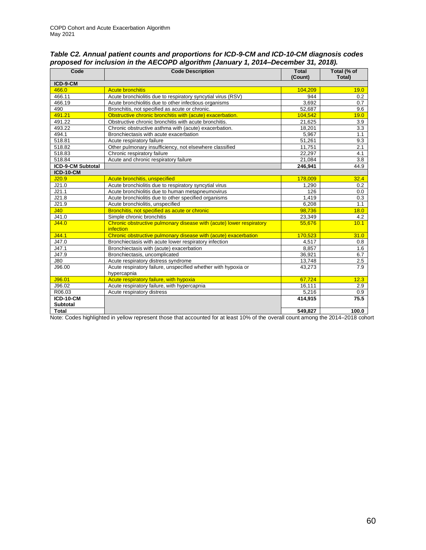| Table C2. Annual patient counts and proportions for ICD-9-CM and ICD-10-CM diagnosis codes |
|--------------------------------------------------------------------------------------------|
| proposed for inclusion in the AECOPD algorithm (January 1, 2014–December 31, 2018).        |

| Code                     | <b>Code Description</b>                                                           | <b>Total</b><br>(Count) | Total (% of<br>Total) |
|--------------------------|-----------------------------------------------------------------------------------|-------------------------|-----------------------|
| ICD-9-CM                 |                                                                                   |                         |                       |
| 466.0                    | <b>Acute bronchitis</b>                                                           | 104,209                 | 19.0                  |
| 466.11                   | Acute bronchiolitis due to respiratory syncytial virus (RSV)                      | 944                     | 0.2                   |
| 466.19                   | Acute bronchiolitis due to other infectious organisms                             | 3,692                   | 0.7                   |
| 490                      | Bronchitis, not specified as acute or chronic.                                    | 52,687                  | 9.6                   |
| 491.21                   | Obstructive chronic bronchitis with (acute) exacerbation.                         | 104,542                 | 19.0                  |
| 491.22                   | Obstructive chronic bronchitis with acute bronchitis.                             | 21.625                  | 3.9                   |
| 493.22                   | Chronic obstructive asthma with (acute) exacerbation.                             | 18,201                  | 3.3                   |
| 494.1                    | Bronchiectasis with acute exacerbation                                            | 5,967                   | 1.1                   |
| 518.81                   | Acute respiratory failure                                                         | 51.261                  | 9.3                   |
| 518.82                   | Other pulmonary insufficiency, not elsewhere classified                           | 11,751                  | 2.1                   |
| 518.83                   | Chronic respiratory failure                                                       | 22,297                  | 4.1                   |
| 518.84                   | Acute and chronic respiratory failure                                             | 21,084                  | 3.8                   |
| <b>ICD-9-CM Subtotal</b> |                                                                                   | 246,941                 | 44.9                  |
| <b>ICD-10-CM</b>         |                                                                                   |                         |                       |
| J20.9                    | Acute bronchitis, unspecified                                                     | 178,009                 | 32.4                  |
| J21.0                    | Acute bronchiolitis due to respiratory syncytial virus                            | 1.290                   | 0.2                   |
| J21.1                    | Acute bronchiolitis due to human metapneumovirus                                  | 126                     | 0.0                   |
| J21.8                    | Acute bronchiolitis due to other specified organisms                              | 1,419                   | 0.3                   |
| J21.9                    | Acute bronchiolitis, unspecified                                                  | 6,208                   | 1.1                   |
| J40                      | Bronchitis, not specified as acute or chronic                                     | 98,736                  | 18.0                  |
| J41.0                    | Simple chronic bronchitis                                                         | 23,349                  | 4.2                   |
| J44.0                    | Chronic obstructive pulmonary disease with (acute) lower respiratory<br>infection | 55,676                  | 10.1                  |
| J44.1                    | Chronic obstructive pulmonary disease with (acute) exacerbation                   | 170,523                 | 31.0                  |
| J47.0                    | Bronchiectasis with acute lower respiratory infection                             | 4,517                   | 0.8                   |
| J47.1                    | Bronchiectasis with (acute) exacerbation                                          | 8,857                   | 1.6                   |
| J47.9                    | Bronchiectasis, uncomplicated                                                     | 36,921                  | 6.7                   |
| J80                      | Acute respiratory distress syndrome                                               | 13,748                  | 2.5                   |
| J96.00                   | Acute respiratory failure, unspecified whether with hypoxia or                    | 43,273                  | 7.9                   |
|                          | hypercapnia                                                                       |                         |                       |
| J96.01                   | Acute respiratory failure, with hypoxia                                           | 67,724                  | 12.3                  |
| J96.02                   | Acute respiratory failure, with hypercapnia                                       | 16,111                  | 2.9                   |
| R06.03                   | Acute respiratory distress                                                        | 5,216                   | 0.9                   |
| <b>ICD-10-CM</b>         |                                                                                   | 414,915                 | 75.5                  |
| <b>Subtotal</b>          |                                                                                   |                         |                       |
| Total                    |                                                                                   | 549.827                 | 100.0                 |

Note: Codes highlighted in yellow represent those that accounted for at least 10% of the overall count among the 2014–2018 cohort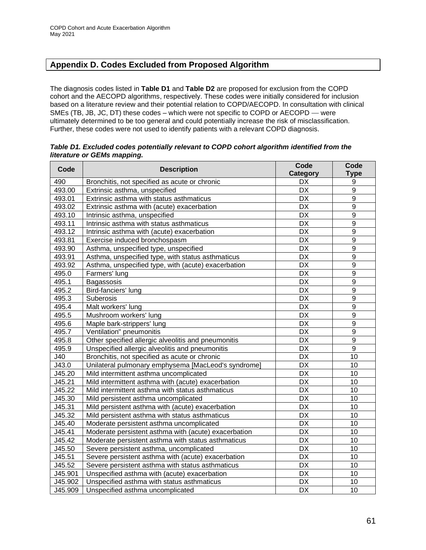### **Appendix D. Codes Excluded from Proposed Algorithm**

The diagnosis codes listed in **Table D1** and **Table D2** are proposed for exclusion from the COPD cohort and the AECOPD algorithms, respectively. These codes were initially considered for inclusion based on a literature review and their potential relation to COPD/AECOPD. In consultation with clinical SMEs (TB, JB, JC, DT) these codes – which were not specific to COPD or AECOPD — were ultimately determined to be too general and could potentially increase the risk of misclassification. Further, these codes were not used to identify patients with a relevant COPD diagnosis.

| Code    | <b>Description</b>                                   | Code<br>Category | Code<br><b>Type</b> |
|---------|------------------------------------------------------|------------------|---------------------|
| 490     | Bronchitis, not specified as acute or chronic        | <b>DX</b>        | 9                   |
| 493.00  | Extrinsic asthma, unspecified                        | <b>DX</b>        | 9                   |
| 493.01  | Extrinsic asthma with status asthmaticus             | <b>DX</b>        | 9                   |
| 493.02  | Extrinsic asthma with (acute) exacerbation           | DX               | 9                   |
| 493.10  | Intrinsic asthma, unspecified                        | <b>DX</b>        | 9                   |
| 493.11  | Intrinsic asthma with status asthmaticus             | <b>DX</b>        | $\boldsymbol{9}$    |
| 493.12  | Intrinsic asthma with (acute) exacerbation           | <b>DX</b>        | 9                   |
| 493.81  | Exercise induced bronchospasm                        | <b>DX</b>        | 9                   |
| 493.90  | Asthma, unspecified type, unspecified                | <b>DX</b>        | $\boldsymbol{9}$    |
| 493.91  | Asthma, unspecified type, with status asthmaticus    | <b>DX</b>        | $\boldsymbol{9}$    |
| 493.92  | Asthma, unspecified type, with (acute) exacerbation  | <b>DX</b>        | $\boldsymbol{9}$    |
| 495.0   | Farmers' lung                                        | DX               | $\boldsymbol{9}$    |
| 495.1   | Bagassosis                                           | <b>DX</b>        | $\overline{9}$      |
| 495.2   | Bird-fanciers' lung                                  | <b>DX</b>        | $\overline{9}$      |
| 495.3   | Suberosis                                            | $\overline{DX}$  | $\overline{9}$      |
| 495.4   | Malt workers' lung                                   | DX               | $\overline{9}$      |
| 495.5   | Mushroom workers' lung                               | DX               | 9                   |
| 495.6   | Maple bark-strippers' lung                           | <b>DX</b>        | $\boldsymbol{9}$    |
| 495.7   | Ventilation" pneumonitis                             | <b>DX</b>        | $\boldsymbol{9}$    |
| 495.8   | Other specified allergic alveolitis and pneumonitis  | DX               | $\boldsymbol{9}$    |
| 495.9   | Unspecified allergic alveolitis and pneumonitis      | <b>DX</b>        | $\overline{9}$      |
| J40     | Bronchitis, not specified as acute or chronic        | DX               | 10                  |
| J43.0   | Unilateral pulmonary emphysema [MacLeod's syndrome]  | $\overline{DX}$  | 10                  |
| J45.20  | Mild intermittent asthma uncomplicated               | <b>DX</b>        | 10                  |
| J45.21  | Mild intermittent asthma with (acute) exacerbation   | <b>DX</b>        | 10                  |
| J45.22  | Mild intermittent asthma with status asthmaticus     | DX               | 10                  |
| J45.30  | Mild persistent asthma uncomplicated                 | <b>DX</b>        | 10                  |
| J45.31  | Mild persistent asthma with (acute) exacerbation     | DX               | 10                  |
| J45.32  | Mild persistent asthma with status asthmaticus       | <b>DX</b>        | 10                  |
| J45.40  | Moderate persistent asthma uncomplicated             | DX               | 10                  |
| J45.41  | Moderate persistent asthma with (acute) exacerbation | <b>DX</b>        | 10                  |
| J45.42  | Moderate persistent asthma with status asthmaticus   | <b>DX</b>        | 10                  |
| J45.50  | Severe persistent asthma, uncomplicated              | <b>DX</b>        | 10                  |
| J45.51  | Severe persistent asthma with (acute) exacerbation   | <b>DX</b>        | 10                  |
| J45.52  | Severe persistent asthma with status asthmaticus     | <b>DX</b>        | 10                  |
| J45.901 | Unspecified asthma with (acute) exacerbation         | DX               | 10                  |
| J45.902 | Unspecified asthma with status asthmaticus           | DX               | 10                  |
| J45.909 | Unspecified asthma uncomplicated                     | <b>DX</b>        | $\overline{10}$     |

*Table D1. Excluded codes potentially relevant to COPD cohort algorithm identified from the literature or GEMs mapping.*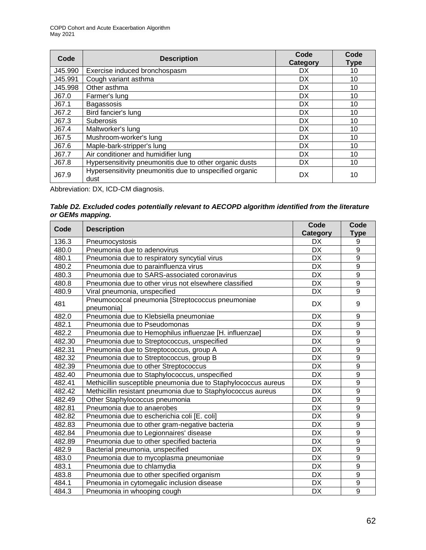| Code    | <b>Description</b>                                              | Code<br>Category | Code<br><b>Type</b> |
|---------|-----------------------------------------------------------------|------------------|---------------------|
| J45.990 | Exercise induced bronchospasm                                   | DX               | 10                  |
| J45.991 | Cough variant asthma                                            | DX               | 10                  |
| J45.998 | Other asthma                                                    | DX               | 10                  |
| J67.0   | Farmer's lung                                                   | DX               | 10                  |
| J67.1   | Bagassosis                                                      | DX               | 10                  |
| J67.2   | Bird fancier's lung                                             | DX               | 10                  |
| J67.3   | <b>Suberosis</b>                                                | <b>DX</b>        | 10                  |
| J67.4   | Maltworker's lung                                               | DX               | 10                  |
| J67.5   | Mushroom-worker's lung                                          | DX               | 10                  |
| J67.6   | Maple-bark-stripper's lung                                      | DX               | 10                  |
| J67.7   | Air conditioner and humidifier lung                             | DX               | 10                  |
| J67.8   | Hypersensitivity pneumonitis due to other organic dusts         | <b>DX</b>        | 10                  |
| J67.9   | Hypersensitivity pneumonitis due to unspecified organic<br>dust | DX               | 10                  |

Abbreviation: DX, ICD-CM diagnosis.

#### *Table D2. Excluded codes potentially relevant to AECOPD algorithm identified from the literature or GEMs mapping.*

| Code   | <b>Description</b>                                             | Code<br>Category | Code<br><b>Type</b> |
|--------|----------------------------------------------------------------|------------------|---------------------|
| 136.3  | Pneumocystosis                                                 | DX               | 9                   |
| 480.0  | Pneumonia due to adenovirus                                    | <b>DX</b>        | 9                   |
| 480.1  | Pneumonia due to respiratory syncytial virus                   | <b>DX</b>        | 9                   |
| 480.2  | Pneumonia due to parainfluenza virus                           | <b>DX</b>        | $\boldsymbol{9}$    |
| 480.3  | Pneumonia due to SARS-associated coronavirus                   | <b>DX</b>        | $\boldsymbol{9}$    |
| 480.8  | Pneumonia due to other virus not elsewhere classified          | <b>DX</b>        | 9                   |
| 480.9  | Viral pneumonia, unspecified                                   | <b>DX</b>        | 9                   |
| 481    | Pneumococcal pneumonia [Streptococcus pneumoniae<br>pneumonia] | <b>DX</b>        | 9                   |
| 482.0  | Pneumonia due to Klebsiella pneumoniae                         | <b>DX</b>        | 9                   |
| 482.1  | Pneumonia due to Pseudomonas                                   | DX               | $\boldsymbol{9}$    |
| 482.2  | Pneumonia due to Hemophilus influenzae [H. influenzae]         | <b>DX</b>        | $\boldsymbol{9}$    |
| 482.30 | Pneumonia due to Streptococcus, unspecified                    | <b>DX</b>        | 9                   |
| 482.31 | Pneumonia due to Streptococcus, group A                        | <b>DX</b>        | 9                   |
| 482.32 | Pneumonia due to Streptococcus, group B                        | <b>DX</b>        | $\boldsymbol{9}$    |
| 482.39 | Pneumonia due to other Streptococcus                           | <b>DX</b>        | 9                   |
| 482.40 | Pneumonia due to Staphylococcus, unspecified                   | <b>DX</b>        | 9                   |
| 482.41 | Methicillin susceptible pneumonia due to Staphylococcus aureus | <b>DX</b>        | 9                   |
| 482.42 | Methicillin resistant pneumonia due to Staphylococcus aureus   | DX               | $\overline{9}$      |
| 482.49 | Other Staphylococcus pneumonia                                 | <b>DX</b>        | $\boldsymbol{9}$    |
| 482.81 | Pneumonia due to anaerobes                                     | <b>DX</b>        | 9                   |
| 482.82 | Pneumonia due to escherichia coli [E. coli]                    | <b>DX</b>        | $\boldsymbol{9}$    |
| 482.83 | Pneumonia due to other gram-negative bacteria                  | <b>DX</b>        | 9                   |
| 482.84 | Pneumonia due to Legionnaires' disease                         | <b>DX</b>        | 9                   |
| 482.89 | Pneumonia due to other specified bacteria                      | DX               | 9                   |
| 482.9  | Bacterial pneumonia, unspecified                               | DX               | 9                   |
| 483.0  | Pneumonia due to mycoplasma pneumoniae                         | <b>DX</b>        | $\boldsymbol{9}$    |
| 483.1  | Pneumonia due to chlamydia                                     | <b>DX</b>        | 9                   |
| 483.8  | Pneumonia due to other specified organism                      | <b>DX</b>        | 9                   |
| 484.1  | Pneumonia in cytomegalic inclusion disease                     | <b>DX</b>        | $\boldsymbol{9}$    |
| 484.3  | Pneumonia in whooping cough                                    | <b>DX</b>        | $\overline{9}$      |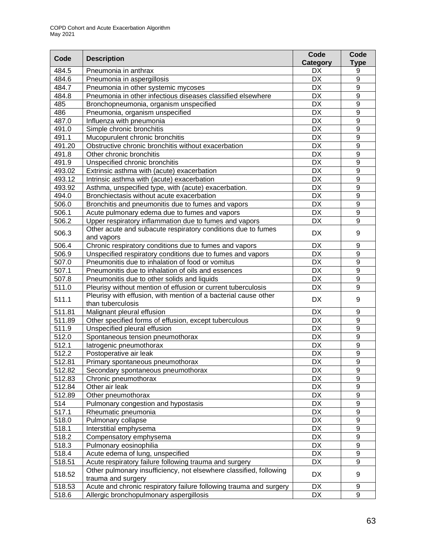| Code               | <b>Description</b>                                                                   | Code<br>Category | Code<br><b>Type</b> |
|--------------------|--------------------------------------------------------------------------------------|------------------|---------------------|
| 484.5              | Pneumonia in anthrax                                                                 | <b>DX</b>        | 9                   |
| 484.6              | Pneumonia in aspergillosis                                                           | $\overline{DX}$  | 9                   |
| 484.7              | Pneumonia in other systemic mycoses                                                  | <b>DX</b>        | 9                   |
| 484.8              | Pneumonia in other infectious diseases classified elsewhere                          | $\overline{DX}$  | 9                   |
| 485                | Bronchopneumonia, organism unspecified                                               | <b>DX</b>        | 9                   |
| 486                | Pneumonia, organism unspecified                                                      | $\overline{DX}$  | 9                   |
| 487.0              | Influenza with pneumonia                                                             | $\overline{DX}$  | 9                   |
| 491.0              | Simple chronic bronchitis                                                            | $\overline{DX}$  | 9                   |
| 491.1              | Mucopurulent chronic bronchitis                                                      | <b>DX</b>        | $\boldsymbol{9}$    |
| 491.20             | Obstructive chronic bronchitis without exacerbation                                  | $\overline{DX}$  | 9                   |
| 491.8              | Other chronic bronchitis                                                             | $\overline{DX}$  | $\boldsymbol{9}$    |
| 491.9              | Unspecified chronic bronchitis                                                       | $\overline{DX}$  | 9                   |
| 493.02             | Extrinsic asthma with (acute) exacerbation                                           | $\overline{DX}$  | 9                   |
| 493.12             | Intrinsic asthma with (acute) exacerbation                                           | $\overline{DX}$  | 9                   |
| 493.92             | Asthma, unspecified type, with (acute) exacerbation.                                 | $\overline{DX}$  | 9                   |
| 494.0              | Bronchiectasis without acute exacerbation                                            | $\overline{DX}$  | $\boldsymbol{9}$    |
| 506.0              | Bronchitis and pneumonitis due to fumes and vapors                                   | $\overline{DX}$  | 9                   |
| 506.1              | Acute pulmonary edema due to fumes and vapors                                        | <b>DX</b>        | $\overline{9}$      |
| 506.2              | Upper respiratory inflammation due to fumes and vapors                               | $\overline{DX}$  | 9                   |
|                    | Other acute and subacute respiratory conditions due to fumes                         |                  |                     |
| 506.3              | and vapors                                                                           | <b>DX</b>        | 9                   |
| 506.4              | Chronic respiratory conditions due to fumes and vapors                               | <b>DX</b>        | $\boldsymbol{9}$    |
| 506.9              | Unspecified respiratory conditions due to fumes and vapors                           | DX               | $\boldsymbol{9}$    |
| 507.0              | Pneumonitis due to inhalation of food or vomitus                                     | $\overline{DX}$  | $\boldsymbol{9}$    |
| 507.1              | Pneumonitis due to inhalation of oils and essences                                   | DX               | $\boldsymbol{9}$    |
| 507.8              | Pneumonitis due to other solids and liquids                                          | $\overline{DX}$  | 9                   |
| 511.0              | Pleurisy without mention of effusion or current tuberculosis                         | DX               | 9                   |
| 511.1              | Pleurisy with effusion, with mention of a bacterial cause other<br>than tuberculosis | <b>DX</b>        | 9                   |
| 511.81             | Malignant pleural effusion                                                           | DX               | 9                   |
| 511.89             | Other specified forms of effusion, except tuberculous                                | <b>DX</b>        | $\boldsymbol{9}$    |
| 511.9              | Unspecified pleural effusion                                                         | <b>DX</b>        | $\boldsymbol{9}$    |
| 512.0              | Spontaneous tension pneumothorax                                                     | <b>DX</b>        | $\boldsymbol{9}$    |
| 512.1              | latrogenic pneumothorax                                                              | <b>DX</b>        | $\boldsymbol{9}$    |
| 512.2              | Postoperative air leak                                                               | <b>DX</b>        | 9                   |
| 512.81             | Primary spontaneous pneumothorax                                                     | DX               | 9                   |
| 512.82             | Secondary spontaneous pneumothorax                                                   | DX               | 9                   |
| 512.83             | Chronic pneumothorax                                                                 | DX               | 9                   |
| 512.84             | Other air leak                                                                       | DX               | 9                   |
| 512.89             | Other pneumothorax                                                                   | DX               | 9                   |
| 514                | Pulmonary congestion and hypostasis                                                  | <b>DX</b>        | 9                   |
| 517.1              | Rheumatic pneumonia                                                                  | DX               | 9                   |
| 518.0              | Pulmonary collapse                                                                   | <b>DX</b>        | 9                   |
| $\overline{5}18.1$ | Interstitial emphysema                                                               | DX               | 9                   |
| 518.2              | Compensatory emphysema                                                               | <b>DX</b>        | 9                   |
| 518.3              | Pulmonary eosinophilia                                                               | DX               | 9                   |
| 518.4              | Acute edema of lung, unspecified                                                     | DX               | 9                   |
| 518.51             | Acute respiratory failure following trauma and surgery                               | <b>DX</b>        | 9                   |
|                    | Other pulmonary insufficiency, not elsewhere classified, following                   |                  |                     |
| 518.52             | trauma and surgery                                                                   | DX               | 9                   |
| 518.53             | Acute and chronic respiratory failure following trauma and surgery                   | <b>DX</b>        | 9                   |
| 518.6              | Allergic bronchopulmonary aspergillosis                                              | DX               | 9                   |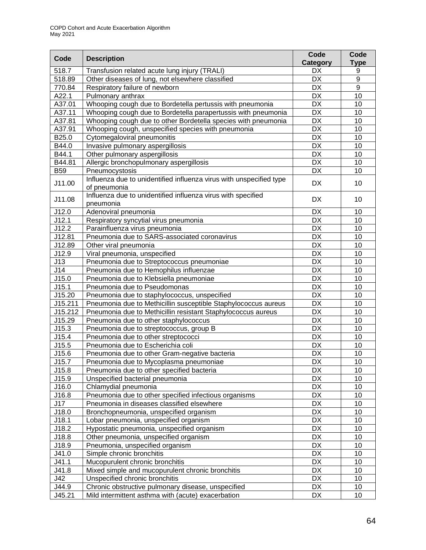| Code       | <b>Description</b>                                                                  | Code            | Code             |
|------------|-------------------------------------------------------------------------------------|-----------------|------------------|
| 518.7      |                                                                                     | Category<br>DX  | <b>Type</b><br>9 |
| 518.89     | Transfusion related acute lung injury (TRALI)                                       | <b>DX</b>       | $\boldsymbol{9}$ |
| 770.84     | Other diseases of lung, not elsewhere classified<br>Respiratory failure of newborn  | <b>DX</b>       | $\overline{9}$   |
| A22.1      | Pulmonary anthrax                                                                   | <b>DX</b>       | 10               |
| A37.01     | Whooping cough due to Bordetella pertussis with pneumonia                           | <b>DX</b>       | 10               |
| A37.11     | Whooping cough due to Bordetella parapertussis with pneumonia                       | <b>DX</b>       | 10               |
| A37.81     | Whooping cough due to other Bordetella species with pneumonia                       | <b>DX</b>       | 10               |
| A37.91     | Whooping cough, unspecified species with pneumonia                                  | <b>DX</b>       | 10               |
| B25.0      | Cytomegaloviral pneumonitis                                                         | <b>DX</b>       | 10               |
| B44.0      | Invasive pulmonary aspergillosis                                                    | $\overline{DX}$ | 10               |
| B44.1      |                                                                                     | <b>DX</b>       | 10               |
| B44.81     | Other pulmonary aspergillosis                                                       | <b>DX</b>       | 10               |
|            | Allergic bronchopulmonary aspergillosis                                             | <b>DX</b>       | 10               |
| <b>B59</b> | Pneumocystosis                                                                      |                 |                  |
| J11.00     | Influenza due to unidentified influenza virus with unspecified type<br>of pneumonia | <b>DX</b>       | 10               |
|            | Influenza due to unidentified influenza virus with specified                        |                 |                  |
| J11.08     | pneumonia                                                                           | <b>DX</b>       | 10               |
| J12.0      | Adenoviral pneumonia                                                                | <b>DX</b>       | 10               |
| J12.1      | Respiratory syncytial virus pneumonia                                               | $\overline{DX}$ | 10               |
| J12.2      | Parainfluenza virus pneumonia                                                       | DX              | 10               |
| J12.81     | Pneumonia due to SARS-associated coronavirus                                        | DX              | 10               |
| J12.89     | Other viral pneumonia                                                               | DX              | 10               |
| J12.9      | Viral pneumonia, unspecified                                                        | DX              | 10               |
| J13        | Pneumonia due to Streptococcus pneumoniae                                           | $\overline{DX}$ | 10               |
| J14        | Pneumonia due to Hemophilus influenzae                                              | DX              | 10               |
| J15.0      | Pneumonia due to Klebsiella pneumoniae                                              | $\overline{DX}$ | 10               |
| J15.1      | Pneumonia due to Pseudomonas                                                        | DX              | 10               |
| J15.20     | Pneumonia due to staphylococcus, unspecified                                        | $\overline{DX}$ | 10               |
| J15.211    | Pneumonia due to Methicillin susceptible Staphylococcus aureus                      | DX              | 10               |
| J15.212    | Pneumonia due to Methicillin resistant Staphylococcus aureus                        | <b>DX</b>       | 10               |
| J15.29     | Pneumonia due to other staphylococcus                                               | DX              | 10               |
| J15.3      | Pneumonia due to streptococcus, group B                                             | DX              | 10               |
| J15.4      | Pneumonia due to other streptococci                                                 | $\overline{DX}$ | 10               |
| J15.5      | Pneumonia due to Escherichia coli                                                   | <b>DX</b>       | 10               |
| J15.6      | Pneumonia due to other Gram-negative bacteria                                       | <b>DX</b>       | 10               |
| J15.7      | Pneumonia due to Mycoplasma pneumoniae                                              | DX              | 10               |
| J15.8      | Pneumonia due to other specified bacteria                                           | <b>DX</b>       | 10               |
| J15.9      | Unspecified bacterial pneumonia                                                     | <b>DX</b>       | 10               |
| J16.0      | Chlamydial pneumonia                                                                | <b>DX</b>       | 10               |
| J16.8      | Pneumonia due to other specified infectious organisms                               | DX              | 10               |
| J17        | Pneumonia in diseases classified elsewhere                                          | DX              | 10               |
| J18.0      | Bronchopneumonia, unspecified organism                                              | DX              | 10               |
| J18.1      | Lobar pneumonia, unspecified organism                                               | DX              | 10               |
| J18.2      | Hypostatic pneumonia, unspecified organism                                          | DX              | 10               |
| J18.8      | Other pneumonia, unspecified organism                                               | DX              | 10               |
| J18.9      | Pneumonia, unspecified organism                                                     | <b>DX</b>       | 10               |
| J41.0      | Simple chronic bronchitis                                                           | DX              | 10               |
| J41.1      | Mucopurulent chronic bronchitis                                                     | <b>DX</b>       | 10               |
| J41.8      | Mixed simple and mucopurulent chronic bronchitis                                    | DX              | 10               |
| J42        | Unspecified chronic bronchitis                                                      | <b>DX</b>       | 10               |
| J44.9      | Chronic obstructive pulmonary disease, unspecified                                  | <b>DX</b>       | 10               |
| J45.21     | Mild intermittent asthma with (acute) exacerbation                                  | DX              | 10               |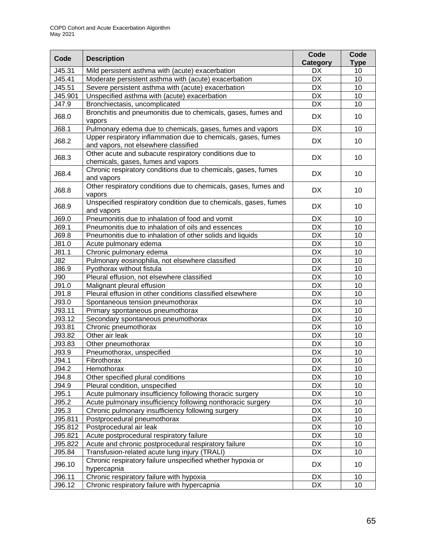| Code    | <b>Description</b>                                                                                    | Code            | Code        |
|---------|-------------------------------------------------------------------------------------------------------|-----------------|-------------|
|         |                                                                                                       | Category        | <b>Type</b> |
| J45.31  | Mild persistent asthma with (acute) exacerbation                                                      | DX              | 10          |
| J45.41  | Moderate persistent asthma with (acute) exacerbation                                                  | <b>DX</b>       | 10          |
| J45.51  | Severe persistent asthma with (acute) exacerbation                                                    | <b>DX</b>       | 10          |
| J45.901 | Unspecified asthma with (acute) exacerbation                                                          | <b>DX</b>       | 10          |
| J47.9   | Bronchiectasis, uncomplicated                                                                         | $\overline{DX}$ | 10          |
| J68.0   | Bronchitis and pneumonitis due to chemicals, gases, fumes and<br>vapors                               | <b>DX</b>       | 10          |
| J68.1   | Pulmonary edema due to chemicals, gases, fumes and vapors                                             | <b>DX</b>       | 10          |
| J68.2   | Upper respiratory inflammation due to chemicals, gases, fumes<br>and vapors, not elsewhere classified | <b>DX</b>       | 10          |
| J68.3   | Other acute and subacute respiratory conditions due to<br>chemicals, gases, fumes and vapors          | <b>DX</b>       | 10          |
| J68.4   | Chronic respiratory conditions due to chemicals, gases, fumes<br>and vapors                           | <b>DX</b>       | 10          |
| J68.8   | Other respiratory conditions due to chemicals, gases, fumes and<br>vapors                             | <b>DX</b>       | 10          |
| J68.9   | Unspecified respiratory condition due to chemicals, gases, fumes<br>and vapors                        | DX              | 10          |
| J69.0   | Pneumonitis due to inhalation of food and vomit                                                       | <b>DX</b>       | 10          |
| J69.1   | Pneumonitis due to inhalation of oils and essences                                                    | <b>DX</b>       | 10          |
| J69.8   | Pneumonitis due to inhalation of other solids and liquids                                             | DX              | 10          |
| J81.0   | Acute pulmonary edema                                                                                 | <b>DX</b>       | 10          |
| J81.1   | Chronic pulmonary edema                                                                               | DX              | 10          |
| J82     | Pulmonary eosinophilia, not elsewhere classified                                                      | <b>DX</b>       | 10          |
| J86.9   | Pyothorax without fistula                                                                             | DX              | 10          |
| J90     | Pleural effusion, not elsewhere classified                                                            | <b>DX</b>       | 10          |
| J91.0   | Malignant pleural effusion                                                                            | DX              | 10          |
| J91.8   | Pleural effusion in other conditions classified elsewhere                                             | DX              | 10          |
| J93.0   | Spontaneous tension pneumothorax                                                                      | DX              | 10          |
| J93.11  | Primary spontaneous pneumothorax                                                                      | DX              | 10          |
| J93.12  | Secondary spontaneous pneumothorax                                                                    | <b>DX</b>       | 10          |
| J93.81  | Chronic pneumothorax                                                                                  | DX              | 10          |
| J93.82  | Other air leak                                                                                        | DX              | 10          |
| J93.83  | Other pneumothorax                                                                                    | DX              | 10          |
| J93.9   | Pneumothorax, unspecified                                                                             | DX              | 10          |
| J94.1   | Fibrothorax                                                                                           | DX              | $10$        |
| J94.2   | Hemothorax                                                                                            | <b>DX</b>       | 10          |
| J94.8   | Other specified plural conditions                                                                     | DX              | 10          |
| J94.9   | Pleural condition, unspecified                                                                        | DX              | 10          |
| J95.1   | Acute pulmonary insufficiency following thoracic surgery                                              | DX              | 10          |
| J95.2   | Acute pulmonary insufficiency following nonthoracic surgery                                           | DX              | 10          |
| J95.3   | Chronic pulmonary insufficiency following surgery                                                     | DX              | 10          |
| J95.811 | Postprocedural pneumothorax                                                                           | DX              | 10          |
| J95.812 | Postprocedural air leak                                                                               | DX              | 10          |
| J95.821 | Acute postprocedural respiratory failure                                                              | DX              | 10          |
| J95.822 | Acute and chronic postprocedural respiratory failure                                                  | DX              | 10          |
| J95.84  | Transfusion-related acute lung injury (TRALI)                                                         | DX              | 10          |
| J96.10  | Chronic respiratory failure unspecified whether hypoxia or<br>hypercapnia                             | DX              | 10          |
| J96.11  | Chronic respiratory failure with hypoxia                                                              | DX              | 10          |
| J96.12  | Chronic respiratory failure with hypercapnia                                                          | DX              | 10          |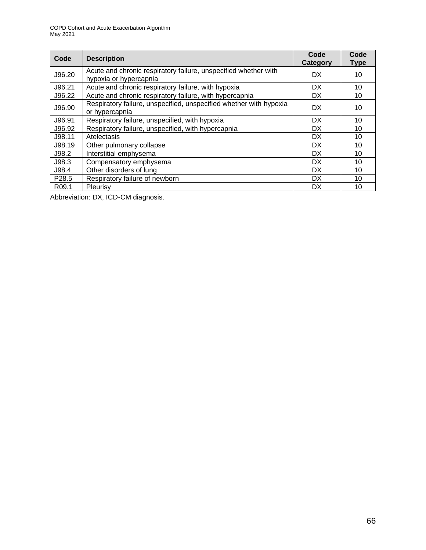| Code              | <b>Description</b>                                                                        | Code<br>Category | Code<br><b>Type</b> |
|-------------------|-------------------------------------------------------------------------------------------|------------------|---------------------|
| J96.20            | Acute and chronic respiratory failure, unspecified whether with<br>hypoxia or hypercapnia | DX.              | 10                  |
| J96.21            | Acute and chronic respiratory failure, with hypoxia                                       | DX.              | 10                  |
| J96.22            | Acute and chronic respiratory failure, with hypercapnia                                   | DX.              | 10                  |
| J96.90            | Respiratory failure, unspecified, unspecified whether with hypoxia<br>or hypercapnia      | DX.              | 10                  |
| J96.91            | Respiratory failure, unspecified, with hypoxia                                            | DX.              | 10                  |
| J96.92            | Respiratory failure, unspecified, with hypercapnia                                        | DX.              | 10                  |
| J98.11            | Atelectasis                                                                               | DX.              | 10                  |
| J98.19            | Other pulmonary collapse                                                                  | <b>DX</b>        | 10                  |
| J98.2             | Interstitial emphysema                                                                    | DX.              | 10                  |
| J98.3             | Compensatory emphysema                                                                    | DX.              | 10                  |
| J98.4             | Other disorders of lung                                                                   | DX               | 10                  |
| P <sub>28.5</sub> | Respiratory failure of newborn                                                            | <b>DX</b>        | 10                  |
| R <sub>09.1</sub> | Pleurisy                                                                                  | DX               | 10                  |

Abbreviation: DX, ICD-CM diagnosis.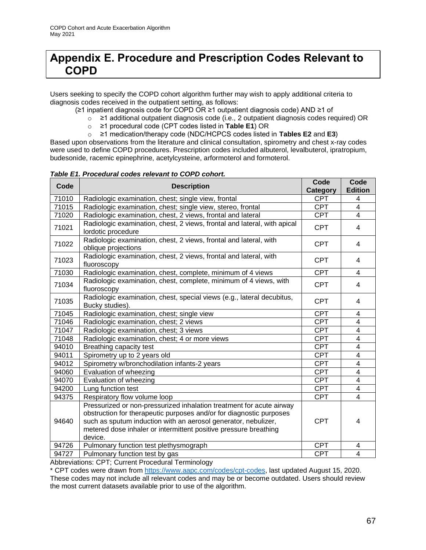# **Appendix E. Procedure and Prescription Codes Relevant to COPD**

Users seeking to specify the COPD cohort algorithm further may wish to apply additional criteria to diagnosis codes received in the outpatient setting, as follows:

(≥1 inpatient diagnosis code for COPD OR ≥1 outpatient diagnosis code) AND ≥1 of

- o ≥1 additional outpatient diagnosis code (i.e., 2 outpatient diagnosis codes required) OR
- o ≥1 procedural code (CPT codes listed in **Table E1**) OR
- o ≥1 medication/therapy code (NDC/HCPCS codes listed in **Tables E2** and **E3**)

Based upon observations from the literature and clinical consultation, spirometry and chest x-ray codes were used to define COPD procedures. Prescription codes included albuterol, levalbuterol, ipratropium, budesonide, racemic epinephrine, acetylcysteine, arformoterol and formoterol.

| Code  | <b>Description</b>                                                                                                                                                                                                                                                                           |            | Code<br><b>Edition</b> |
|-------|----------------------------------------------------------------------------------------------------------------------------------------------------------------------------------------------------------------------------------------------------------------------------------------------|------------|------------------------|
| 71010 | Radiologic examination, chest; single view, frontal                                                                                                                                                                                                                                          | <b>CPT</b> | 4                      |
| 71015 | Radiologic examination, chest; single view, stereo, frontal                                                                                                                                                                                                                                  | <b>CPT</b> | 4                      |
| 71020 | Radiologic examination, chest, 2 views, frontal and lateral                                                                                                                                                                                                                                  | <b>CPT</b> | 4                      |
| 71021 | Radiologic examination, chest, 2 views, frontal and lateral, with apical<br>lordotic procedure                                                                                                                                                                                               | <b>CPT</b> | 4                      |
| 71022 | Radiologic examination, chest, 2 views, frontal and lateral, with<br>oblique projections                                                                                                                                                                                                     | <b>CPT</b> | 4                      |
| 71023 | Radiologic examination, chest, 2 views, frontal and lateral, with<br>fluoroscopy                                                                                                                                                                                                             | <b>CPT</b> | 4                      |
| 71030 | Radiologic examination, chest, complete, minimum of 4 views                                                                                                                                                                                                                                  | <b>CPT</b> | $\overline{4}$         |
| 71034 | Radiologic examination, chest, complete, minimum of 4 views, with<br>fluoroscopy                                                                                                                                                                                                             | <b>CPT</b> | 4                      |
| 71035 | Radiologic examination, chest, special views (e.g., lateral decubitus,<br>Bucky studies).                                                                                                                                                                                                    |            | 4                      |
| 71045 | Radiologic examination, chest; single view                                                                                                                                                                                                                                                   | <b>CPT</b> | 4                      |
| 71046 | Radiologic examination, chest; 2 views                                                                                                                                                                                                                                                       | <b>CPT</b> | 4                      |
| 71047 | Radiologic examination, chest; 3 views                                                                                                                                                                                                                                                       | <b>CPT</b> | 4                      |
| 71048 | Radiologic examination, chest; 4 or more views                                                                                                                                                                                                                                               | <b>CPT</b> | 4                      |
| 94010 | Breathing capacity test                                                                                                                                                                                                                                                                      | <b>CPT</b> | 4                      |
| 94011 | Spirometry up to 2 years old                                                                                                                                                                                                                                                                 | <b>CPT</b> | 4                      |
| 94012 | Spirometry w/bronchodilation infants-2 years                                                                                                                                                                                                                                                 | <b>CPT</b> | 4                      |
| 94060 | Evaluation of wheezing                                                                                                                                                                                                                                                                       | <b>CPT</b> | 4                      |
| 94070 | Evaluation of wheezing                                                                                                                                                                                                                                                                       | <b>CPT</b> | 4                      |
| 94200 | Lung function test                                                                                                                                                                                                                                                                           | <b>CPT</b> | 4                      |
| 94375 | Respiratory flow volume loop                                                                                                                                                                                                                                                                 | <b>CPT</b> | 4                      |
| 94640 | Pressurized or non-pressurized inhalation treatment for acute airway<br>obstruction for therapeutic purposes and/or for diagnostic purposes<br>such as sputum induction with an aerosol generator, nebulizer,<br>metered dose inhaler or intermittent positive pressure breathing<br>device. | <b>CPT</b> | 4                      |
| 94726 | Pulmonary function test plethysmograph                                                                                                                                                                                                                                                       | <b>CPT</b> | 4                      |
| 94727 | Pulmonary function test by gas                                                                                                                                                                                                                                                               | <b>CPT</b> | $\overline{4}$         |

Abbreviations: CPT; Current Procedural Terminology

\* CPT codes were drawn from [https://www.aapc.com/codes/cpt-codes,](https://www.aapc.com/codes/cpt-codes) last updated August 15, 2020. These codes may not include all relevant codes and may be or become outdated. Users should review the most current datasets available prior to use of the algorithm.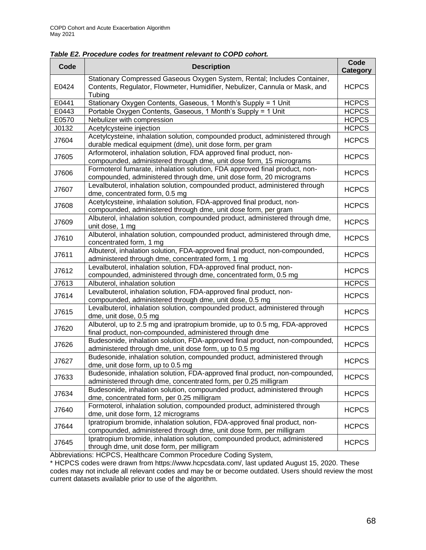| Stationary Compressed Gaseous Oxygen System, Rental; Includes Container,<br>Contents, Regulator, Flowmeter, Humidifier, Nebulizer, Cannula or Mask, and<br><b>HCPCS</b><br>E0424<br>Tubing<br>E0441<br>Stationary Oxygen Contents, Gaseous, 1 Month's Supply = 1 Unit<br><b>HCPCS</b><br>Portable Oxygen Contents, Gaseous, 1 Month's Supply = 1 Unit<br><b>HCPCS</b><br>E0443<br><b>HCPCS</b><br>E0570<br>Nebulizer with compression<br><b>HCPCS</b><br>J0132<br>Acetylcysteine injection<br>Acetylcysteine, inhalation solution, compounded product, administered through<br>J7604<br><b>HCPCS</b><br>durable medical equipment (dme), unit dose form, per gram<br>Arformoterol, inhalation solution, FDA approved final product, non-<br><b>HCPCS</b><br>J7605<br>compounded, administered through dme, unit dose form, 15 micrograms<br>Formoterol fumarate, inhalation solution, FDA approved final product, non-<br><b>HCPCS</b><br>J7606<br>compounded, administered through dme, unit dose form, 20 micrograms<br>Levalbuterol, inhalation solution, compounded product, administered through<br><b>HCPCS</b><br>J7607<br>dme, concentrated form, 0.5 mg<br>Acetylcysteine, inhalation solution, FDA-approved final product, non-<br><b>HCPCS</b><br>J7608<br>compounded, administered through dme, unit dose form, per gram<br>Albuterol, inhalation solution, compounded product, administered through dme,<br><b>HCPCS</b><br>J7609<br>unit dose, 1 mg<br>Albuterol, inhalation solution, compounded product, administered through dme,<br><b>HCPCS</b><br>J7610<br>concentrated form, 1 mg<br>Albuterol, inhalation solution, FDA-approved final product, non-compounded,<br><b>HCPCS</b><br>J7611<br>administered through dme, concentrated form, 1 mg<br>Levalbuterol, inhalation solution, FDA-approved final product, non-<br>J7612<br><b>HCPCS</b><br>compounded, administered through dme, concentrated form, 0.5 mg<br><b>HCPCS</b><br>J7613<br>Albuterol, inhalation solution<br>Levalbuterol, inhalation solution, FDA-approved final product, non-<br><b>HCPCS</b><br>J7614<br>compounded, administered through dme, unit dose, 0.5 mg<br>Levalbuterol, inhalation solution, compounded product, administered through<br>J7615<br><b>HCPCS</b><br>dme, unit dose, 0.5 mg<br>Albuterol, up to 2.5 mg and ipratropium bromide, up to 0.5 mg, FDA-approved<br><b>HCPCS</b><br>J7620<br>final product, non-compounded, administered through dme<br>Budesonide, inhalation solution, FDA-approved final product, non-compounded,<br><b>HCPCS</b><br>J7626<br>administered through dme, unit dose form, up to 0.5 mg<br>Budesonide, inhalation solution, compounded product, administered through<br><b>HCPCS</b><br>J7627<br>dme, unit dose form, up to 0.5 mg<br>Budesonide, inhalation solution, FDA-approved final product, non-compounded,<br><b>HCPCS</b><br>J7633<br>administered through dme, concentrated form, per 0.25 milligram<br>Budesonide, inhalation solution, compounded product, administered through<br><b>HCPCS</b><br>J7634<br>dme, concentrated form, per 0.25 milligram<br>Formoterol, inhalation solution, compounded product, administered through<br><b>HCPCS</b><br>J7640<br>dme, unit dose form, 12 micrograms<br>Ipratropium bromide, inhalation solution, FDA-approved final product, non-<br><b>HCPCS</b><br>J7644<br>compounded, administered through dme, unit dose form, per milligram<br>Ipratropium bromide, inhalation solution, compounded product, administered<br><b>HCPCS</b><br>J7645<br>through dme, unit dose form, per milligram | Code | <b>Description</b> | Code<br>Category |
|------------------------------------------------------------------------------------------------------------------------------------------------------------------------------------------------------------------------------------------------------------------------------------------------------------------------------------------------------------------------------------------------------------------------------------------------------------------------------------------------------------------------------------------------------------------------------------------------------------------------------------------------------------------------------------------------------------------------------------------------------------------------------------------------------------------------------------------------------------------------------------------------------------------------------------------------------------------------------------------------------------------------------------------------------------------------------------------------------------------------------------------------------------------------------------------------------------------------------------------------------------------------------------------------------------------------------------------------------------------------------------------------------------------------------------------------------------------------------------------------------------------------------------------------------------------------------------------------------------------------------------------------------------------------------------------------------------------------------------------------------------------------------------------------------------------------------------------------------------------------------------------------------------------------------------------------------------------------------------------------------------------------------------------------------------------------------------------------------------------------------------------------------------------------------------------------------------------------------------------------------------------------------------------------------------------------------------------------------------------------------------------------------------------------------------------------------------------------------------------------------------------------------------------------------------------------------------------------------------------------------------------------------------------------------------------------------------------------------------------------------------------------------------------------------------------------------------------------------------------------------------------------------------------------------------------------------------------------------------------------------------------------------------------------------------------------------------------------------------------------------------------------------------------------------------------------------------------------------------------------------------------------------------------------------------------------------------------------------------------------------------------------------------------------------------------------------------------------------------------------------------------------------------------------------------------------------------------------|------|--------------------|------------------|
|                                                                                                                                                                                                                                                                                                                                                                                                                                                                                                                                                                                                                                                                                                                                                                                                                                                                                                                                                                                                                                                                                                                                                                                                                                                                                                                                                                                                                                                                                                                                                                                                                                                                                                                                                                                                                                                                                                                                                                                                                                                                                                                                                                                                                                                                                                                                                                                                                                                                                                                                                                                                                                                                                                                                                                                                                                                                                                                                                                                                                                                                                                                                                                                                                                                                                                                                                                                                                                                                                                                                                                                                |      |                    |                  |
|                                                                                                                                                                                                                                                                                                                                                                                                                                                                                                                                                                                                                                                                                                                                                                                                                                                                                                                                                                                                                                                                                                                                                                                                                                                                                                                                                                                                                                                                                                                                                                                                                                                                                                                                                                                                                                                                                                                                                                                                                                                                                                                                                                                                                                                                                                                                                                                                                                                                                                                                                                                                                                                                                                                                                                                                                                                                                                                                                                                                                                                                                                                                                                                                                                                                                                                                                                                                                                                                                                                                                                                                |      |                    |                  |
|                                                                                                                                                                                                                                                                                                                                                                                                                                                                                                                                                                                                                                                                                                                                                                                                                                                                                                                                                                                                                                                                                                                                                                                                                                                                                                                                                                                                                                                                                                                                                                                                                                                                                                                                                                                                                                                                                                                                                                                                                                                                                                                                                                                                                                                                                                                                                                                                                                                                                                                                                                                                                                                                                                                                                                                                                                                                                                                                                                                                                                                                                                                                                                                                                                                                                                                                                                                                                                                                                                                                                                                                |      |                    |                  |
|                                                                                                                                                                                                                                                                                                                                                                                                                                                                                                                                                                                                                                                                                                                                                                                                                                                                                                                                                                                                                                                                                                                                                                                                                                                                                                                                                                                                                                                                                                                                                                                                                                                                                                                                                                                                                                                                                                                                                                                                                                                                                                                                                                                                                                                                                                                                                                                                                                                                                                                                                                                                                                                                                                                                                                                                                                                                                                                                                                                                                                                                                                                                                                                                                                                                                                                                                                                                                                                                                                                                                                                                |      |                    |                  |
|                                                                                                                                                                                                                                                                                                                                                                                                                                                                                                                                                                                                                                                                                                                                                                                                                                                                                                                                                                                                                                                                                                                                                                                                                                                                                                                                                                                                                                                                                                                                                                                                                                                                                                                                                                                                                                                                                                                                                                                                                                                                                                                                                                                                                                                                                                                                                                                                                                                                                                                                                                                                                                                                                                                                                                                                                                                                                                                                                                                                                                                                                                                                                                                                                                                                                                                                                                                                                                                                                                                                                                                                |      |                    |                  |
|                                                                                                                                                                                                                                                                                                                                                                                                                                                                                                                                                                                                                                                                                                                                                                                                                                                                                                                                                                                                                                                                                                                                                                                                                                                                                                                                                                                                                                                                                                                                                                                                                                                                                                                                                                                                                                                                                                                                                                                                                                                                                                                                                                                                                                                                                                                                                                                                                                                                                                                                                                                                                                                                                                                                                                                                                                                                                                                                                                                                                                                                                                                                                                                                                                                                                                                                                                                                                                                                                                                                                                                                |      |                    |                  |
|                                                                                                                                                                                                                                                                                                                                                                                                                                                                                                                                                                                                                                                                                                                                                                                                                                                                                                                                                                                                                                                                                                                                                                                                                                                                                                                                                                                                                                                                                                                                                                                                                                                                                                                                                                                                                                                                                                                                                                                                                                                                                                                                                                                                                                                                                                                                                                                                                                                                                                                                                                                                                                                                                                                                                                                                                                                                                                                                                                                                                                                                                                                                                                                                                                                                                                                                                                                                                                                                                                                                                                                                |      |                    |                  |
|                                                                                                                                                                                                                                                                                                                                                                                                                                                                                                                                                                                                                                                                                                                                                                                                                                                                                                                                                                                                                                                                                                                                                                                                                                                                                                                                                                                                                                                                                                                                                                                                                                                                                                                                                                                                                                                                                                                                                                                                                                                                                                                                                                                                                                                                                                                                                                                                                                                                                                                                                                                                                                                                                                                                                                                                                                                                                                                                                                                                                                                                                                                                                                                                                                                                                                                                                                                                                                                                                                                                                                                                |      |                    |                  |
|                                                                                                                                                                                                                                                                                                                                                                                                                                                                                                                                                                                                                                                                                                                                                                                                                                                                                                                                                                                                                                                                                                                                                                                                                                                                                                                                                                                                                                                                                                                                                                                                                                                                                                                                                                                                                                                                                                                                                                                                                                                                                                                                                                                                                                                                                                                                                                                                                                                                                                                                                                                                                                                                                                                                                                                                                                                                                                                                                                                                                                                                                                                                                                                                                                                                                                                                                                                                                                                                                                                                                                                                |      |                    |                  |
|                                                                                                                                                                                                                                                                                                                                                                                                                                                                                                                                                                                                                                                                                                                                                                                                                                                                                                                                                                                                                                                                                                                                                                                                                                                                                                                                                                                                                                                                                                                                                                                                                                                                                                                                                                                                                                                                                                                                                                                                                                                                                                                                                                                                                                                                                                                                                                                                                                                                                                                                                                                                                                                                                                                                                                                                                                                                                                                                                                                                                                                                                                                                                                                                                                                                                                                                                                                                                                                                                                                                                                                                |      |                    |                  |
|                                                                                                                                                                                                                                                                                                                                                                                                                                                                                                                                                                                                                                                                                                                                                                                                                                                                                                                                                                                                                                                                                                                                                                                                                                                                                                                                                                                                                                                                                                                                                                                                                                                                                                                                                                                                                                                                                                                                                                                                                                                                                                                                                                                                                                                                                                                                                                                                                                                                                                                                                                                                                                                                                                                                                                                                                                                                                                                                                                                                                                                                                                                                                                                                                                                                                                                                                                                                                                                                                                                                                                                                |      |                    |                  |
|                                                                                                                                                                                                                                                                                                                                                                                                                                                                                                                                                                                                                                                                                                                                                                                                                                                                                                                                                                                                                                                                                                                                                                                                                                                                                                                                                                                                                                                                                                                                                                                                                                                                                                                                                                                                                                                                                                                                                                                                                                                                                                                                                                                                                                                                                                                                                                                                                                                                                                                                                                                                                                                                                                                                                                                                                                                                                                                                                                                                                                                                                                                                                                                                                                                                                                                                                                                                                                                                                                                                                                                                |      |                    |                  |
|                                                                                                                                                                                                                                                                                                                                                                                                                                                                                                                                                                                                                                                                                                                                                                                                                                                                                                                                                                                                                                                                                                                                                                                                                                                                                                                                                                                                                                                                                                                                                                                                                                                                                                                                                                                                                                                                                                                                                                                                                                                                                                                                                                                                                                                                                                                                                                                                                                                                                                                                                                                                                                                                                                                                                                                                                                                                                                                                                                                                                                                                                                                                                                                                                                                                                                                                                                                                                                                                                                                                                                                                |      |                    |                  |
|                                                                                                                                                                                                                                                                                                                                                                                                                                                                                                                                                                                                                                                                                                                                                                                                                                                                                                                                                                                                                                                                                                                                                                                                                                                                                                                                                                                                                                                                                                                                                                                                                                                                                                                                                                                                                                                                                                                                                                                                                                                                                                                                                                                                                                                                                                                                                                                                                                                                                                                                                                                                                                                                                                                                                                                                                                                                                                                                                                                                                                                                                                                                                                                                                                                                                                                                                                                                                                                                                                                                                                                                |      |                    |                  |
|                                                                                                                                                                                                                                                                                                                                                                                                                                                                                                                                                                                                                                                                                                                                                                                                                                                                                                                                                                                                                                                                                                                                                                                                                                                                                                                                                                                                                                                                                                                                                                                                                                                                                                                                                                                                                                                                                                                                                                                                                                                                                                                                                                                                                                                                                                                                                                                                                                                                                                                                                                                                                                                                                                                                                                                                                                                                                                                                                                                                                                                                                                                                                                                                                                                                                                                                                                                                                                                                                                                                                                                                |      |                    |                  |
|                                                                                                                                                                                                                                                                                                                                                                                                                                                                                                                                                                                                                                                                                                                                                                                                                                                                                                                                                                                                                                                                                                                                                                                                                                                                                                                                                                                                                                                                                                                                                                                                                                                                                                                                                                                                                                                                                                                                                                                                                                                                                                                                                                                                                                                                                                                                                                                                                                                                                                                                                                                                                                                                                                                                                                                                                                                                                                                                                                                                                                                                                                                                                                                                                                                                                                                                                                                                                                                                                                                                                                                                |      |                    |                  |
|                                                                                                                                                                                                                                                                                                                                                                                                                                                                                                                                                                                                                                                                                                                                                                                                                                                                                                                                                                                                                                                                                                                                                                                                                                                                                                                                                                                                                                                                                                                                                                                                                                                                                                                                                                                                                                                                                                                                                                                                                                                                                                                                                                                                                                                                                                                                                                                                                                                                                                                                                                                                                                                                                                                                                                                                                                                                                                                                                                                                                                                                                                                                                                                                                                                                                                                                                                                                                                                                                                                                                                                                |      |                    |                  |
|                                                                                                                                                                                                                                                                                                                                                                                                                                                                                                                                                                                                                                                                                                                                                                                                                                                                                                                                                                                                                                                                                                                                                                                                                                                                                                                                                                                                                                                                                                                                                                                                                                                                                                                                                                                                                                                                                                                                                                                                                                                                                                                                                                                                                                                                                                                                                                                                                                                                                                                                                                                                                                                                                                                                                                                                                                                                                                                                                                                                                                                                                                                                                                                                                                                                                                                                                                                                                                                                                                                                                                                                |      |                    |                  |
|                                                                                                                                                                                                                                                                                                                                                                                                                                                                                                                                                                                                                                                                                                                                                                                                                                                                                                                                                                                                                                                                                                                                                                                                                                                                                                                                                                                                                                                                                                                                                                                                                                                                                                                                                                                                                                                                                                                                                                                                                                                                                                                                                                                                                                                                                                                                                                                                                                                                                                                                                                                                                                                                                                                                                                                                                                                                                                                                                                                                                                                                                                                                                                                                                                                                                                                                                                                                                                                                                                                                                                                                |      |                    |                  |
|                                                                                                                                                                                                                                                                                                                                                                                                                                                                                                                                                                                                                                                                                                                                                                                                                                                                                                                                                                                                                                                                                                                                                                                                                                                                                                                                                                                                                                                                                                                                                                                                                                                                                                                                                                                                                                                                                                                                                                                                                                                                                                                                                                                                                                                                                                                                                                                                                                                                                                                                                                                                                                                                                                                                                                                                                                                                                                                                                                                                                                                                                                                                                                                                                                                                                                                                                                                                                                                                                                                                                                                                |      |                    |                  |
|                                                                                                                                                                                                                                                                                                                                                                                                                                                                                                                                                                                                                                                                                                                                                                                                                                                                                                                                                                                                                                                                                                                                                                                                                                                                                                                                                                                                                                                                                                                                                                                                                                                                                                                                                                                                                                                                                                                                                                                                                                                                                                                                                                                                                                                                                                                                                                                                                                                                                                                                                                                                                                                                                                                                                                                                                                                                                                                                                                                                                                                                                                                                                                                                                                                                                                                                                                                                                                                                                                                                                                                                |      |                    |                  |
|                                                                                                                                                                                                                                                                                                                                                                                                                                                                                                                                                                                                                                                                                                                                                                                                                                                                                                                                                                                                                                                                                                                                                                                                                                                                                                                                                                                                                                                                                                                                                                                                                                                                                                                                                                                                                                                                                                                                                                                                                                                                                                                                                                                                                                                                                                                                                                                                                                                                                                                                                                                                                                                                                                                                                                                                                                                                                                                                                                                                                                                                                                                                                                                                                                                                                                                                                                                                                                                                                                                                                                                                |      |                    |                  |
|                                                                                                                                                                                                                                                                                                                                                                                                                                                                                                                                                                                                                                                                                                                                                                                                                                                                                                                                                                                                                                                                                                                                                                                                                                                                                                                                                                                                                                                                                                                                                                                                                                                                                                                                                                                                                                                                                                                                                                                                                                                                                                                                                                                                                                                                                                                                                                                                                                                                                                                                                                                                                                                                                                                                                                                                                                                                                                                                                                                                                                                                                                                                                                                                                                                                                                                                                                                                                                                                                                                                                                                                |      |                    |                  |
|                                                                                                                                                                                                                                                                                                                                                                                                                                                                                                                                                                                                                                                                                                                                                                                                                                                                                                                                                                                                                                                                                                                                                                                                                                                                                                                                                                                                                                                                                                                                                                                                                                                                                                                                                                                                                                                                                                                                                                                                                                                                                                                                                                                                                                                                                                                                                                                                                                                                                                                                                                                                                                                                                                                                                                                                                                                                                                                                                                                                                                                                                                                                                                                                                                                                                                                                                                                                                                                                                                                                                                                                |      |                    |                  |
|                                                                                                                                                                                                                                                                                                                                                                                                                                                                                                                                                                                                                                                                                                                                                                                                                                                                                                                                                                                                                                                                                                                                                                                                                                                                                                                                                                                                                                                                                                                                                                                                                                                                                                                                                                                                                                                                                                                                                                                                                                                                                                                                                                                                                                                                                                                                                                                                                                                                                                                                                                                                                                                                                                                                                                                                                                                                                                                                                                                                                                                                                                                                                                                                                                                                                                                                                                                                                                                                                                                                                                                                |      |                    |                  |

Abbreviations: HCPCS, Healthcare Common Procedure Coding System,

\* HCPCS codes were drawn from https://www.hcpcsdata.com/, last updated August 15, 2020. These codes may not include all relevant codes and may be or become outdated. Users should review the most current datasets available prior to use of the algorithm.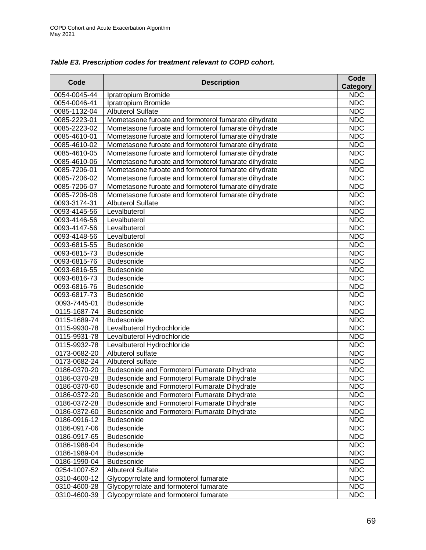| Code         | <b>Description</b>                                   | Code<br>Category |
|--------------|------------------------------------------------------|------------------|
| 0054-0045-44 | Ipratropium Bromide                                  | <b>NDC</b>       |
| 0054-0046-41 | Ipratropium Bromide                                  | <b>NDC</b>       |
| 0085-1132-04 | <b>Albuterol Sulfate</b>                             | <b>NDC</b>       |
| 0085-2223-01 | Mometasone furoate and formoterol fumarate dihydrate | <b>NDC</b>       |
| 0085-2223-02 | Mometasone furoate and formoterol fumarate dihydrate | <b>NDC</b>       |
| 0085-4610-01 | Mometasone furoate and formoterol fumarate dihydrate | <b>NDC</b>       |
| 0085-4610-02 | Mometasone furoate and formoterol fumarate dihydrate | <b>NDC</b>       |
| 0085-4610-05 | Mometasone furoate and formoterol fumarate dihydrate | <b>NDC</b>       |
| 0085-4610-06 | Mometasone furoate and formoterol fumarate dihydrate | <b>NDC</b>       |
| 0085-7206-01 | Mometasone furoate and formoterol fumarate dihydrate | <b>NDC</b>       |
| 0085-7206-02 | Mometasone furoate and formoterol fumarate dihydrate | <b>NDC</b>       |
| 0085-7206-07 | Mometasone furoate and formoterol fumarate dihydrate | <b>NDC</b>       |
| 0085-7206-08 | Mometasone furoate and formoterol fumarate dihydrate | <b>NDC</b>       |
| 0093-3174-31 | <b>Albuterol Sulfate</b>                             | <b>NDC</b>       |
| 0093-4145-56 | Levalbuterol                                         | <b>NDC</b>       |
| 0093-4146-56 | Levalbuterol                                         | <b>NDC</b>       |
| 0093-4147-56 | Levalbuterol                                         | <b>NDC</b>       |
| 0093-4148-56 | Levalbuterol                                         | <b>NDC</b>       |
| 0093-6815-55 | <b>Budesonide</b>                                    | <b>NDC</b>       |
| 0093-6815-73 | <b>Budesonide</b>                                    | <b>NDC</b>       |
| 0093-6815-76 | <b>Budesonide</b>                                    | <b>NDC</b>       |
| 0093-6816-55 | <b>Budesonide</b>                                    | <b>NDC</b>       |
| 0093-6816-73 | <b>Budesonide</b>                                    | <b>NDC</b>       |
| 0093-6816-76 | <b>Budesonide</b>                                    | <b>NDC</b>       |
| 0093-6817-73 | <b>Budesonide</b>                                    | <b>NDC</b>       |
| 0093-7445-01 | <b>Budesonide</b>                                    | <b>NDC</b>       |
| 0115-1687-74 | Budesonide                                           | <b>NDC</b>       |
| 0115-1689-74 | Budesonide                                           | <b>NDC</b>       |
| 0115-9930-78 | Levalbuterol Hydrochloride                           | <b>NDC</b>       |
| 0115-9931-78 | Levalbuterol Hydrochloride                           | <b>NDC</b>       |
| 0115-9932-78 | Levalbuterol Hydrochloride                           | <b>NDC</b>       |
| 0173-0682-20 | Albuterol sulfate                                    | <b>NDC</b>       |
| 0173-0682-24 | Albuterol sulfate                                    | <b>NDC</b>       |
| 0186-0370-20 | Budesonide and Formoterol Fumarate Dihydrate         | <b>NDC</b>       |
| 0186-0370-28 | Budesonide and Formoterol Fumarate Dihydrate         | <b>NDC</b>       |
| 0186-0370-60 | <b>Budesonide and Formoterol Fumarate Dihydrate</b>  | <b>NDC</b>       |
| 0186-0372-20 | Budesonide and Formoterol Fumarate Dihydrate         | <b>NDC</b>       |
| 0186-0372-28 | Budesonide and Formoterol Fumarate Dihydrate         | <b>NDC</b>       |
| 0186-0372-60 | Budesonide and Formoterol Fumarate Dihydrate         | <b>NDC</b>       |
| 0186-0916-12 | <b>Budesonide</b>                                    | <b>NDC</b>       |
| 0186-0917-06 | <b>Budesonide</b>                                    | <b>NDC</b>       |
| 0186-0917-65 | <b>Budesonide</b>                                    | <b>NDC</b>       |
| 0186-1988-04 | <b>Budesonide</b>                                    | <b>NDC</b>       |
| 0186-1989-04 | <b>Budesonide</b>                                    | <b>NDC</b>       |
| 0186-1990-04 | <b>Budesonide</b>                                    | <b>NDC</b>       |
| 0254-1007-52 | <b>Albuterol Sulfate</b>                             | <b>NDC</b>       |
| 0310-4600-12 | Glycopyrrolate and formoterol fumarate               | <b>NDC</b>       |
| 0310-4600-28 | Glycopyrrolate and formoterol fumarate               | <b>NDC</b>       |
| 0310-4600-39 | Glycopyrrolate and formoterol fumarate               | <b>NDC</b>       |

### *Table E3. Prescription codes for treatment relevant to COPD cohort.*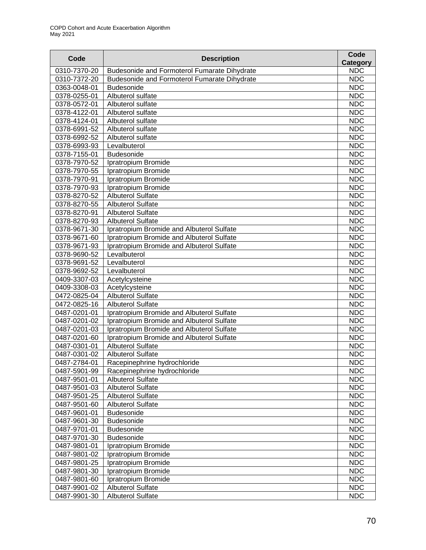| Code         | <b>Description</b>                           | Code                   |
|--------------|----------------------------------------------|------------------------|
| 0310-7370-20 | Budesonide and Formoterol Fumarate Dihydrate | Category<br><b>NDC</b> |
| 0310-7372-20 | Budesonide and Formoterol Fumarate Dihydrate | <b>NDC</b>             |
| 0363-0048-01 | <b>Budesonide</b>                            | <b>NDC</b>             |
| 0378-0255-01 | Albuterol sulfate                            | <b>NDC</b>             |
| 0378-0572-01 | Albuterol sulfate                            | <b>NDC</b>             |
| 0378-4122-01 | Albuterol sulfate                            | <b>NDC</b>             |
| 0378-4124-01 | Albuterol sulfate                            | <b>NDC</b>             |
| 0378-6991-52 | Albuterol sulfate                            | <b>NDC</b>             |
| 0378-6992-52 | Albuterol sulfate                            | <b>NDC</b>             |
| 0378-6993-93 | Levalbuterol                                 | <b>NDC</b>             |
| 0378-7155-01 | Budesonide                                   | <b>NDC</b>             |
| 0378-7970-52 | Ipratropium Bromide                          | <b>NDC</b>             |
| 0378-7970-55 | Ipratropium Bromide                          | <b>NDC</b>             |
| 0378-7970-91 | Ipratropium Bromide                          | <b>NDC</b>             |
| 0378-7970-93 | Ipratropium Bromide                          | <b>NDC</b>             |
| 0378-8270-52 | <b>Albuterol Sulfate</b>                     | <b>NDC</b>             |
|              | <b>Albuterol Sulfate</b>                     | <b>NDC</b>             |
| 0378-8270-55 |                                              |                        |
| 0378-8270-91 | <b>Albuterol Sulfate</b>                     | <b>NDC</b>             |
| 0378-8270-93 | <b>Albuterol Sulfate</b>                     | <b>NDC</b>             |
| 0378-9671-30 | Ipratropium Bromide and Albuterol Sulfate    | <b>NDC</b>             |
| 0378-9671-60 | Ipratropium Bromide and Albuterol Sulfate    | <b>NDC</b>             |
| 0378-9671-93 | Ipratropium Bromide and Albuterol Sulfate    | <b>NDC</b>             |
| 0378-9690-52 | Levalbuterol                                 | <b>NDC</b>             |
| 0378-9691-52 | Levalbuterol                                 | <b>NDC</b>             |
| 0378-9692-52 | Levalbuterol                                 | <b>NDC</b>             |
| 0409-3307-03 | Acetylcysteine                               | <b>NDC</b>             |
| 0409-3308-03 | Acetylcysteine                               | <b>NDC</b>             |
| 0472-0825-04 | <b>Albuterol Sulfate</b>                     | <b>NDC</b>             |
| 0472-0825-16 | <b>Albuterol Sulfate</b>                     | <b>NDC</b>             |
| 0487-0201-01 | Ipratropium Bromide and Albuterol Sulfate    | <b>NDC</b>             |
| 0487-0201-02 | Ipratropium Bromide and Albuterol Sulfate    | <b>NDC</b>             |
| 0487-0201-03 | Ipratropium Bromide and Albuterol Sulfate    | <b>NDC</b>             |
| 0487-0201-60 | Ipratropium Bromide and Albuterol Sulfate    | <b>NDC</b>             |
| 0487-0301-01 | <b>Albuterol Sulfate</b>                     | <b>NDC</b>             |
| 0487-0301-02 | <b>Albuterol Sulfate</b>                     | <b>NDC</b>             |
| 0487-2784-01 | Racepinephrine hydrochloride                 | <b>NDC</b>             |
| 0487-5901-99 | Racepinephrine hydrochloride                 | <b>NDC</b>             |
| 0487-9501-01 | <b>Albuterol Sulfate</b>                     | <b>NDC</b>             |
| 0487-9501-03 | <b>Albuterol Sulfate</b>                     | <b>NDC</b>             |
| 0487-9501-25 | <b>Albuterol Sulfate</b>                     | <b>NDC</b>             |
| 0487-9501-60 | <b>Albuterol Sulfate</b>                     | <b>NDC</b>             |
| 0487-9601-01 | <b>Budesonide</b>                            | <b>NDC</b>             |
| 0487-9601-30 | Budesonide                                   | <b>NDC</b>             |
| 0487-9701-01 | <b>Budesonide</b>                            | <b>NDC</b>             |
| 0487-9701-30 | <b>Budesonide</b>                            | <b>NDC</b>             |
| 0487-9801-01 | Ipratropium Bromide                          | <b>NDC</b>             |
| 0487-9801-02 | Ipratropium Bromide                          | <b>NDC</b>             |
| 0487-9801-25 | Ipratropium Bromide                          | <b>NDC</b>             |
| 0487-9801-30 | Ipratropium Bromide                          | <b>NDC</b>             |
| 0487-9801-60 | Ipratropium Bromide                          | <b>NDC</b>             |
| 0487-9901-02 | <b>Albuterol Sulfate</b>                     | <b>NDC</b>             |
| 0487-9901-30 | <b>Albuterol Sulfate</b>                     | <b>NDC</b>             |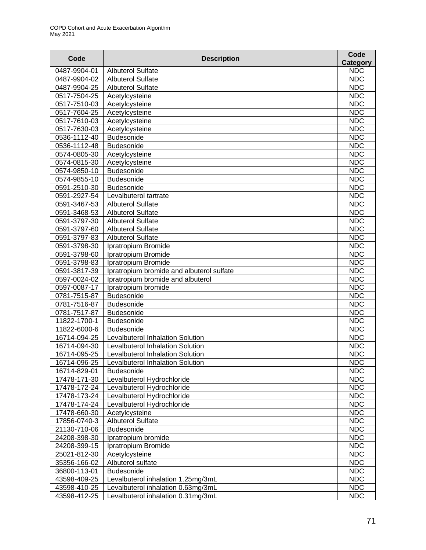| Code                         | <b>Description</b>                                                       | Code                     |
|------------------------------|--------------------------------------------------------------------------|--------------------------|
| 0487-9904-01                 | <b>Albuterol Sulfate</b>                                                 | Category<br><b>NDC</b>   |
| 0487-9904-02                 | <b>Albuterol Sulfate</b>                                                 | <b>NDC</b>               |
| 0487-9904-25                 | <b>Albuterol Sulfate</b>                                                 | <b>NDC</b>               |
| 0517-7504-25                 | Acetylcysteine                                                           | <b>NDC</b>               |
| 0517-7510-03                 | Acetylcysteine                                                           | <b>NDC</b>               |
| 0517-7604-25                 | Acetylcysteine                                                           | <b>NDC</b>               |
| 0517-7610-03                 | Acetylcysteine                                                           | <b>NDC</b>               |
| 0517-7630-03                 | Acetylcysteine                                                           | <b>NDC</b>               |
| 0536-1112-40                 | Budesonide                                                               | <b>NDC</b>               |
| 0536-1112-48                 | Budesonide                                                               | <b>NDC</b>               |
| 0574-0805-30                 | Acetylcysteine                                                           | <b>NDC</b>               |
| 0574-0815-30                 | Acetylcysteine                                                           | <b>NDC</b>               |
| 0574-9850-10                 | Budesonide                                                               | <b>NDC</b>               |
| 0574-9855-10                 | Budesonide                                                               | <b>NDC</b>               |
| 0591-2510-30                 | <b>Budesonide</b>                                                        | <b>NDC</b>               |
| 0591-2927-54                 | Levalbuterol tartrate                                                    | <b>NDC</b>               |
| 0591-3467-53                 | <b>Albuterol Sulfate</b>                                                 | <b>NDC</b>               |
| 0591-3468-53                 | <b>Albuterol Sulfate</b>                                                 | <b>NDC</b>               |
| 0591-3797-30                 | <b>Albuterol Sulfate</b>                                                 | <b>NDC</b>               |
| 0591-3797-60                 | <b>Albuterol Sulfate</b>                                                 | <b>NDC</b>               |
| 0591-3797-83                 | <b>Albuterol Sulfate</b>                                                 | <b>NDC</b>               |
| 0591-3798-30                 | Ipratropium Bromide                                                      | <b>NDC</b>               |
| 0591-3798-60                 | Ipratropium Bromide                                                      | <b>NDC</b>               |
| 0591-3798-83                 |                                                                          | <b>NDC</b>               |
| 0591-3817-39                 | Ipratropium Bromide<br>Ipratropium bromide and albuterol sulfate         | <b>NDC</b>               |
| 0597-0024-02                 | Ipratropium bromide and albuterol                                        | <b>NDC</b>               |
| 0597-0087-17                 | Ipratropium bromide                                                      | <b>NDC</b>               |
| 0781-7515-87                 | Budesonide                                                               | <b>NDC</b>               |
| 0781-7516-87                 | Budesonide                                                               | <b>NDC</b>               |
| 0781-7517-87                 | <b>Budesonide</b>                                                        | <b>NDC</b>               |
| 11822-1700-1                 | Budesonide                                                               | <b>NDC</b>               |
| 11822-6000-6                 | Budesonide                                                               | <b>NDC</b>               |
| 16714-094-25                 | <b>Levalbuterol Inhalation Solution</b>                                  | <b>NDC</b>               |
| 16714-094-30                 | Levalbuterol Inhalation Solution                                         | <b>NDC</b>               |
| 16714-095-25                 | <b>Levalbuterol Inhalation Solution</b>                                  | <b>NDC</b>               |
| 16714-096-25                 | Levalbuterol Inhalation Solution                                         | <b>NDC</b>               |
|                              |                                                                          | <b>NDC</b>               |
| 16714-829-01                 | <b>Budesonide</b><br>Levalbuterol Hydrochloride                          | <b>NDC</b>               |
| 17478-171-30<br>17478-172-24 |                                                                          | <b>NDC</b>               |
| 17478-173-24                 | Levalbuterol Hydrochloride<br>Levalbuterol Hydrochloride                 | <b>NDC</b>               |
| 17478-174-24                 | Levalbuterol Hydrochloride                                               | <b>NDC</b>               |
| 17478-660-30                 | Acetylcysteine                                                           | <b>NDC</b>               |
| 17856-0740-3                 | <b>Albuterol Sulfate</b>                                                 | <b>NDC</b>               |
| 21130-710-06                 | <b>Budesonide</b>                                                        | <b>NDC</b>               |
|                              |                                                                          |                          |
| 24208-398-30                 | Ipratropium bromide                                                      | <b>NDC</b><br><b>NDC</b> |
| 24208-399-15                 | Ipratropium Bromide                                                      | <b>NDC</b>               |
| 25021-812-30                 | Acetylcysteine<br>Albuterol sulfate                                      | <b>NDC</b>               |
| 35356-166-02<br>36800-113-01 | <b>Budesonide</b>                                                        | <b>NDC</b>               |
|                              |                                                                          | <b>NDC</b>               |
| 43598-409-25<br>43598-410-25 | Levalbuterol inhalation 1.25mg/3mL<br>Levalbuterol inhalation 0.63mg/3mL | <b>NDC</b>               |
| 43598-412-25                 | Levalbuterol inhalation 0.31mg/3mL                                       | <b>NDC</b>               |
|                              |                                                                          |                          |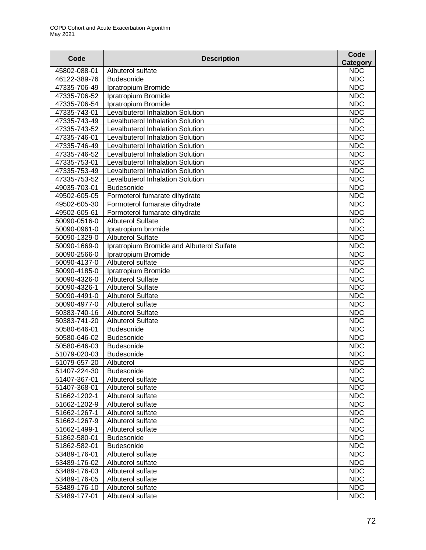| Code         | <b>Description</b>                        | Code<br>Category |
|--------------|-------------------------------------------|------------------|
| 45802-088-01 | Albuterol sulfate                         | <b>NDC</b>       |
| 46122-389-76 | Budesonide                                | <b>NDC</b>       |
| 47335-706-49 | Ipratropium Bromide                       | <b>NDC</b>       |
| 47335-706-52 | Ipratropium Bromide                       | <b>NDC</b>       |
| 47335-706-54 | Ipratropium Bromide                       | <b>NDC</b>       |
| 47335-743-01 | Levalbuterol Inhalation Solution          | <b>NDC</b>       |
| 47335-743-49 | <b>Levalbuterol Inhalation Solution</b>   | <b>NDC</b>       |
| 47335-743-52 | Levalbuterol Inhalation Solution          | <b>NDC</b>       |
| 47335-746-01 | Levalbuterol Inhalation Solution          | <b>NDC</b>       |
| 47335-746-49 | Levalbuterol Inhalation Solution          | <b>NDC</b>       |
| 47335-746-52 | <b>Levalbuterol Inhalation Solution</b>   | <b>NDC</b>       |
| 47335-753-01 | <b>Levalbuterol Inhalation Solution</b>   | <b>NDC</b>       |
| 47335-753-49 | Levalbuterol Inhalation Solution          | <b>NDC</b>       |
| 47335-753-52 | Levalbuterol Inhalation Solution          | <b>NDC</b>       |
| 49035-703-01 | <b>Budesonide</b>                         | <b>NDC</b>       |
| 49502-605-05 | Formoterol fumarate dihydrate             | <b>NDC</b>       |
| 49502-605-30 | Formoterol fumarate dihydrate             | <b>NDC</b>       |
| 49502-605-61 | Formoterol fumarate dihydrate             | <b>NDC</b>       |
| 50090-0516-0 | <b>Albuterol Sulfate</b>                  | <b>NDC</b>       |
| 50090-0961-0 | Ipratropium bromide                       | <b>NDC</b>       |
| 50090-1329-0 | <b>Albuterol Sulfate</b>                  | <b>NDC</b>       |
| 50090-1669-0 | Ipratropium Bromide and Albuterol Sulfate | <b>NDC</b>       |
| 50090-2566-0 | Ipratropium Bromide                       | <b>NDC</b>       |
| 50090-4137-0 | Albuterol sulfate                         | <b>NDC</b>       |
| 50090-4185-0 | Ipratropium Bromide                       | <b>NDC</b>       |
| 50090-4326-0 | <b>Albuterol Sulfate</b>                  | <b>NDC</b>       |
| 50090-4326-1 | <b>Albuterol Sulfate</b>                  | <b>NDC</b>       |
| 50090-4491-0 | <b>Albuterol Sulfate</b>                  | <b>NDC</b>       |
| 50090-4977-0 | Albuterol sulfate                         | <b>NDC</b>       |
| 50383-740-16 | <b>Albuterol Sulfate</b>                  | <b>NDC</b>       |
| 50383-741-20 | <b>Albuterol Sulfate</b>                  | <b>NDC</b>       |
| 50580-646-01 | <b>Budesonide</b>                         | <b>NDC</b>       |
| 50580-646-02 | <b>Budesonide</b>                         | <b>NDC</b>       |
| 50580-646-03 | <b>Budesonide</b>                         | <b>NDC</b>       |
| 51079-020-03 | <b>Budesonide</b>                         | <b>NDC</b>       |
| 51079-657-20 | Albuterol                                 | <b>NDC</b>       |
| 51407-224-30 | <b>Budesonide</b>                         | <b>NDC</b>       |
| 51407-367-01 | Albuterol sulfate                         | <b>NDC</b>       |
| 51407-368-01 | Albuterol sulfate                         | <b>NDC</b>       |
| 51662-1202-1 | Albuterol sulfate                         | <b>NDC</b>       |
| 51662-1202-9 | Albuterol sulfate                         | <b>NDC</b>       |
| 51662-1267-1 | Albuterol sulfate                         | <b>NDC</b>       |
| 51662-1267-9 | Albuterol sulfate                         | <b>NDC</b>       |
| 51662-1499-1 | Albuterol sulfate                         | <b>NDC</b>       |
| 51862-580-01 | <b>Budesonide</b>                         | <b>NDC</b>       |
| 51862-582-01 | Budesonide                                | <b>NDC</b>       |
| 53489-176-01 | Albuterol sulfate                         | <b>NDC</b>       |
| 53489-176-02 | Albuterol sulfate                         | <b>NDC</b>       |
| 53489-176-03 | Albuterol sulfate                         | <b>NDC</b>       |
| 53489-176-05 | Albuterol sulfate                         | <b>NDC</b>       |
| 53489-176-10 | Albuterol sulfate                         | <b>NDC</b>       |
| 53489-177-01 | Albuterol sulfate                         | <b>NDC</b>       |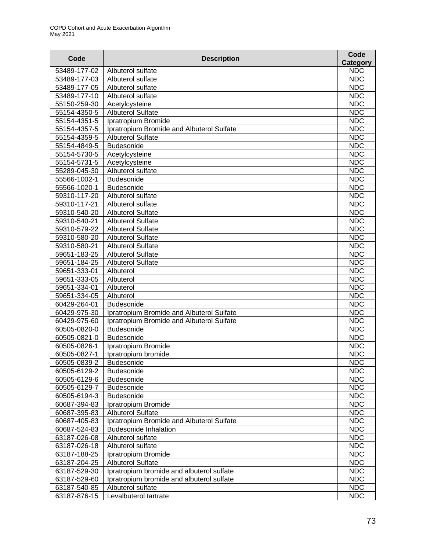| Code         | <b>Description</b>                        | Code<br>Category |
|--------------|-------------------------------------------|------------------|
| 53489-177-02 | Albuterol sulfate                         | <b>NDC</b>       |
| 53489-177-03 | Albuterol sulfate                         | <b>NDC</b>       |
| 53489-177-05 | Albuterol sulfate                         | <b>NDC</b>       |
| 53489-177-10 | Albuterol sulfate                         | <b>NDC</b>       |
| 55150-259-30 | Acetylcysteine                            | <b>NDC</b>       |
| 55154-4350-5 | <b>Albuterol Sulfate</b>                  | <b>NDC</b>       |
| 55154-4351-5 | Ipratropium Bromide                       | <b>NDC</b>       |
| 55154-4357-5 | Ipratropium Bromide and Albuterol Sulfate | <b>NDC</b>       |
| 55154-4359-5 | <b>Albuterol Sulfate</b>                  | <b>NDC</b>       |
| 55154-4849-5 | Budesonide                                | <b>NDC</b>       |
| 55154-5730-5 | Acetylcysteine                            | <b>NDC</b>       |
| 55154-5731-5 | Acetylcysteine                            | <b>NDC</b>       |
| 55289-045-30 | Albuterol sulfate                         | <b>NDC</b>       |
| 55566-1002-1 | <b>Budesonide</b>                         | <b>NDC</b>       |
| 55566-1020-1 | Budesonide                                | <b>NDC</b>       |
| 59310-117-20 | Albuterol sulfate                         | <b>NDC</b>       |
| 59310-117-21 | Albuterol sulfate                         | <b>NDC</b>       |
| 59310-540-20 | <b>Albuterol Sulfate</b>                  | <b>NDC</b>       |
| 59310-540-21 | <b>Albuterol Sulfate</b>                  | <b>NDC</b>       |
| 59310-579-22 | <b>Albuterol Sulfate</b>                  | <b>NDC</b>       |
| 59310-580-20 | <b>Albuterol Sulfate</b>                  | <b>NDC</b>       |
| 59310-580-21 | <b>Albuterol Sulfate</b>                  | <b>NDC</b>       |
| 59651-183-25 | <b>Albuterol Sulfate</b>                  | <b>NDC</b>       |
| 59651-184-25 | <b>Albuterol Sulfate</b>                  | <b>NDC</b>       |
| 59651-333-01 | Albuterol                                 | <b>NDC</b>       |
| 59651-333-05 | Albuterol                                 | <b>NDC</b>       |
| 59651-334-01 | Albuterol                                 | <b>NDC</b>       |
| 59651-334-05 | Albuterol                                 | <b>NDC</b>       |
| 60429-264-01 | Budesonide                                | <b>NDC</b>       |
| 60429-975-30 | Ipratropium Bromide and Albuterol Sulfate | <b>NDC</b>       |
| 60429-975-60 | Ipratropium Bromide and Albuterol Sulfate | <b>NDC</b>       |
| 60505-0820-0 | <b>Budesonide</b>                         | <b>NDC</b>       |
| 60505-0821-0 | <b>Budesonide</b>                         | <b>NDC</b>       |
| 60505-0826-1 | Ipratropium Bromide                       | <b>NDC</b>       |
| 60505-0827-1 | Ipratropium bromide                       | <b>NDC</b>       |
| 60505-0839-2 | Budesonide                                | <b>NDC</b>       |
| 60505-6129-2 | <b>Budesonide</b>                         | <b>NDC</b>       |
| 60505-6129-6 | <b>Budesonide</b>                         | <b>NDC</b>       |
| 60505-6129-7 | <b>Budesonide</b>                         | <b>NDC</b>       |
| 60505-6194-3 | <b>Budesonide</b>                         | <b>NDC</b>       |
| 60687-394-83 | Ipratropium Bromide                       | <b>NDC</b>       |
| 60687-395-83 | <b>Albuterol Sulfate</b>                  | <b>NDC</b>       |
| 60687-405-83 | Ipratropium Bromide and Albuterol Sulfate | <b>NDC</b>       |
| 60687-524-83 | <b>Budesonide Inhalation</b>              | <b>NDC</b>       |
| 63187-026-08 | Albuterol sulfate                         | <b>NDC</b>       |
| 63187-026-18 | Albuterol sulfate                         | <b>NDC</b>       |
| 63187-188-25 | Ipratropium Bromide                       | <b>NDC</b>       |
| 63187-204-25 | <b>Albuterol Sulfate</b>                  | <b>NDC</b>       |
| 63187-529-30 | Ipratropium bromide and albuterol sulfate | <b>NDC</b>       |
| 63187-529-60 | Ipratropium bromide and albuterol sulfate | <b>NDC</b>       |
| 63187-540-85 | Albuterol sulfate                         | <b>NDC</b>       |
| 63187-876-15 | Levalbuterol tartrate                     | <b>NDC</b>       |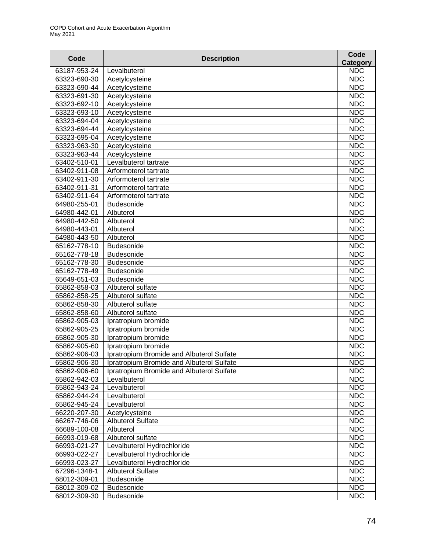| Code         | <b>Description</b>                        | Code       |
|--------------|-------------------------------------------|------------|
|              |                                           | Category   |
| 63187-953-24 | Levalbuterol                              | <b>NDC</b> |
| 63323-690-30 | Acetylcysteine                            | <b>NDC</b> |
| 63323-690-44 | Acetylcysteine                            | <b>NDC</b> |
| 63323-691-30 | Acetylcysteine                            | <b>NDC</b> |
| 63323-692-10 | Acetylcysteine                            | <b>NDC</b> |
| 63323-693-10 | Acetylcysteine                            | <b>NDC</b> |
| 63323-694-04 | Acetylcysteine                            | <b>NDC</b> |
| 63323-694-44 | Acetylcysteine                            | <b>NDC</b> |
| 63323-695-04 | Acetylcysteine                            | <b>NDC</b> |
| 63323-963-30 | Acetylcysteine                            | <b>NDC</b> |
| 63323-963-44 | Acetylcysteine                            | <b>NDC</b> |
| 63402-510-01 | Levalbuterol tartrate                     | <b>NDC</b> |
| 63402-911-08 | Arformoterol tartrate                     | <b>NDC</b> |
| 63402-911-30 | Arformoterol tartrate                     | <b>NDC</b> |
| 63402-911-31 | Arformoterol tartrate                     | <b>NDC</b> |
| 63402-911-64 | Arformoterol tartrate                     | <b>NDC</b> |
| 64980-255-01 | <b>Budesonide</b>                         | <b>NDC</b> |
| 64980-442-01 | Albuterol                                 | <b>NDC</b> |
| 64980-442-50 | Albuterol                                 | <b>NDC</b> |
| 64980-443-01 | Albuterol                                 | <b>NDC</b> |
| 64980-443-50 | Albuterol                                 | <b>NDC</b> |
| 65162-778-10 | Budesonide                                | <b>NDC</b> |
| 65162-778-18 | Budesonide                                | <b>NDC</b> |
| 65162-778-30 | Budesonide                                | <b>NDC</b> |
| 65162-778-49 | Budesonide                                | <b>NDC</b> |
| 65649-651-03 | <b>Budesonide</b>                         | <b>NDC</b> |
| 65862-858-03 | Albuterol sulfate                         | <b>NDC</b> |
| 65862-858-25 | Albuterol sulfate                         | <b>NDC</b> |
| 65862-858-30 | Albuterol sulfate                         | <b>NDC</b> |
| 65862-858-60 | Albuterol sulfate                         | <b>NDC</b> |
| 65862-905-03 | Ipratropium bromide                       | <b>NDC</b> |
| 65862-905-25 | Ipratropium bromide                       | <b>NDC</b> |
| 65862-905-30 | Ipratropium bromide                       | <b>NDC</b> |
| 65862-905-60 | Ipratropium bromide                       | <b>NDC</b> |
| 65862-906-03 | Ipratropium Bromide and Albuterol Sulfate | <b>NDC</b> |
| 65862-906-30 | Ipratropium Bromide and Albuterol Sulfate | <b>NDC</b> |
| 65862-906-60 | Ipratropium Bromide and Albuterol Sulfate | <b>NDC</b> |
| 65862-942-03 | Levalbuterol                              | <b>NDC</b> |
| 65862-943-24 | Levalbuterol                              | <b>NDC</b> |
| 65862-944-24 | Levalbuterol                              | <b>NDC</b> |
| 65862-945-24 | Levalbuterol                              | <b>NDC</b> |
| 66220-207-30 | Acetylcysteine                            | <b>NDC</b> |
| 66267-746-06 | <b>Albuterol Sulfate</b>                  | <b>NDC</b> |
| 66689-100-08 | Albuterol                                 | <b>NDC</b> |
| 66993-019-68 | Albuterol sulfate                         | <b>NDC</b> |
| 66993-021-27 | Levalbuterol Hydrochloride                | <b>NDC</b> |
| 66993-022-27 | Levalbuterol Hydrochloride                | <b>NDC</b> |
| 66993-023-27 | Levalbuterol Hydrochloride                | <b>NDC</b> |
| 67296-1348-1 | <b>Albuterol Sulfate</b>                  | <b>NDC</b> |
| 68012-309-01 | Budesonide                                | <b>NDC</b> |
| 68012-309-02 | <b>Budesonide</b>                         | <b>NDC</b> |
| 68012-309-30 | Budesonide                                | <b>NDC</b> |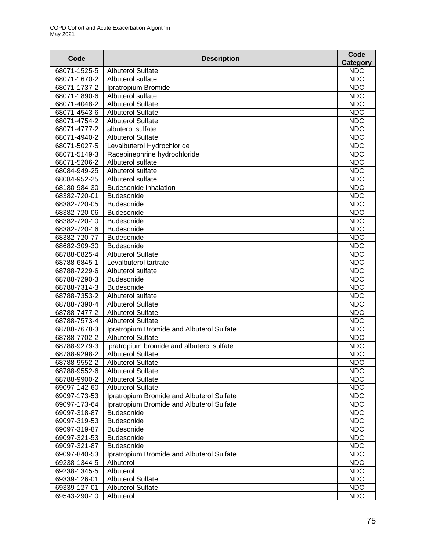| Code                         | <b>Description</b>                        | Code                   |
|------------------------------|-------------------------------------------|------------------------|
| 68071-1525-5                 | <b>Albuterol Sulfate</b>                  | Category<br><b>NDC</b> |
| 68071-1670-2                 | Albuterol sulfate                         | <b>NDC</b>             |
| 68071-1737-2                 | Ipratropium Bromide                       | <b>NDC</b>             |
| 68071-1890-6                 | Albuterol sulfate                         | <b>NDC</b>             |
| 68071-4048-2                 | <b>Albuterol Sulfate</b>                  | <b>NDC</b>             |
| 68071-4543-6                 | <b>Albuterol Sulfate</b>                  | <b>NDC</b>             |
| 68071-4754-2                 | <b>Albuterol Sulfate</b>                  | <b>NDC</b>             |
| 68071-4777-2                 | albuterol sulfate                         | <b>NDC</b>             |
| 68071-4940-2                 | <b>Albuterol Sulfate</b>                  | <b>NDC</b>             |
| 68071-5027-5                 | Levalbuterol Hydrochloride                | <b>NDC</b>             |
| 68071-5149-3                 | Racepinephrine hydrochloride              | <b>NDC</b>             |
| 68071-5206-2                 | Albuterol sulfate                         | <b>NDC</b>             |
| 68084-949-25                 | Albuterol sulfate                         | <b>NDC</b>             |
| 68084-952-25                 | Albuterol sulfate                         | <b>NDC</b>             |
| 68180-984-30                 | <b>Budesonide inhalation</b>              | <b>NDC</b>             |
| 68382-720-01                 |                                           | <b>NDC</b>             |
|                              | Budesonide                                | <b>NDC</b>             |
| 68382-720-05<br>68382-720-06 | Budesonide                                |                        |
| 68382-720-10                 | Budesonide                                | <b>NDC</b>             |
|                              | Budesonide                                | <b>NDC</b>             |
| 68382-720-16                 | Budesonide                                | <b>NDC</b>             |
| 68382-720-77                 | Budesonide                                | <b>NDC</b>             |
| 68682-309-30                 | <b>Budesonide</b>                         | <b>NDC</b>             |
| 68788-0825-4                 | <b>Albuterol Sulfate</b>                  | <b>NDC</b>             |
| 68788-6845-1                 | Levalbuterol tartrate                     | <b>NDC</b>             |
| 68788-7229-6                 | Albuterol sulfate                         | <b>NDC</b>             |
| 68788-7290-3                 | Budesonide                                | <b>NDC</b>             |
| 68788-7314-3                 | <b>Budesonide</b>                         | <b>NDC</b>             |
| 68788-7353-2                 | Albuterol sulfate                         | <b>NDC</b>             |
| 68788-7390-4                 | <b>Albuterol Sulfate</b>                  | <b>NDC</b>             |
| 68788-7477-2                 | <b>Albuterol Sulfate</b>                  | <b>NDC</b>             |
| 68788-7573-4                 | <b>Albuterol Sulfate</b>                  | <b>NDC</b>             |
| 68788-7678-3                 | Ipratropium Bromide and Albuterol Sulfate | <b>NDC</b>             |
| 68788-7702-2                 | <b>Albuterol Sulfate</b>                  | <b>NDC</b>             |
| 68788-9279-3                 | ipratropium bromide and albuterol sulfate | <b>NDC</b>             |
| 68788-9298-2                 | <b>Albuterol Sulfate</b>                  | <b>NDC</b>             |
| 68788-9552-2                 | <b>Albuterol Sulfate</b>                  | <b>NDC</b>             |
| 68788-9552-6                 | <b>Albuterol Sulfate</b>                  | <b>NDC</b>             |
| 68788-9900-2                 | <b>Albuterol Sulfate</b>                  | <b>NDC</b>             |
| 69097-142-60                 | <b>Albuterol Sulfate</b>                  | <b>NDC</b>             |
| 69097-173-53                 | Ipratropium Bromide and Albuterol Sulfate | <b>NDC</b>             |
| 69097-173-64                 | Ipratropium Bromide and Albuterol Sulfate | <b>NDC</b>             |
| 69097-318-87                 | <b>Budesonide</b>                         | <b>NDC</b>             |
| 69097-319-53                 | <b>Budesonide</b>                         | <b>NDC</b>             |
| 69097-319-87                 | <b>Budesonide</b>                         | <b>NDC</b>             |
| 69097-321-53                 | <b>Budesonide</b>                         | <b>NDC</b>             |
| 69097-321-87                 | <b>Budesonide</b>                         | <b>NDC</b>             |
| 69097-840-53                 | Ipratropium Bromide and Albuterol Sulfate | <b>NDC</b>             |
| 69238-1344-5                 | Albuterol                                 | <b>NDC</b>             |
| 69238-1345-5                 | Albuterol                                 | <b>NDC</b>             |
| 69339-126-01                 | <b>Albuterol Sulfate</b>                  | <b>NDC</b>             |
| 69339-127-01                 | <b>Albuterol Sulfate</b>                  | <b>NDC</b>             |
| 69543-290-10                 | Albuterol                                 | <b>NDC</b>             |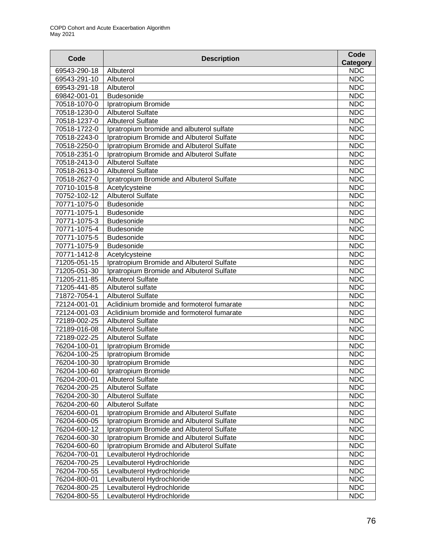| Code         | <b>Description</b>                         | Code       |
|--------------|--------------------------------------------|------------|
|              |                                            | Category   |
| 69543-290-18 | Albuterol                                  | <b>NDC</b> |
| 69543-291-10 | Albuterol                                  | <b>NDC</b> |
| 69543-291-18 | Albuterol                                  | <b>NDC</b> |
| 69842-001-01 | Budesonide                                 | <b>NDC</b> |
| 70518-1070-0 | Ipratropium Bromide                        | <b>NDC</b> |
| 70518-1230-0 | <b>Albuterol Sulfate</b>                   | <b>NDC</b> |
| 70518-1237-0 | <b>Albuterol Sulfate</b>                   | <b>NDC</b> |
| 70518-1722-0 | Ipratropium bromide and albuterol sulfate  | <b>NDC</b> |
| 70518-2243-0 | Ipratropium Bromide and Albuterol Sulfate  | <b>NDC</b> |
| 70518-2250-0 | Ipratropium Bromide and Albuterol Sulfate  | <b>NDC</b> |
| 70518-2351-0 | Ipratropium Bromide and Albuterol Sulfate  | <b>NDC</b> |
| 70518-2413-0 | <b>Albuterol Sulfate</b>                   | <b>NDC</b> |
| 70518-2613-0 | <b>Albuterol Sulfate</b>                   | <b>NDC</b> |
| 70518-2627-0 | Ipratropium Bromide and Albuterol Sulfate  | <b>NDC</b> |
| 70710-1015-8 | Acetylcysteine                             | <b>NDC</b> |
| 70752-102-12 | <b>Albuterol Sulfate</b>                   | <b>NDC</b> |
| 70771-1075-0 | Budesonide                                 | <b>NDC</b> |
| 70771-1075-1 | Budesonide                                 | <b>NDC</b> |
| 70771-1075-3 | Budesonide                                 | <b>NDC</b> |
| 70771-1075-4 | Budesonide                                 | <b>NDC</b> |
| 70771-1075-5 | Budesonide                                 | <b>NDC</b> |
| 70771-1075-9 | Budesonide                                 | <b>NDC</b> |
| 70771-1412-8 | Acetylcysteine                             | <b>NDC</b> |
| 71205-051-15 | Ipratropium Bromide and Albuterol Sulfate  | <b>NDC</b> |
| 71205-051-30 | Ipratropium Bromide and Albuterol Sulfate  | <b>NDC</b> |
| 71205-211-85 | <b>Albuterol Sulfate</b>                   | <b>NDC</b> |
| 71205-441-85 | Albuterol sulfate                          | <b>NDC</b> |
| 71872-7054-1 | <b>Albuterol Sulfate</b>                   | <b>NDC</b> |
| 72124-001-01 | Aclidinium bromide and formoterol fumarate | <b>NDC</b> |
| 72124-001-03 | Aclidinium bromide and formoterol fumarate | <b>NDC</b> |
| 72189-002-25 | <b>Albuterol Sulfate</b>                   | <b>NDC</b> |
| 72189-016-08 | <b>Albuterol Sulfate</b>                   | <b>NDC</b> |
| 72189-022-25 | <b>Albuterol Sulfate</b>                   | <b>NDC</b> |
| 76204-100-01 | Ipratropium Bromide                        | <b>NDC</b> |
| 76204-100-25 | Ipratropium Bromide                        | <b>NDC</b> |
| 76204-100-30 | Ipratropium Bromide                        | <b>NDC</b> |
| 76204-100-60 | Ipratropium Bromide                        | <b>NDC</b> |
| 76204-200-01 | <b>Albuterol Sulfate</b>                   | <b>NDC</b> |
| 76204-200-25 | <b>Albuterol Sulfate</b>                   | <b>NDC</b> |
| 76204-200-30 | <b>Albuterol Sulfate</b>                   | <b>NDC</b> |
| 76204-200-60 | <b>Albuterol Sulfate</b>                   | <b>NDC</b> |
| 76204-600-01 | Ipratropium Bromide and Albuterol Sulfate  | <b>NDC</b> |
| 76204-600-05 | Ipratropium Bromide and Albuterol Sulfate  | <b>NDC</b> |
| 76204-600-12 | Ipratropium Bromide and Albuterol Sulfate  | <b>NDC</b> |
| 76204-600-30 | Ipratropium Bromide and Albuterol Sulfate  | <b>NDC</b> |
| 76204-600-60 | Ipratropium Bromide and Albuterol Sulfate  | <b>NDC</b> |
| 76204-700-01 | Levalbuterol Hydrochloride                 | <b>NDC</b> |
| 76204-700-25 | Levalbuterol Hydrochloride                 | <b>NDC</b> |
| 76204-700-55 | Levalbuterol Hydrochloride                 | <b>NDC</b> |
| 76204-800-01 | Levalbuterol Hydrochloride                 | <b>NDC</b> |
| 76204-800-25 | Levalbuterol Hydrochloride                 | <b>NDC</b> |
| 76204-800-55 | Levalbuterol Hydrochloride                 | <b>NDC</b> |